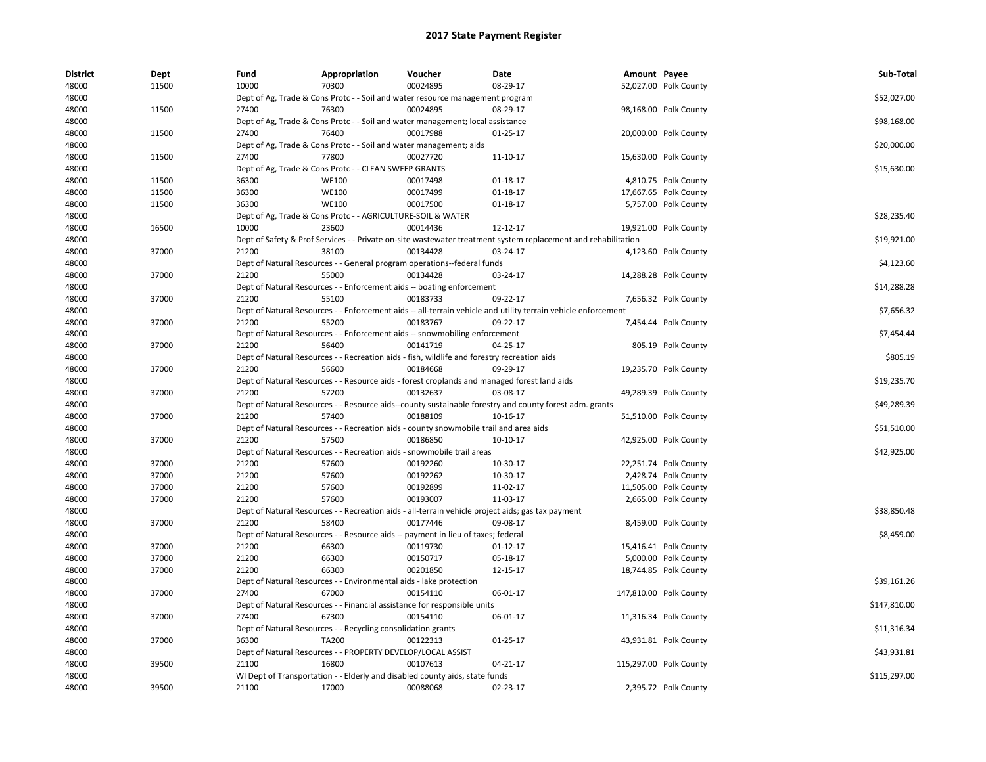| District | <b>Dept</b> | Fund  | Appropriation                                                      | Voucher                                                                                     | Date                                                                                                          | Amount Payee |                        | Sub-Total    |
|----------|-------------|-------|--------------------------------------------------------------------|---------------------------------------------------------------------------------------------|---------------------------------------------------------------------------------------------------------------|--------------|------------------------|--------------|
| 48000    | 11500       | 10000 | 70300                                                              | 00024895                                                                                    | 08-29-17                                                                                                      |              | 52,027.00 Polk County  |              |
| 48000    |             |       |                                                                    | Dept of Ag, Trade & Cons Protc - - Soil and water resource management program               |                                                                                                               |              |                        | \$52,027.00  |
| 48000    | 11500       | 27400 | 76300                                                              | 00024895                                                                                    | 08-29-17                                                                                                      |              | 98,168.00 Polk County  |              |
| 48000    |             |       |                                                                    | Dept of Ag, Trade & Cons Protc - - Soil and water management; local assistance              |                                                                                                               |              |                        | \$98,168.00  |
| 48000    | 11500       | 27400 | 76400                                                              | 00017988                                                                                    | $01 - 25 - 17$                                                                                                |              | 20,000.00 Polk County  |              |
| 48000    |             |       |                                                                    | Dept of Ag, Trade & Cons Protc - - Soil and water management; aids                          |                                                                                                               |              |                        | \$20,000.00  |
| 48000    | 11500       | 27400 | 77800                                                              | 00027720                                                                                    | 11-10-17                                                                                                      |              | 15,630.00 Polk County  |              |
| 48000    |             |       | Dept of Ag, Trade & Cons Protc - - CLEAN SWEEP GRANTS              |                                                                                             |                                                                                                               |              |                        | \$15,630.00  |
| 48000    | 11500       | 36300 | <b>WE100</b>                                                       | 00017498                                                                                    | $01-18-17$                                                                                                    |              | 4,810.75 Polk County   |              |
| 48000    | 11500       | 36300 | <b>WE100</b>                                                       | 00017499                                                                                    | 01-18-17                                                                                                      |              | 17,667.65 Polk County  |              |
| 48000    | 11500       | 36300 | <b>WE100</b>                                                       | 00017500                                                                                    | 01-18-17                                                                                                      |              | 5,757.00 Polk County   |              |
| 48000    |             |       | Dept of Ag, Trade & Cons Protc - - AGRICULTURE-SOIL & WATER        |                                                                                             |                                                                                                               |              |                        | \$28,235.40  |
| 48000    | 16500       | 10000 | 23600                                                              | 00014436                                                                                    | 12-12-17                                                                                                      |              | 19,921.00 Polk County  |              |
| 48000    |             |       |                                                                    |                                                                                             | Dept of Safety & Prof Services - - Private on-site wastewater treatment system replacement and rehabilitation |              |                        | \$19,921.00  |
| 48000    | 37000       | 21200 | 38100                                                              | 00134428                                                                                    | 03-24-17                                                                                                      |              | 4,123.60 Polk County   |              |
| 48000    |             |       |                                                                    | Dept of Natural Resources - - General program operations--federal funds                     |                                                                                                               |              |                        | \$4,123.60   |
| 48000    | 37000       | 21200 | 55000                                                              | 00134428                                                                                    | 03-24-17                                                                                                      |              | 14,288.28 Polk County  |              |
| 48000    |             |       |                                                                    | Dept of Natural Resources - - Enforcement aids -- boating enforcement                       |                                                                                                               |              |                        | \$14,288.28  |
| 48000    | 37000       | 21200 | 55100                                                              | 00183733                                                                                    | 09-22-17                                                                                                      |              | 7,656.32 Polk County   |              |
| 48000    |             |       |                                                                    |                                                                                             | Dept of Natural Resources - - Enforcement aids -- all-terrain vehicle and utility terrain vehicle enforcement |              |                        | \$7,656.32   |
| 48000    | 37000       | 21200 | 55200                                                              | 00183767                                                                                    | 09-22-17                                                                                                      |              | 7,454.44 Polk County   |              |
| 48000    |             |       |                                                                    | Dept of Natural Resources - - Enforcement aids -- snowmobiling enforcement                  |                                                                                                               |              |                        | \$7,454.44   |
| 48000    | 37000       | 21200 | 56400                                                              | 00141719                                                                                    | 04-25-17                                                                                                      |              | 805.19 Polk County     |              |
| 48000    |             |       |                                                                    | Dept of Natural Resources - - Recreation aids - fish, wildlife and forestry recreation aids |                                                                                                               |              |                        | \$805.19     |
| 48000    | 37000       | 21200 | 56600                                                              | 00184668                                                                                    | 09-29-17                                                                                                      |              | 19,235.70 Polk County  |              |
| 48000    |             |       |                                                                    |                                                                                             | Dept of Natural Resources - - Resource aids - forest croplands and managed forest land aids                   |              |                        | \$19,235.70  |
| 48000    | 37000       | 21200 | 57200                                                              | 00132637                                                                                    | 03-08-17                                                                                                      |              | 49,289.39 Polk County  |              |
| 48000    |             |       |                                                                    |                                                                                             | Dept of Natural Resources - - Resource aids--county sustainable forestry and county forest adm. grants        |              |                        | \$49,289.39  |
| 48000    | 37000       | 21200 | 57400                                                              | 00188109                                                                                    | 10-16-17                                                                                                      |              | 51,510.00 Polk County  |              |
| 48000    |             |       |                                                                    | Dept of Natural Resources - - Recreation aids - county snowmobile trail and area aids       |                                                                                                               |              |                        | \$51,510.00  |
| 48000    | 37000       | 21200 | 57500                                                              | 00186850                                                                                    | 10-10-17                                                                                                      |              | 42,925.00 Polk County  |              |
| 48000    |             |       |                                                                    | Dept of Natural Resources - - Recreation aids - snowmobile trail areas                      |                                                                                                               |              |                        | \$42,925.00  |
| 48000    | 37000       | 21200 | 57600                                                              | 00192260                                                                                    | 10-30-17                                                                                                      |              | 22,251.74 Polk County  |              |
| 48000    | 37000       | 21200 | 57600                                                              | 00192262                                                                                    | 10-30-17                                                                                                      |              | 2,428.74 Polk County   |              |
| 48000    | 37000       | 21200 | 57600                                                              | 00192899                                                                                    | 11-02-17                                                                                                      |              | 11,505.00 Polk County  |              |
| 48000    | 37000       | 21200 | 57600                                                              | 00193007                                                                                    | 11-03-17                                                                                                      |              | 2,665.00 Polk County   |              |
| 48000    |             |       |                                                                    |                                                                                             | Dept of Natural Resources - - Recreation aids - all-terrain vehicle project aids; gas tax payment             |              |                        | \$38,850.48  |
| 48000    | 37000       | 21200 | 58400                                                              | 00177446                                                                                    | 09-08-17                                                                                                      |              | 8,459.00 Polk County   |              |
| 48000    |             |       |                                                                    | Dept of Natural Resources - - Resource aids -- payment in lieu of taxes; federal            |                                                                                                               |              |                        | \$8,459.00   |
| 48000    | 37000       | 21200 | 66300                                                              | 00119730                                                                                    | $01-12-17$                                                                                                    |              | 15,416.41 Polk County  |              |
| 48000    | 37000       | 21200 | 66300                                                              | 00150717                                                                                    | 05-18-17                                                                                                      |              | 5,000.00 Polk County   |              |
| 48000    | 37000       | 21200 | 66300                                                              | 00201850                                                                                    | 12-15-17                                                                                                      |              | 18,744.85 Polk County  |              |
| 48000    |             |       | Dept of Natural Resources - - Environmental aids - lake protection |                                                                                             |                                                                                                               |              |                        | \$39,161.26  |
| 48000    | 37000       | 27400 | 67000                                                              | 00154110                                                                                    | 06-01-17                                                                                                      |              | 147,810.00 Polk County |              |
| 48000    |             |       |                                                                    | Dept of Natural Resources - - Financial assistance for responsible units                    |                                                                                                               |              |                        | \$147,810.00 |
| 48000    | 37000       | 27400 | 67300                                                              | 00154110                                                                                    | 06-01-17                                                                                                      |              | 11,316.34 Polk County  |              |
|          |             |       |                                                                    |                                                                                             |                                                                                                               |              |                        |              |
| 48000    |             |       | Dept of Natural Resources - - Recycling consolidation grants       |                                                                                             |                                                                                                               |              |                        | \$11,316.34  |
| 48000    | 37000       | 36300 | <b>TA200</b>                                                       | 00122313                                                                                    | 01-25-17                                                                                                      |              | 43,931.81 Polk County  |              |
| 48000    |             |       | Dept of Natural Resources - - PROPERTY DEVELOP/LOCAL ASSIST        |                                                                                             |                                                                                                               |              |                        | \$43,931.81  |
| 48000    | 39500       | 21100 | 16800                                                              | 00107613                                                                                    | 04-21-17                                                                                                      |              | 115,297.00 Polk County |              |
| 48000    |             |       |                                                                    | WI Dept of Transportation - - Elderly and disabled county aids, state funds                 |                                                                                                               |              |                        | \$115,297.00 |
| 48000    | 39500       | 21100 | 17000                                                              | 00088068                                                                                    | 02-23-17                                                                                                      |              | 2,395.72 Polk County   |              |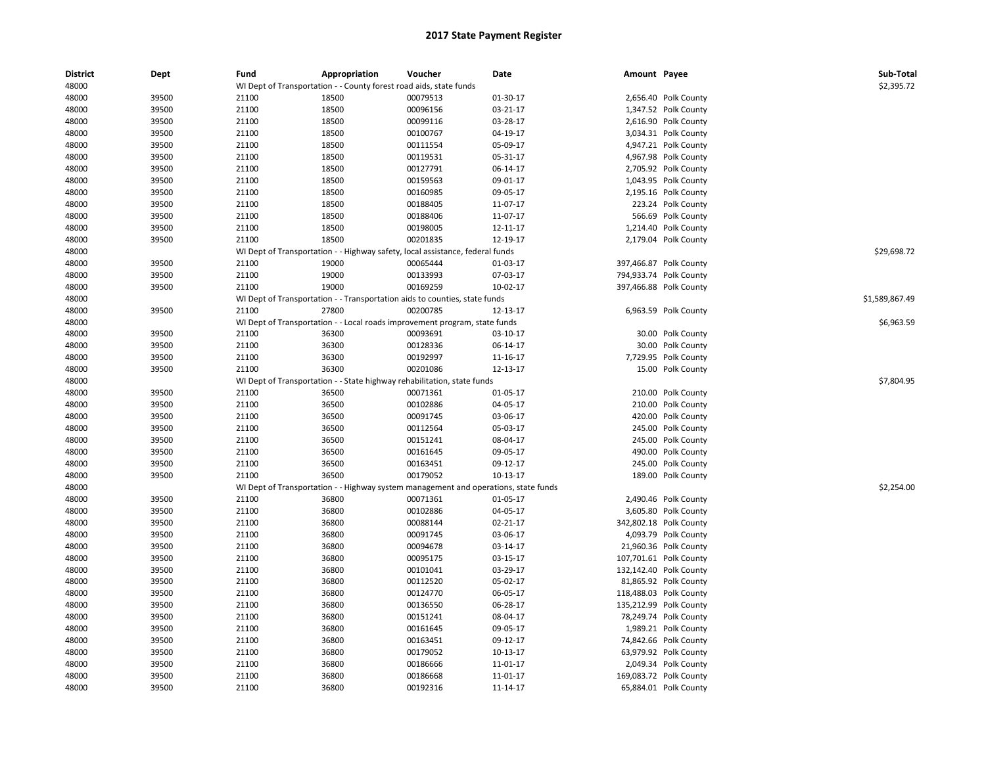| <b>District</b> | Dept  | Fund  | Appropriation                                                      | Voucher                                                                             | Date     | Amount Payee |                        | Sub-Total      |
|-----------------|-------|-------|--------------------------------------------------------------------|-------------------------------------------------------------------------------------|----------|--------------|------------------------|----------------|
| 48000           |       |       | WI Dept of Transportation - - County forest road aids, state funds |                                                                                     |          |              |                        | \$2,395.72     |
| 48000           | 39500 | 21100 | 18500                                                              | 00079513                                                                            | 01-30-17 |              | 2,656.40 Polk County   |                |
| 48000           | 39500 | 21100 | 18500                                                              | 00096156                                                                            | 03-21-17 |              | 1,347.52 Polk County   |                |
| 48000           | 39500 | 21100 | 18500                                                              | 00099116                                                                            | 03-28-17 |              | 2,616.90 Polk County   |                |
| 48000           | 39500 | 21100 | 18500                                                              | 00100767                                                                            | 04-19-17 |              | 3,034.31 Polk County   |                |
| 48000           | 39500 | 21100 | 18500                                                              | 00111554                                                                            | 05-09-17 |              | 4,947.21 Polk County   |                |
| 48000           | 39500 | 21100 | 18500                                                              | 00119531                                                                            | 05-31-17 |              | 4,967.98 Polk County   |                |
| 48000           | 39500 | 21100 | 18500                                                              | 00127791                                                                            | 06-14-17 |              | 2,705.92 Polk County   |                |
| 48000           | 39500 | 21100 | 18500                                                              | 00159563                                                                            | 09-01-17 |              | 1,043.95 Polk County   |                |
| 48000           | 39500 | 21100 | 18500                                                              | 00160985                                                                            | 09-05-17 |              | 2,195.16 Polk County   |                |
| 48000           | 39500 | 21100 | 18500                                                              | 00188405                                                                            | 11-07-17 |              | 223.24 Polk County     |                |
| 48000           | 39500 | 21100 | 18500                                                              | 00188406                                                                            | 11-07-17 |              | 566.69 Polk County     |                |
| 48000           | 39500 | 21100 | 18500                                                              | 00198005                                                                            | 12-11-17 |              | 1,214.40 Polk County   |                |
| 48000           | 39500 | 21100 | 18500                                                              | 00201835                                                                            | 12-19-17 |              | 2,179.04 Polk County   |                |
| 48000           |       |       |                                                                    | WI Dept of Transportation - - Highway safety, local assistance, federal funds       |          |              |                        | \$29,698.72    |
| 48000           | 39500 | 21100 | 19000                                                              | 00065444                                                                            | 01-03-17 |              | 397,466.87 Polk County |                |
| 48000           | 39500 | 21100 | 19000                                                              | 00133993                                                                            | 07-03-17 |              | 794,933.74 Polk County |                |
| 48000           | 39500 | 21100 | 19000                                                              | 00169259                                                                            | 10-02-17 |              | 397,466.88 Polk County |                |
| 48000           |       |       |                                                                    | WI Dept of Transportation - - Transportation aids to counties, state funds          |          |              |                        | \$1,589,867.49 |
| 48000           | 39500 | 21100 | 27800                                                              | 00200785                                                                            | 12-13-17 |              | 6,963.59 Polk County   |                |
| 48000           |       |       |                                                                    | WI Dept of Transportation - - Local roads improvement program, state funds          |          |              |                        | \$6,963.59     |
| 48000           | 39500 | 21100 | 36300                                                              | 00093691                                                                            | 03-10-17 |              | 30.00 Polk County      |                |
| 48000           | 39500 | 21100 | 36300                                                              | 00128336                                                                            | 06-14-17 |              | 30.00 Polk County      |                |
| 48000           | 39500 | 21100 | 36300                                                              | 00192997                                                                            | 11-16-17 |              | 7,729.95 Polk County   |                |
| 48000           | 39500 | 21100 | 36300                                                              | 00201086                                                                            | 12-13-17 |              | 15.00 Polk County      |                |
| 48000           |       |       |                                                                    | WI Dept of Transportation - - State highway rehabilitation, state funds             |          |              |                        | \$7,804.95     |
| 48000           | 39500 | 21100 | 36500                                                              | 00071361                                                                            | 01-05-17 |              | 210.00 Polk County     |                |
| 48000           | 39500 | 21100 | 36500                                                              | 00102886                                                                            | 04-05-17 |              | 210.00 Polk County     |                |
| 48000           | 39500 | 21100 | 36500                                                              | 00091745                                                                            | 03-06-17 |              | 420.00 Polk County     |                |
| 48000           | 39500 | 21100 | 36500                                                              | 00112564                                                                            | 05-03-17 |              | 245.00 Polk County     |                |
| 48000           | 39500 | 21100 | 36500                                                              | 00151241                                                                            | 08-04-17 |              | 245.00 Polk County     |                |
| 48000           | 39500 | 21100 | 36500                                                              | 00161645                                                                            | 09-05-17 |              | 490.00 Polk County     |                |
| 48000           | 39500 | 21100 | 36500                                                              | 00163451                                                                            | 09-12-17 |              | 245.00 Polk County     |                |
| 48000           | 39500 | 21100 | 36500                                                              | 00179052                                                                            | 10-13-17 |              | 189.00 Polk County     |                |
| 48000           |       |       |                                                                    | WI Dept of Transportation - - Highway system management and operations, state funds |          |              |                        | \$2,254.00     |
| 48000           | 39500 | 21100 | 36800                                                              | 00071361                                                                            | 01-05-17 |              | 2,490.46 Polk County   |                |
| 48000           | 39500 | 21100 | 36800                                                              | 00102886                                                                            | 04-05-17 |              | 3,605.80 Polk County   |                |
| 48000           | 39500 | 21100 | 36800                                                              | 00088144                                                                            | 02-21-17 |              | 342,802.18 Polk County |                |
| 48000           | 39500 | 21100 | 36800                                                              | 00091745                                                                            | 03-06-17 |              | 4,093.79 Polk County   |                |
| 48000           | 39500 | 21100 | 36800                                                              | 00094678                                                                            | 03-14-17 |              | 21,960.36 Polk County  |                |
| 48000           | 39500 | 21100 | 36800                                                              | 00095175                                                                            | 03-15-17 |              | 107,701.61 Polk County |                |
| 48000           | 39500 | 21100 | 36800                                                              | 00101041                                                                            | 03-29-17 |              | 132,142.40 Polk County |                |
| 48000           | 39500 | 21100 | 36800                                                              | 00112520                                                                            | 05-02-17 |              | 81,865.92 Polk County  |                |
| 48000           | 39500 | 21100 | 36800                                                              | 00124770                                                                            | 06-05-17 |              | 118,488.03 Polk County |                |
| 48000           | 39500 | 21100 | 36800                                                              | 00136550                                                                            | 06-28-17 |              | 135,212.99 Polk County |                |
| 48000           | 39500 | 21100 | 36800                                                              | 00151241                                                                            | 08-04-17 |              | 78,249.74 Polk County  |                |
| 48000           | 39500 | 21100 | 36800                                                              | 00161645                                                                            | 09-05-17 |              | 1,989.21 Polk County   |                |
| 48000           | 39500 | 21100 | 36800                                                              | 00163451                                                                            | 09-12-17 |              | 74,842.66 Polk County  |                |
| 48000           | 39500 | 21100 | 36800                                                              | 00179052                                                                            | 10-13-17 |              | 63,979.92 Polk County  |                |
| 48000           | 39500 | 21100 | 36800                                                              | 00186666                                                                            | 11-01-17 |              | 2,049.34 Polk County   |                |
| 48000           | 39500 | 21100 | 36800                                                              | 00186668                                                                            | 11-01-17 |              | 169,083.72 Polk County |                |
| 48000           | 39500 | 21100 | 36800                                                              | 00192316                                                                            | 11-14-17 |              | 65,884.01 Polk County  |                |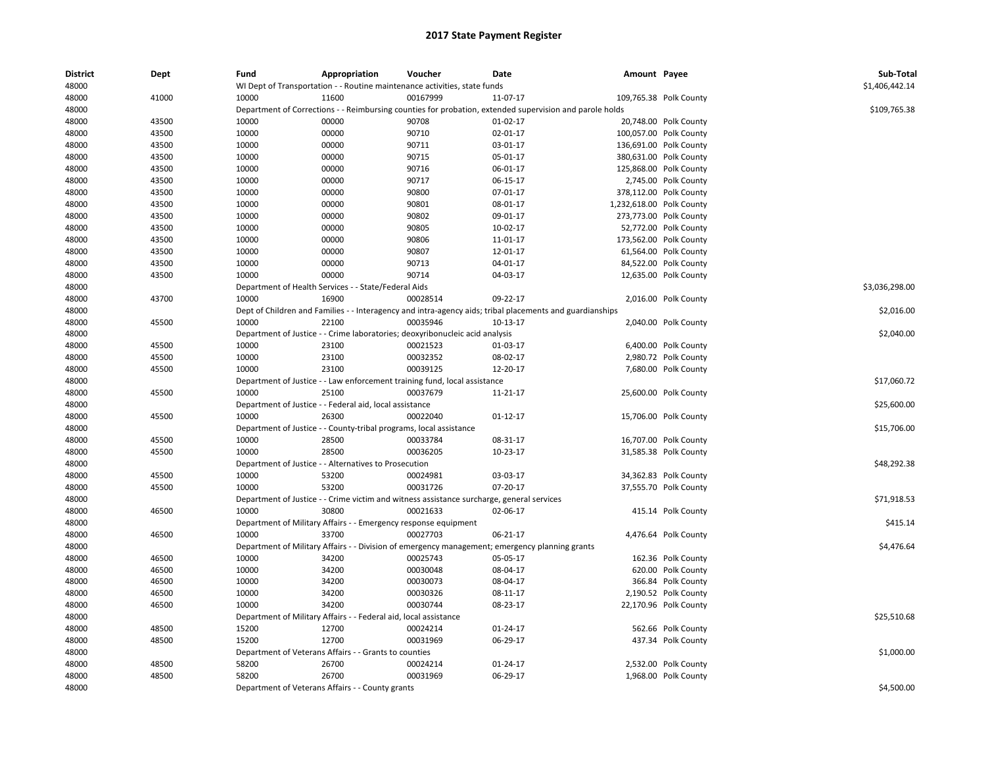| <b>District</b> | Dept  | Fund  | Appropriation                                                                                            | Voucher  | Date           | Amount Payee |                          | Sub-Total<br>\$1,406,442.14 |
|-----------------|-------|-------|----------------------------------------------------------------------------------------------------------|----------|----------------|--------------|--------------------------|-----------------------------|
| 48000           |       |       | WI Dept of Transportation - - Routine maintenance activities, state funds                                |          |                |              |                          |                             |
| 48000           | 41000 | 10000 | 11600                                                                                                    | 00167999 | 11-07-17       |              | 109,765.38 Polk County   |                             |
| 48000           |       |       | Department of Corrections - - Reimbursing counties for probation, extended supervision and parole holds  |          |                |              |                          | \$109,765.38                |
| 48000           | 43500 | 10000 | 00000                                                                                                    | 90708    | $01-02-17$     |              | 20,748.00 Polk County    |                             |
| 48000           | 43500 | 10000 | 00000                                                                                                    | 90710    | 02-01-17       |              | 100,057.00 Polk County   |                             |
| 48000           | 43500 | 10000 | 00000                                                                                                    | 90711    | 03-01-17       |              | 136,691.00 Polk County   |                             |
| 48000           | 43500 | 10000 | 00000                                                                                                    | 90715    | 05-01-17       |              | 380,631.00 Polk County   |                             |
| 48000           | 43500 | 10000 | 00000                                                                                                    | 90716    | 06-01-17       |              | 125,868.00 Polk County   |                             |
| 48000           | 43500 | 10000 | 00000                                                                                                    | 90717    | 06-15-17       |              | 2,745.00 Polk County     |                             |
| 48000           | 43500 | 10000 | 00000                                                                                                    | 90800    | 07-01-17       |              | 378,112.00 Polk County   |                             |
| 48000           | 43500 | 10000 | 00000                                                                                                    | 90801    | 08-01-17       |              | 1,232,618.00 Polk County |                             |
| 48000           | 43500 | 10000 | 00000                                                                                                    | 90802    | 09-01-17       |              | 273,773.00 Polk County   |                             |
| 48000           | 43500 | 10000 | 00000                                                                                                    | 90805    | 10-02-17       |              | 52,772.00 Polk County    |                             |
| 48000           | 43500 | 10000 | 00000                                                                                                    | 90806    | 11-01-17       |              | 173,562.00 Polk County   |                             |
| 48000           | 43500 | 10000 | 00000                                                                                                    | 90807    | 12-01-17       |              | 61,564.00 Polk County    |                             |
| 48000           | 43500 | 10000 | 00000                                                                                                    | 90713    | 04-01-17       |              | 84,522.00 Polk County    |                             |
| 48000           | 43500 | 10000 | 00000                                                                                                    | 90714    | 04-03-17       |              | 12,635.00 Polk County    |                             |
| 48000           |       |       | Department of Health Services - - State/Federal Aids                                                     |          |                |              |                          | \$3,036,298.00              |
| 48000           | 43700 | 10000 | 16900                                                                                                    | 00028514 | 09-22-17       |              | 2,016.00 Polk County     |                             |
| 48000           |       |       | Dept of Children and Families - - Interagency and intra-agency aids; tribal placements and guardianships |          |                |              |                          | \$2,016.00                  |
| 48000           | 45500 | 10000 | 22100                                                                                                    | 00035946 | 10-13-17       |              | 2,040.00 Polk County     |                             |
| 48000           |       |       | Department of Justice - - Crime laboratories; deoxyribonucleic acid analysis                             |          |                |              |                          | \$2,040.00                  |
| 48000           | 45500 | 10000 | 23100                                                                                                    | 00021523 | 01-03-17       |              | 6,400.00 Polk County     |                             |
| 48000           | 45500 | 10000 | 23100                                                                                                    | 00032352 | 08-02-17       |              | 2,980.72 Polk County     |                             |
| 48000           | 45500 | 10000 | 23100                                                                                                    | 00039125 | 12-20-17       |              | 7,680.00 Polk County     |                             |
| 48000           |       |       | Department of Justice - - Law enforcement training fund, local assistance                                |          |                |              |                          | \$17,060.72                 |
| 48000           | 45500 | 10000 | 25100                                                                                                    | 00037679 | 11-21-17       |              | 25,600.00 Polk County    |                             |
| 48000           |       |       | Department of Justice - - Federal aid, local assistance                                                  |          |                |              |                          | \$25,600.00                 |
| 48000           | 45500 | 10000 | 26300                                                                                                    | 00022040 | $01 - 12 - 17$ |              | 15,706.00 Polk County    |                             |
| 48000           |       |       | Department of Justice - - County-tribal programs, local assistance                                       |          |                |              |                          | \$15,706.00                 |
|                 | 45500 | 10000 | 28500                                                                                                    | 00033784 | 08-31-17       |              |                          |                             |
| 48000           |       | 10000 | 28500                                                                                                    | 00036205 |                |              | 16,707.00 Polk County    |                             |
| 48000           | 45500 |       |                                                                                                          |          | 10-23-17       |              | 31,585.38 Polk County    |                             |
| 48000           |       |       | Department of Justice - - Alternatives to Prosecution                                                    |          |                |              |                          | \$48,292.38                 |
| 48000           | 45500 | 10000 | 53200                                                                                                    | 00024981 | 03-03-17       |              | 34,362.83 Polk County    |                             |
| 48000           | 45500 | 10000 | 53200                                                                                                    | 00031726 | 07-20-17       |              | 37,555.70 Polk County    |                             |
| 48000           |       |       | Department of Justice - - Crime victim and witness assistance surcharge, general services                |          |                |              |                          | \$71,918.53                 |
| 48000           | 46500 | 10000 | 30800                                                                                                    | 00021633 | 02-06-17       |              | 415.14 Polk County       |                             |
| 48000           |       |       | Department of Military Affairs - - Emergency response equipment                                          |          |                |              |                          | \$415.14                    |
| 48000           | 46500 | 10000 | 33700                                                                                                    | 00027703 | 06-21-17       |              | 4,476.64 Polk County     |                             |
| 48000           |       |       | Department of Military Affairs - - Division of emergency management; emergency planning grants           |          |                |              |                          | \$4,476.64                  |
| 48000           | 46500 | 10000 | 34200                                                                                                    | 00025743 | 05-05-17       |              | 162.36 Polk County       |                             |
| 48000           | 46500 | 10000 | 34200                                                                                                    | 00030048 | 08-04-17       |              | 620.00 Polk County       |                             |
| 48000           | 46500 | 10000 | 34200                                                                                                    | 00030073 | 08-04-17       |              | 366.84 Polk County       |                             |
| 48000           | 46500 | 10000 | 34200                                                                                                    | 00030326 | 08-11-17       |              | 2,190.52 Polk County     |                             |
| 48000           | 46500 | 10000 | 34200                                                                                                    | 00030744 | 08-23-17       |              | 22,170.96 Polk County    |                             |
| 48000           |       |       | Department of Military Affairs - - Federal aid, local assistance                                         |          |                |              |                          | \$25,510.68                 |
| 48000           | 48500 | 15200 | 12700                                                                                                    | 00024214 | 01-24-17       |              | 562.66 Polk County       |                             |
| 48000           | 48500 | 15200 | 12700                                                                                                    | 00031969 | 06-29-17       |              | 437.34 Polk County       |                             |
| 48000           |       |       | Department of Veterans Affairs - - Grants to counties                                                    |          |                |              |                          | \$1,000.00                  |
| 48000           | 48500 | 58200 | 26700                                                                                                    | 00024214 | 01-24-17       |              | 2,532.00 Polk County     |                             |
| 48000           | 48500 | 58200 | 26700                                                                                                    | 00031969 | 06-29-17       |              | 1,968.00 Polk County     |                             |
| 48000           |       |       | Department of Veterans Affairs - - County grants                                                         |          |                |              |                          | \$4,500.00                  |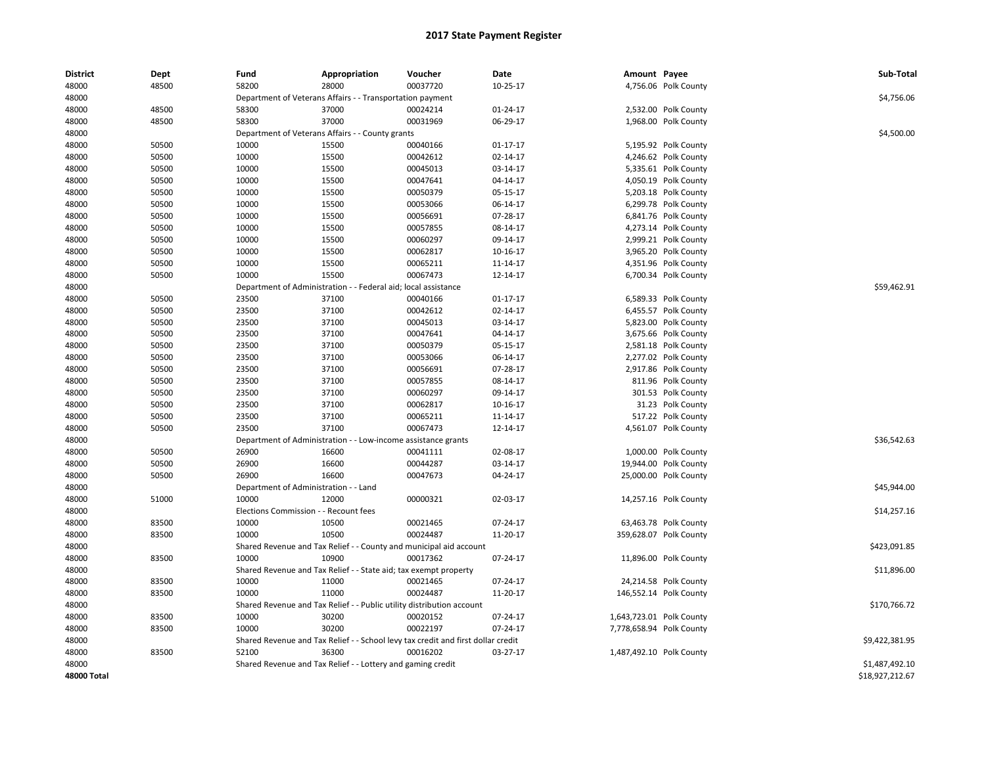| <b>District</b> | Dept  | Fund                                  | Appropriation                                                                    | Voucher                         | Date           | Amount Payee |                          | Sub-Total       |
|-----------------|-------|---------------------------------------|----------------------------------------------------------------------------------|---------------------------------|----------------|--------------|--------------------------|-----------------|
| 48000           | 48500 | 58200                                 | 28000                                                                            | 00037720                        | 10-25-17       |              | 4,756.06 Polk County     |                 |
| 48000           |       |                                       | Department of Veterans Affairs - - Transportation payment                        |                                 |                |              |                          | \$4,756.06      |
| 48000           | 48500 | 58300                                 | 37000                                                                            | 00024214                        | 01-24-17       |              | 2,532.00 Polk County     |                 |
| 48000           | 48500 | 58300                                 | 37000                                                                            | 00031969                        | 06-29-17       |              | 1,968.00 Polk County     |                 |
| 48000           |       |                                       | Department of Veterans Affairs - - County grants                                 |                                 |                |              |                          | \$4,500.00      |
| 48000           | 50500 | 10000                                 | 15500                                                                            | 00040166                        | $01 - 17 - 17$ |              | 5,195.92 Polk County     |                 |
| 48000           | 50500 | 10000                                 | 15500                                                                            | 00042612                        | 02-14-17       |              | 4,246.62 Polk County     |                 |
| 48000           | 50500 | 10000                                 | 15500                                                                            | 00045013                        | 03-14-17       |              | 5,335.61 Polk County     |                 |
| 48000           | 50500 | 10000                                 | 15500                                                                            | 00047641                        | $04 - 14 - 17$ |              | 4,050.19 Polk County     |                 |
| 48000           | 50500 | 10000                                 | 15500                                                                            | 00050379                        | 05-15-17       |              | 5,203.18 Polk County     |                 |
| 48000           | 50500 | 10000                                 | 15500                                                                            | 00053066                        | 06-14-17       |              | 6,299.78 Polk County     |                 |
| 48000           | 50500 | 10000                                 | 15500                                                                            | 00056691                        | 07-28-17       |              | 6,841.76 Polk County     |                 |
| 48000           | 50500 | 10000                                 | 15500                                                                            | 00057855                        | 08-14-17       |              | 4,273.14 Polk County     |                 |
| 48000           | 50500 | 10000                                 | 15500                                                                            | 00060297                        | 09-14-17       |              | 2,999.21 Polk County     |                 |
| 48000           | 50500 | 10000                                 | 15500                                                                            | 00062817                        | 10-16-17       |              | 3,965.20 Polk County     |                 |
| 48000           | 50500 | 10000                                 | 15500                                                                            | 00065211                        | 11-14-17       |              | 4,351.96 Polk County     |                 |
| 48000           | 50500 | 10000                                 | 15500                                                                            | 00067473                        | 12-14-17       |              | 6,700.34 Polk County     |                 |
| 48000           |       | Department of Administration          |                                                                                  | - Federal aid; local assistance |                |              |                          | \$59,462.91     |
| 48000           | 50500 | 23500                                 | 37100                                                                            | 00040166                        | $01 - 17 - 17$ |              | 6,589.33 Polk County     |                 |
| 48000           | 50500 | 23500                                 | 37100                                                                            | 00042612                        | 02-14-17       |              | 6,455.57 Polk County     |                 |
| 48000           | 50500 | 23500                                 | 37100                                                                            | 00045013                        | 03-14-17       |              | 5,823.00 Polk County     |                 |
| 48000           | 50500 | 23500                                 | 37100                                                                            | 00047641                        | 04-14-17       |              | 3,675.66 Polk County     |                 |
| 48000           | 50500 | 23500                                 | 37100                                                                            | 00050379                        | 05-15-17       |              | 2,581.18 Polk County     |                 |
| 48000           | 50500 | 23500                                 | 37100                                                                            | 00053066                        | 06-14-17       |              | 2,277.02 Polk County     |                 |
| 48000           | 50500 | 23500                                 | 37100                                                                            | 00056691                        | 07-28-17       |              | 2,917.86 Polk County     |                 |
| 48000           | 50500 | 23500                                 | 37100                                                                            | 00057855                        | 08-14-17       |              | 811.96 Polk County       |                 |
| 48000           | 50500 | 23500                                 | 37100                                                                            | 00060297                        | 09-14-17       |              | 301.53 Polk County       |                 |
| 48000           | 50500 | 23500                                 | 37100                                                                            | 00062817                        | 10-16-17       |              | 31.23 Polk County        |                 |
| 48000           | 50500 | 23500                                 | 37100                                                                            | 00065211                        | 11-14-17       |              | 517.22 Polk County       |                 |
| 48000           | 50500 | 23500                                 | 37100                                                                            | 00067473                        | 12-14-17       |              | 4,561.07 Polk County     |                 |
| 48000           |       |                                       | Department of Administration - - Low-income assistance grants                    |                                 |                |              |                          | \$36,542.63     |
| 48000           | 50500 | 26900                                 | 16600                                                                            | 00041111                        | 02-08-17       |              | 1,000.00 Polk County     |                 |
| 48000           | 50500 | 26900                                 | 16600                                                                            | 00044287                        | 03-14-17       |              | 19,944.00 Polk County    |                 |
| 48000           | 50500 | 26900                                 | 16600                                                                            | 00047673                        | 04-24-17       |              | 25,000.00 Polk County    |                 |
| 48000           |       | Department of Administration - - Land |                                                                                  |                                 |                |              |                          | \$45,944.00     |
| 48000           | 51000 | 10000                                 | 12000                                                                            | 00000321                        | 02-03-17       |              | 14,257.16 Polk County    |                 |
| 48000           |       | Elections Commission - - Recount fees |                                                                                  |                                 |                |              |                          | \$14,257.16     |
| 48000           | 83500 | 10000                                 | 10500                                                                            | 00021465                        | 07-24-17       |              | 63,463.78 Polk County    |                 |
| 48000           | 83500 | 10000                                 | 10500                                                                            | 00024487                        | 11-20-17       |              | 359,628.07 Polk County   |                 |
| 48000           |       |                                       | Shared Revenue and Tax Relief - - County and municipal aid account               |                                 |                |              |                          | \$423,091.85    |
| 48000           | 83500 | 10000                                 | 10900                                                                            | 00017362                        | 07-24-17       |              | 11,896.00 Polk County    |                 |
| 48000           |       |                                       | Shared Revenue and Tax Relief - - State aid; tax exempt property                 |                                 |                |              |                          | \$11,896.00     |
| 48000           | 83500 | 10000                                 | 11000                                                                            | 00021465                        | 07-24-17       |              | 24,214.58 Polk County    |                 |
| 48000           | 83500 | 10000                                 | 11000                                                                            | 00024487                        | 11-20-17       |              | 146,552.14 Polk County   |                 |
| 48000           |       |                                       | Shared Revenue and Tax Relief - - Public utility distribution account            |                                 |                |              |                          | \$170,766.72    |
| 48000           | 83500 | 10000                                 | 30200                                                                            | 00020152                        | 07-24-17       |              | 1,643,723.01 Polk County |                 |
| 48000           | 83500 | 10000                                 | 30200                                                                            | 00022197                        | 07-24-17       |              | 7,778,658.94 Polk County |                 |
| 48000           |       |                                       | Shared Revenue and Tax Relief - - School levy tax credit and first dollar credit |                                 |                |              |                          | \$9,422,381.95  |
| 48000           | 83500 | 52100                                 | 36300                                                                            | 00016202                        | 03-27-17       |              | 1,487,492.10 Polk County |                 |
| 48000           |       |                                       | Shared Revenue and Tax Relief - - Lottery and gaming credit                      |                                 |                |              |                          | \$1,487,492.10  |
| 48000 Total     |       |                                       |                                                                                  |                                 |                |              |                          | \$18,927,212.67 |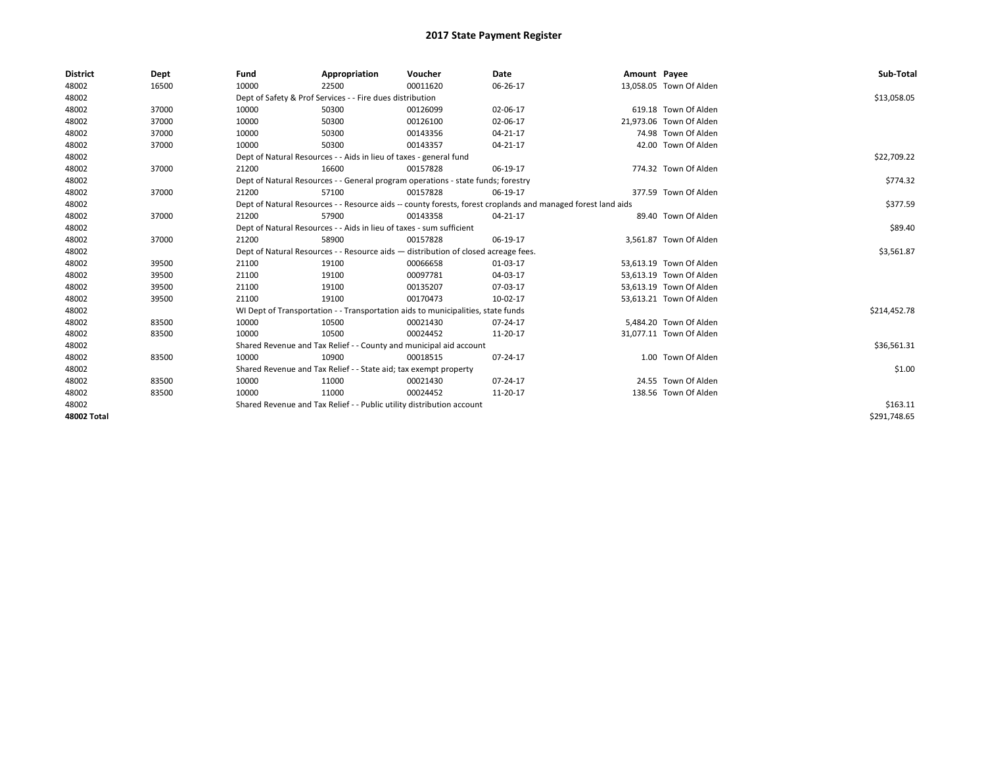| <b>District</b>    | Dept  | Fund                                                                                                         | Appropriation                                                                    | Voucher    | Date     | Amount Payee |                         | Sub-Total    |
|--------------------|-------|--------------------------------------------------------------------------------------------------------------|----------------------------------------------------------------------------------|------------|----------|--------------|-------------------------|--------------|
| 48002              | 16500 | 10000                                                                                                        | 22500                                                                            | 00011620   | 06-26-17 |              | 13,058.05 Town Of Alden |              |
| 48002              |       |                                                                                                              | Dept of Safety & Prof Services - - Fire dues distribution                        |            |          |              |                         | \$13,058.05  |
| 48002              | 37000 | 10000                                                                                                        | 50300                                                                            | 00126099   | 02-06-17 |              | 619.18 Town Of Alden    |              |
| 48002              | 37000 | 10000                                                                                                        | 50300                                                                            | 00126100   | 02-06-17 |              | 21,973.06 Town Of Alden |              |
| 48002              | 37000 | 10000                                                                                                        | 50300                                                                            | 00143356   | 04-21-17 |              | 74.98 Town Of Alden     |              |
| 48002              | 37000 | 10000                                                                                                        | 50300                                                                            | 00143357   | 04-21-17 |              | 42.00 Town Of Alden     |              |
| 48002              |       |                                                                                                              | Dept of Natural Resources - - Aids in lieu of taxes - general fund               |            |          |              |                         | \$22,709.22  |
| 48002              | 37000 | 21200                                                                                                        | 16600                                                                            | 00157828   | 06-19-17 |              | 774.32 Town Of Alden    |              |
| 48002              |       | Dept of Natural Resources - - General program operations - state funds; forestry                             |                                                                                  | \$774.32   |          |              |                         |              |
| 48002              | 37000 | 21200                                                                                                        | 57100                                                                            | 00157828   | 06-19-17 |              | 377.59 Town Of Alden    |              |
| 48002              |       | Dept of Natural Resources - - Resource aids -- county forests, forest croplands and managed forest land aids |                                                                                  | \$377.59   |          |              |                         |              |
| 48002              | 37000 | 21200                                                                                                        | 57900                                                                            | 00143358   | 04-21-17 |              | 89.40 Town Of Alden     |              |
| 48002              |       | Dept of Natural Resources - - Aids in lieu of taxes - sum sufficient                                         |                                                                                  | \$89.40    |          |              |                         |              |
| 48002              | 37000 | 21200                                                                                                        | 58900                                                                            | 00157828   | 06-19-17 |              | 3,561.87 Town Of Alden  |              |
| 48002              |       | Dept of Natural Resources - - Resource aids - distribution of closed acreage fees.                           |                                                                                  | \$3,561.87 |          |              |                         |              |
| 48002              | 39500 | 21100                                                                                                        | 19100                                                                            | 00066658   | 01-03-17 |              | 53,613.19 Town Of Alden |              |
| 48002              | 39500 | 21100                                                                                                        | 19100                                                                            | 00097781   | 04-03-17 |              | 53,613.19 Town Of Alden |              |
| 48002              | 39500 | 21100                                                                                                        | 19100                                                                            | 00135207   | 07-03-17 |              | 53.613.19 Town Of Alden |              |
| 48002              | 39500 | 21100                                                                                                        | 19100                                                                            | 00170473   | 10-02-17 |              | 53,613.21 Town Of Alden |              |
| 48002              |       |                                                                                                              | WI Dept of Transportation - - Transportation aids to municipalities, state funds |            |          |              |                         | \$214,452.78 |
| 48002              | 83500 | 10000                                                                                                        | 10500                                                                            | 00021430   | 07-24-17 |              | 5,484.20 Town Of Alden  |              |
| 48002              | 83500 | 10000                                                                                                        | 10500                                                                            | 00024452   | 11-20-17 |              | 31.077.11 Town Of Alden |              |
| 48002              |       |                                                                                                              | Shared Revenue and Tax Relief - - County and municipal aid account               |            |          |              |                         | \$36,561.31  |
| 48002              | 83500 | 10000                                                                                                        | 10900                                                                            | 00018515   | 07-24-17 |              | 1.00 Town Of Alden      |              |
| 48002              |       |                                                                                                              | Shared Revenue and Tax Relief - - State aid; tax exempt property                 |            |          |              |                         | \$1.00       |
| 48002              | 83500 | 10000                                                                                                        | 11000                                                                            | 00021430   | 07-24-17 |              | 24.55 Town Of Alden     |              |
| 48002              | 83500 | 10000                                                                                                        | 11000                                                                            | 00024452   | 11-20-17 |              | 138.56 Town Of Alden    |              |
| 48002              |       | Shared Revenue and Tax Relief - - Public utility distribution account                                        |                                                                                  | \$163.11   |          |              |                         |              |
| <b>48002 Total</b> |       |                                                                                                              |                                                                                  |            |          |              |                         | \$291.748.65 |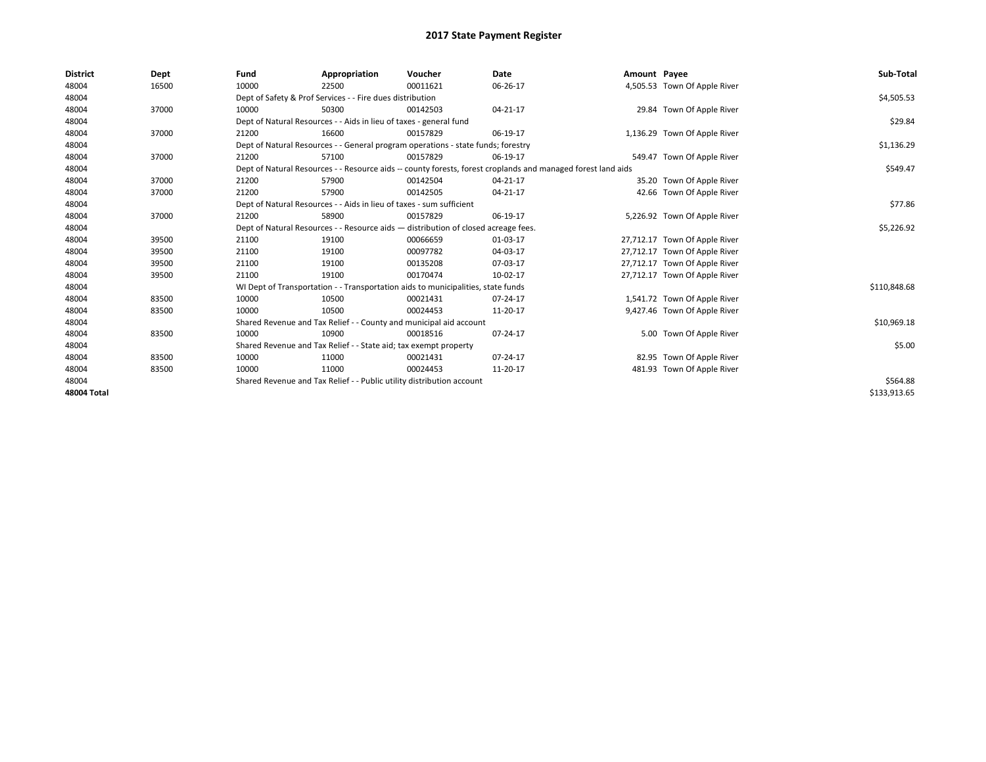| <b>District</b> | Dept  | Fund                                                                               | Appropriation                                                                    | Voucher    | Date                                                                                                         | Amount Payee |                               | Sub-Total    |
|-----------------|-------|------------------------------------------------------------------------------------|----------------------------------------------------------------------------------|------------|--------------------------------------------------------------------------------------------------------------|--------------|-------------------------------|--------------|
| 48004           | 16500 | 10000                                                                              | 22500                                                                            | 00011621   | 06-26-17                                                                                                     |              | 4,505.53 Town Of Apple River  |              |
| 48004           |       |                                                                                    | Dept of Safety & Prof Services - - Fire dues distribution                        |            |                                                                                                              |              |                               | \$4,505.53   |
| 48004           | 37000 | 10000                                                                              | 50300                                                                            | 00142503   | 04-21-17                                                                                                     |              | 29.84 Town Of Apple River     |              |
| 48004           |       |                                                                                    | Dept of Natural Resources - - Aids in lieu of taxes - general fund               |            |                                                                                                              |              |                               | \$29.84      |
| 48004           | 37000 | 21200                                                                              | 16600                                                                            | 00157829   | 06-19-17                                                                                                     |              | 1,136.29 Town Of Apple River  |              |
| 48004           |       |                                                                                    | Dept of Natural Resources - - General program operations - state funds; forestry |            |                                                                                                              |              |                               | \$1,136.29   |
| 48004           | 37000 | 21200                                                                              | 57100                                                                            | 00157829   | 06-19-17                                                                                                     |              | 549.47 Town Of Apple River    |              |
| 48004           |       |                                                                                    |                                                                                  |            | Dept of Natural Resources - - Resource aids -- county forests, forest croplands and managed forest land aids |              |                               | \$549.47     |
| 48004           | 37000 | 21200                                                                              | 57900                                                                            | 00142504   | 04-21-17                                                                                                     |              | 35.20 Town Of Apple River     |              |
| 48004           | 37000 | 21200                                                                              | 57900                                                                            | 00142505   | 04-21-17                                                                                                     |              | 42.66 Town Of Apple River     |              |
| 48004           |       | Dept of Natural Resources - - Aids in lieu of taxes - sum sufficient               |                                                                                  | \$77.86    |                                                                                                              |              |                               |              |
| 48004           | 37000 | 21200                                                                              | 58900                                                                            | 00157829   | 06-19-17                                                                                                     |              | 5,226.92 Town Of Apple River  |              |
| 48004           |       | Dept of Natural Resources - - Resource aids - distribution of closed acreage fees. |                                                                                  | \$5,226.92 |                                                                                                              |              |                               |              |
| 48004           | 39500 | 21100                                                                              | 19100                                                                            | 00066659   | 01-03-17                                                                                                     |              | 27,712.17 Town Of Apple River |              |
| 48004           | 39500 | 21100                                                                              | 19100                                                                            | 00097782   | 04-03-17                                                                                                     |              | 27,712.17 Town Of Apple River |              |
| 48004           | 39500 | 21100                                                                              | 19100                                                                            | 00135208   | 07-03-17                                                                                                     |              | 27,712.17 Town Of Apple River |              |
| 48004           | 39500 | 21100                                                                              | 19100                                                                            | 00170474   | 10-02-17                                                                                                     |              | 27,712.17 Town Of Apple River |              |
| 48004           |       |                                                                                    | WI Dept of Transportation - - Transportation aids to municipalities, state funds |            |                                                                                                              |              |                               | \$110,848.68 |
| 48004           | 83500 | 10000                                                                              | 10500                                                                            | 00021431   | 07-24-17                                                                                                     |              | 1,541.72 Town Of Apple River  |              |
| 48004           | 83500 | 10000                                                                              | 10500                                                                            | 00024453   | 11-20-17                                                                                                     |              | 9,427.46 Town Of Apple River  |              |
| 48004           |       |                                                                                    | Shared Revenue and Tax Relief - - County and municipal aid account               |            |                                                                                                              |              |                               | \$10,969.18  |
| 48004           | 83500 | 10000                                                                              | 10900                                                                            | 00018516   | 07-24-17                                                                                                     |              | 5.00 Town Of Apple River      |              |
| 48004           |       |                                                                                    | Shared Revenue and Tax Relief - - State aid; tax exempt property                 |            |                                                                                                              |              |                               | \$5.00       |
| 48004           | 83500 | 10000                                                                              | 11000                                                                            | 00021431   | 07-24-17                                                                                                     |              | 82.95 Town Of Apple River     |              |
| 48004           | 83500 | 10000                                                                              | 11000                                                                            | 00024453   | 11-20-17                                                                                                     |              | 481.93 Town Of Apple River    |              |
| 48004           |       | Shared Revenue and Tax Relief - - Public utility distribution account              |                                                                                  | \$564.88   |                                                                                                              |              |                               |              |
| 48004 Total     |       |                                                                                    |                                                                                  |            |                                                                                                              |              |                               | \$133,913.65 |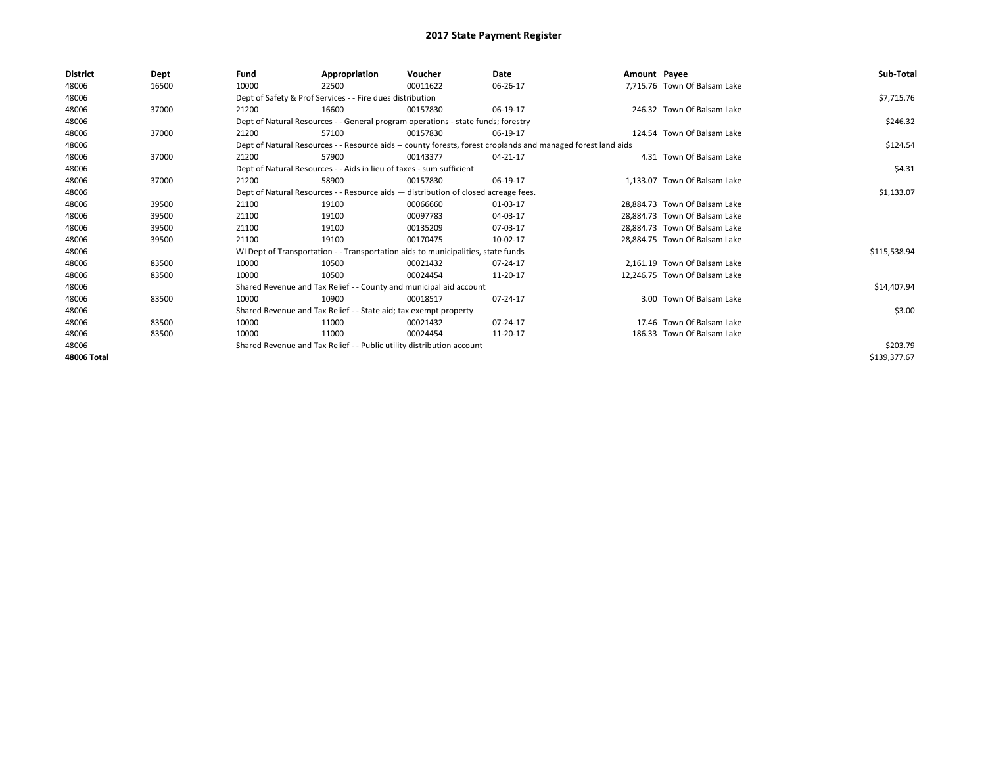| <b>District</b> | Dept  | Fund                                                                               | Appropriation                                                                    | Voucher    | Date                                                                                                         | Amount Payee |                               | Sub-Total    |
|-----------------|-------|------------------------------------------------------------------------------------|----------------------------------------------------------------------------------|------------|--------------------------------------------------------------------------------------------------------------|--------------|-------------------------------|--------------|
| 48006           | 16500 | 10000                                                                              | 22500                                                                            | 00011622   | 06-26-17                                                                                                     |              | 7,715.76 Town Of Balsam Lake  |              |
| 48006           |       |                                                                                    | Dept of Safety & Prof Services - - Fire dues distribution                        |            |                                                                                                              |              |                               | \$7,715.76   |
| 48006           | 37000 | 21200                                                                              | 16600                                                                            | 00157830   | 06-19-17                                                                                                     |              | 246.32 Town Of Balsam Lake    |              |
| 48006           |       |                                                                                    | Dept of Natural Resources - - General program operations - state funds; forestry |            |                                                                                                              |              |                               | \$246.32     |
| 48006           | 37000 | 21200                                                                              | 57100                                                                            | 00157830   | 06-19-17                                                                                                     |              | 124.54 Town Of Balsam Lake    |              |
| 48006           |       |                                                                                    |                                                                                  |            | Dept of Natural Resources - - Resource aids -- county forests, forest croplands and managed forest land aids |              |                               | \$124.54     |
| 48006           | 37000 | 21200                                                                              | 57900                                                                            | 00143377   | 04-21-17                                                                                                     |              | 4.31 Town Of Balsam Lake      |              |
| 48006           |       |                                                                                    | Dept of Natural Resources - - Aids in lieu of taxes - sum sufficient             |            |                                                                                                              |              |                               | \$4.31       |
| 48006           | 37000 | 21200                                                                              | 58900                                                                            | 00157830   | 06-19-17                                                                                                     |              | 1.133.07 Town Of Balsam Lake  |              |
| 48006           |       | Dept of Natural Resources - - Resource aids - distribution of closed acreage fees. |                                                                                  | \$1,133.07 |                                                                                                              |              |                               |              |
| 48006           | 39500 | 21100                                                                              | 19100                                                                            | 00066660   | 01-03-17                                                                                                     |              | 28,884.73 Town Of Balsam Lake |              |
| 48006           | 39500 | 21100                                                                              | 19100                                                                            | 00097783   | 04-03-17                                                                                                     |              | 28.884.73 Town Of Balsam Lake |              |
| 48006           | 39500 | 21100                                                                              | 19100                                                                            | 00135209   | 07-03-17                                                                                                     |              | 28.884.73 Town Of Balsam Lake |              |
| 48006           | 39500 | 21100                                                                              | 19100                                                                            | 00170475   | 10-02-17                                                                                                     |              | 28,884.75 Town Of Balsam Lake |              |
| 48006           |       |                                                                                    | WI Dept of Transportation - - Transportation aids to municipalities, state funds |            |                                                                                                              |              |                               | \$115,538.94 |
| 48006           | 83500 | 10000                                                                              | 10500                                                                            | 00021432   | 07-24-17                                                                                                     |              | 2.161.19 Town Of Balsam Lake  |              |
| 48006           | 83500 | 10000                                                                              | 10500                                                                            | 00024454   | 11-20-17                                                                                                     |              | 12,246.75 Town Of Balsam Lake |              |
| 48006           |       |                                                                                    | Shared Revenue and Tax Relief - - County and municipal aid account               |            |                                                                                                              |              |                               | \$14,407.94  |
| 48006           | 83500 | 10000                                                                              | 10900                                                                            | 00018517   | 07-24-17                                                                                                     |              | 3.00 Town Of Balsam Lake      |              |
| 48006           |       |                                                                                    | Shared Revenue and Tax Relief - - State aid; tax exempt property                 |            |                                                                                                              |              |                               | \$3.00       |
| 48006           | 83500 | 10000                                                                              | 11000                                                                            | 00021432   | 07-24-17                                                                                                     |              | 17.46 Town Of Balsam Lake     |              |
| 48006           | 83500 | 10000                                                                              | 11000                                                                            | 00024454   | 11-20-17                                                                                                     |              | 186.33 Town Of Balsam Lake    |              |
| 48006           |       | Shared Revenue and Tax Relief - - Public utility distribution account              |                                                                                  |            |                                                                                                              |              |                               | \$203.79     |
| 48006 Total     |       |                                                                                    |                                                                                  |            |                                                                                                              |              |                               | \$139,377.67 |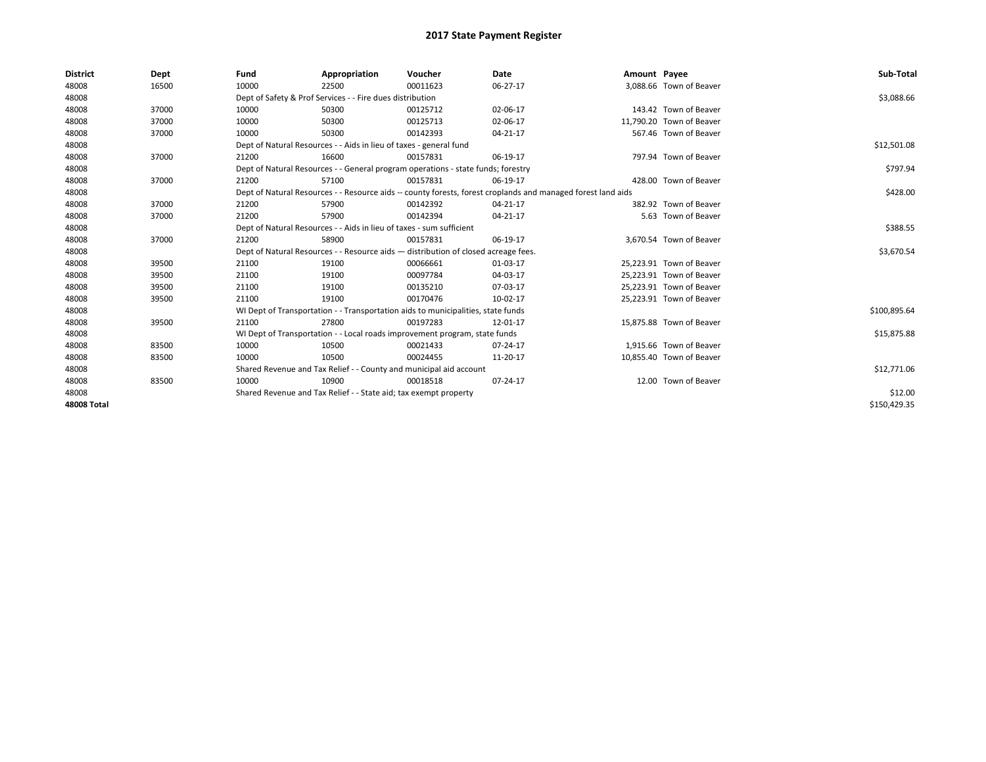| <b>District</b>    | Dept  | Fund  | Appropriation                                                                                                | Voucher  | Date           | Amount Payee |                          | Sub-Total    |
|--------------------|-------|-------|--------------------------------------------------------------------------------------------------------------|----------|----------------|--------------|--------------------------|--------------|
| 48008              | 16500 | 10000 | 22500                                                                                                        | 00011623 | 06-27-17       |              | 3,088.66 Town of Beaver  |              |
| 48008              |       |       | Dept of Safety & Prof Services - - Fire dues distribution                                                    |          |                |              |                          | \$3,088.66   |
| 48008              | 37000 | 10000 | 50300                                                                                                        | 00125712 | 02-06-17       |              | 143.42 Town of Beaver    |              |
| 48008              | 37000 | 10000 | 50300                                                                                                        | 00125713 | 02-06-17       |              | 11,790.20 Town of Beaver |              |
| 48008              | 37000 | 10000 | 50300                                                                                                        | 00142393 | 04-21-17       |              | 567.46 Town of Beaver    |              |
| 48008              |       |       | Dept of Natural Resources - - Aids in lieu of taxes - general fund                                           |          |                |              |                          | \$12,501.08  |
| 48008              | 37000 | 21200 | 16600                                                                                                        | 00157831 | 06-19-17       |              | 797.94 Town of Beaver    |              |
| 48008              |       |       | Dept of Natural Resources - - General program operations - state funds; forestry                             |          |                |              |                          | \$797.94     |
| 48008              | 37000 | 21200 | 57100                                                                                                        | 00157831 | 06-19-17       |              | 428.00 Town of Beaver    |              |
| 48008              |       |       | Dept of Natural Resources - - Resource aids -- county forests, forest croplands and managed forest land aids |          | \$428.00       |              |                          |              |
| 48008              | 37000 | 21200 | 57900                                                                                                        | 00142392 | $04 - 21 - 17$ |              | 382.92 Town of Beaver    |              |
| 48008              | 37000 | 21200 | 57900                                                                                                        | 00142394 | 04-21-17       |              | 5.63 Town of Beaver      |              |
| 48008              |       |       | Dept of Natural Resources - - Aids in lieu of taxes - sum sufficient                                         |          | \$388.55       |              |                          |              |
| 48008              | 37000 | 21200 | 58900                                                                                                        | 00157831 | 06-19-17       |              | 3.670.54 Town of Beaver  |              |
| 48008              |       |       | Dept of Natural Resources - - Resource aids - distribution of closed acreage fees.                           |          |                |              |                          | \$3,670.54   |
| 48008              | 39500 | 21100 | 19100                                                                                                        | 00066661 | 01-03-17       |              | 25,223.91 Town of Beaver |              |
| 48008              | 39500 | 21100 | 19100                                                                                                        | 00097784 | 04-03-17       |              | 25,223.91 Town of Beaver |              |
| 48008              | 39500 | 21100 | 19100                                                                                                        | 00135210 | 07-03-17       |              | 25,223.91 Town of Beaver |              |
| 48008              | 39500 | 21100 | 19100                                                                                                        | 00170476 | 10-02-17       |              | 25,223.91 Town of Beaver |              |
| 48008              |       |       | WI Dept of Transportation - - Transportation aids to municipalities, state funds                             |          |                |              |                          | \$100,895.64 |
| 48008              | 39500 | 21100 | 27800                                                                                                        | 00197283 | 12-01-17       |              | 15,875.88 Town of Beaver |              |
| 48008              |       |       | WI Dept of Transportation - - Local roads improvement program, state funds                                   |          |                |              |                          | \$15,875.88  |
| 48008              | 83500 | 10000 | 10500                                                                                                        | 00021433 | 07-24-17       |              | 1.915.66 Town of Beaver  |              |
| 48008              | 83500 | 10000 | 10500                                                                                                        | 00024455 | 11-20-17       |              | 10,855.40 Town of Beaver |              |
| 48008              |       |       | Shared Revenue and Tax Relief - - County and municipal aid account                                           |          |                |              |                          | \$12,771.06  |
| 48008              | 83500 | 10000 | 10900                                                                                                        | 00018518 | 07-24-17       |              | 12.00 Town of Beaver     |              |
| 48008              |       |       | Shared Revenue and Tax Relief - - State aid; tax exempt property                                             |          |                |              |                          | \$12.00      |
| <b>48008 Total</b> |       |       |                                                                                                              |          |                |              |                          | \$150,429.35 |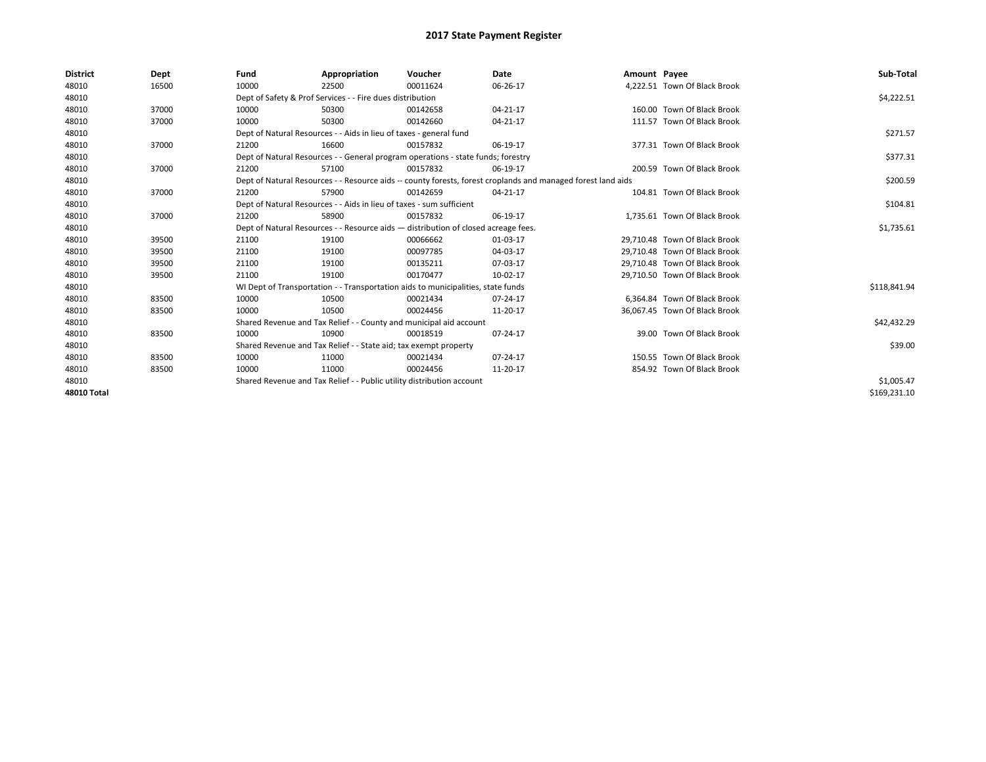| <b>District</b>    | Dept  | Fund  | Appropriation                                                                                                | Voucher  | Date           | Amount Payee |                               | Sub-Total    |  |  |
|--------------------|-------|-------|--------------------------------------------------------------------------------------------------------------|----------|----------------|--------------|-------------------------------|--------------|--|--|
| 48010              | 16500 | 10000 | 22500                                                                                                        | 00011624 | 06-26-17       |              | 4,222.51 Town Of Black Brook  |              |  |  |
| 48010              |       |       | Dept of Safety & Prof Services - - Fire dues distribution                                                    |          |                |              |                               | \$4,222.51   |  |  |
| 48010              | 37000 | 10000 | 50300                                                                                                        | 00142658 | $04 - 21 - 17$ |              | 160.00 Town Of Black Brook    |              |  |  |
| 48010              | 37000 | 10000 | 50300                                                                                                        | 00142660 | 04-21-17       |              | 111.57 Town Of Black Brook    |              |  |  |
| 48010              |       |       | Dept of Natural Resources - - Aids in lieu of taxes - general fund                                           |          |                |              |                               | \$271.57     |  |  |
| 48010              | 37000 | 21200 | 16600                                                                                                        | 00157832 | 06-19-17       |              | 377.31 Town Of Black Brook    |              |  |  |
| 48010              |       |       | Dept of Natural Resources - - General program operations - state funds; forestry                             |          |                |              |                               | \$377.31     |  |  |
| 48010              | 37000 | 21200 | 57100                                                                                                        | 00157832 | 06-19-17       |              | 200.59 Town Of Black Brook    |              |  |  |
| 48010              |       |       | Dept of Natural Resources - - Resource aids -- county forests, forest croplands and managed forest land aids |          | \$200.59       |              |                               |              |  |  |
| 48010              | 37000 | 21200 | 57900                                                                                                        | 00142659 | 04-21-17       |              | 104.81 Town Of Black Brook    |              |  |  |
| 48010              |       |       | Dept of Natural Resources - - Aids in lieu of taxes - sum sufficient                                         |          |                |              |                               |              |  |  |
| 48010              | 37000 | 21200 | 58900                                                                                                        | 00157832 | 06-19-17       |              | 1,735.61 Town Of Black Brook  |              |  |  |
| 48010              |       |       | Dept of Natural Resources - - Resource aids - distribution of closed acreage fees.                           |          |                |              |                               |              |  |  |
| 48010              | 39500 | 21100 | 19100                                                                                                        | 00066662 | 01-03-17       |              | 29,710.48 Town Of Black Brook |              |  |  |
| 48010              | 39500 | 21100 | 19100                                                                                                        | 00097785 | 04-03-17       |              | 29,710.48 Town Of Black Brook |              |  |  |
| 48010              | 39500 | 21100 | 19100                                                                                                        | 00135211 | 07-03-17       |              | 29.710.48 Town Of Black Brook |              |  |  |
| 48010              | 39500 | 21100 | 19100                                                                                                        | 00170477 | 10-02-17       |              | 29,710.50 Town Of Black Brook |              |  |  |
| 48010              |       |       | WI Dept of Transportation - - Transportation aids to municipalities, state funds                             |          |                |              |                               | \$118,841.94 |  |  |
| 48010              | 83500 | 10000 | 10500                                                                                                        | 00021434 | 07-24-17       |              | 6,364.84 Town Of Black Brook  |              |  |  |
| 48010              | 83500 | 10000 | 10500                                                                                                        | 00024456 | 11-20-17       |              | 36,067.45 Town Of Black Brook |              |  |  |
| 48010              |       |       | Shared Revenue and Tax Relief - - County and municipal aid account                                           |          |                |              |                               | \$42,432.29  |  |  |
| 48010              | 83500 | 10000 | 10900                                                                                                        | 00018519 | 07-24-17       |              | 39.00 Town Of Black Brook     |              |  |  |
| 48010              |       |       | Shared Revenue and Tax Relief - - State aid; tax exempt property                                             |          |                |              |                               | \$39.00      |  |  |
| 48010              | 83500 | 10000 | 11000                                                                                                        | 00021434 | 07-24-17       |              | 150.55 Town Of Black Brook    |              |  |  |
| 48010              | 83500 | 10000 | 11000                                                                                                        | 00024456 | 11-20-17       |              | 854.92 Town Of Black Brook    |              |  |  |
| 48010              |       |       | Shared Revenue and Tax Relief - - Public utility distribution account                                        |          |                |              |                               | \$1,005.47   |  |  |
| <b>48010 Total</b> |       |       |                                                                                                              |          |                |              |                               | \$169,231.10 |  |  |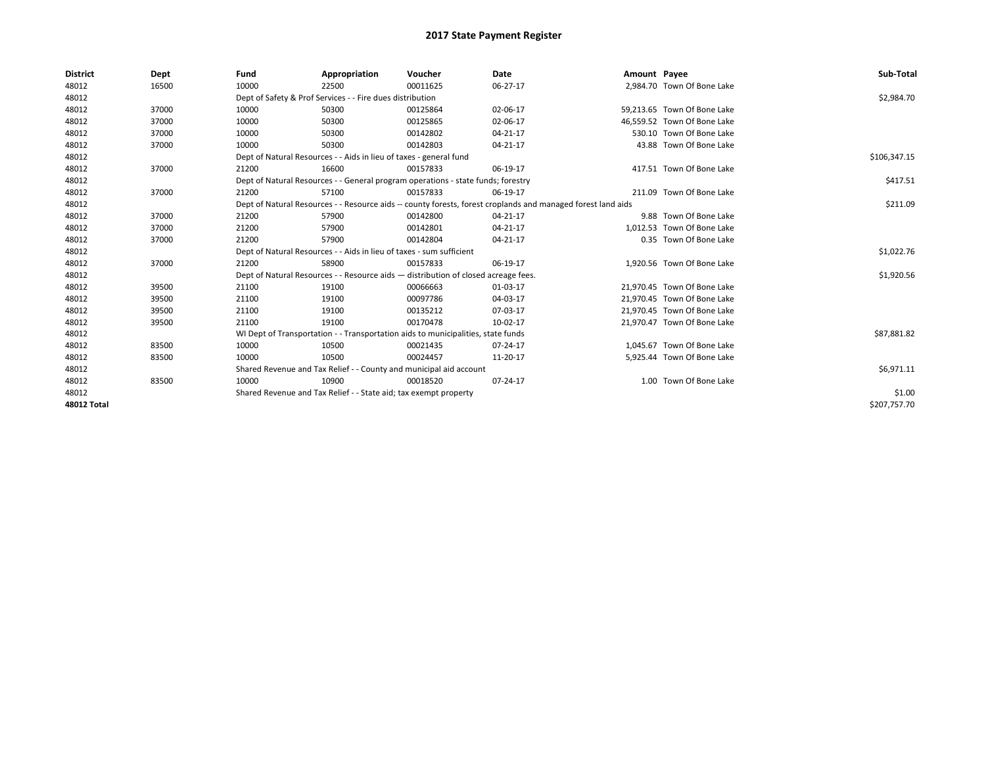| <b>District</b>    | Dept  | Fund  | Appropriation                                                                                                | Voucher  | <b>Date</b> | Amount Payee |                             | Sub-Total    |  |  |
|--------------------|-------|-------|--------------------------------------------------------------------------------------------------------------|----------|-------------|--------------|-----------------------------|--------------|--|--|
| 48012              | 16500 | 10000 | 22500                                                                                                        | 00011625 | 06-27-17    |              | 2,984.70 Town Of Bone Lake  |              |  |  |
| 48012              |       |       | Dept of Safety & Prof Services - - Fire dues distribution                                                    |          |             |              |                             | \$2,984.70   |  |  |
| 48012              | 37000 | 10000 | 50300                                                                                                        | 00125864 | 02-06-17    |              | 59,213.65 Town Of Bone Lake |              |  |  |
| 48012              | 37000 | 10000 | 50300                                                                                                        | 00125865 | 02-06-17    |              | 46.559.52 Town Of Bone Lake |              |  |  |
| 48012              | 37000 | 10000 | 50300                                                                                                        | 00142802 | 04-21-17    |              | 530.10 Town Of Bone Lake    |              |  |  |
| 48012              | 37000 | 10000 | 50300                                                                                                        | 00142803 | 04-21-17    |              | 43.88 Town Of Bone Lake     |              |  |  |
| 48012              |       |       | Dept of Natural Resources - - Aids in lieu of taxes - general fund                                           |          |             |              |                             | \$106,347.15 |  |  |
| 48012              | 37000 | 21200 | 16600                                                                                                        | 00157833 | 06-19-17    |              | 417.51 Town Of Bone Lake    |              |  |  |
| 48012              |       |       | Dept of Natural Resources - - General program operations - state funds; forestry                             |          |             |              |                             | \$417.51     |  |  |
| 48012              | 37000 | 21200 | 57100                                                                                                        | 00157833 | 06-19-17    |              | 211.09 Town Of Bone Lake    |              |  |  |
| 48012              |       |       | Dept of Natural Resources - - Resource aids -- county forests, forest croplands and managed forest land aids |          |             |              |                             |              |  |  |
| 48012              | 37000 | 21200 | 57900                                                                                                        | 00142800 | 04-21-17    |              | 9.88 Town Of Bone Lake      |              |  |  |
| 48012              | 37000 | 21200 | 57900                                                                                                        | 00142801 | 04-21-17    |              | 1.012.53 Town Of Bone Lake  |              |  |  |
| 48012              | 37000 | 21200 | 57900                                                                                                        | 00142804 | 04-21-17    |              | 0.35 Town Of Bone Lake      |              |  |  |
| 48012              |       |       | Dept of Natural Resources - - Aids in lieu of taxes - sum sufficient                                         |          |             |              |                             | \$1,022.76   |  |  |
| 48012              | 37000 | 21200 | 58900                                                                                                        | 00157833 | 06-19-17    |              | 1,920.56 Town Of Bone Lake  |              |  |  |
| 48012              |       |       | Dept of Natural Resources - - Resource aids - distribution of closed acreage fees.                           |          |             |              |                             | \$1,920.56   |  |  |
| 48012              | 39500 | 21100 | 19100                                                                                                        | 00066663 | 01-03-17    |              | 21,970.45 Town Of Bone Lake |              |  |  |
| 48012              | 39500 | 21100 | 19100                                                                                                        | 00097786 | 04-03-17    |              | 21,970.45 Town Of Bone Lake |              |  |  |
| 48012              | 39500 | 21100 | 19100                                                                                                        | 00135212 | 07-03-17    |              | 21.970.45 Town Of Bone Lake |              |  |  |
| 48012              | 39500 | 21100 | 19100                                                                                                        | 00170478 | 10-02-17    |              | 21,970.47 Town Of Bone Lake |              |  |  |
| 48012              |       |       | WI Dept of Transportation - - Transportation aids to municipalities, state funds                             |          |             |              |                             | \$87,881.82  |  |  |
| 48012              | 83500 | 10000 | 10500                                                                                                        | 00021435 | 07-24-17    |              | 1,045.67 Town Of Bone Lake  |              |  |  |
| 48012              | 83500 | 10000 | 10500                                                                                                        | 00024457 | 11-20-17    |              | 5,925.44 Town Of Bone Lake  |              |  |  |
| 48012              |       |       | Shared Revenue and Tax Relief - - County and municipal aid account                                           |          |             |              |                             | \$6,971.11   |  |  |
| 48012              | 83500 | 10000 | 10900                                                                                                        | 00018520 | 07-24-17    |              | 1.00 Town Of Bone Lake      |              |  |  |
| 48012              |       |       | Shared Revenue and Tax Relief - - State aid; tax exempt property                                             |          |             |              |                             | \$1.00       |  |  |
| <b>48012 Total</b> |       |       |                                                                                                              |          |             |              |                             | \$207.757.70 |  |  |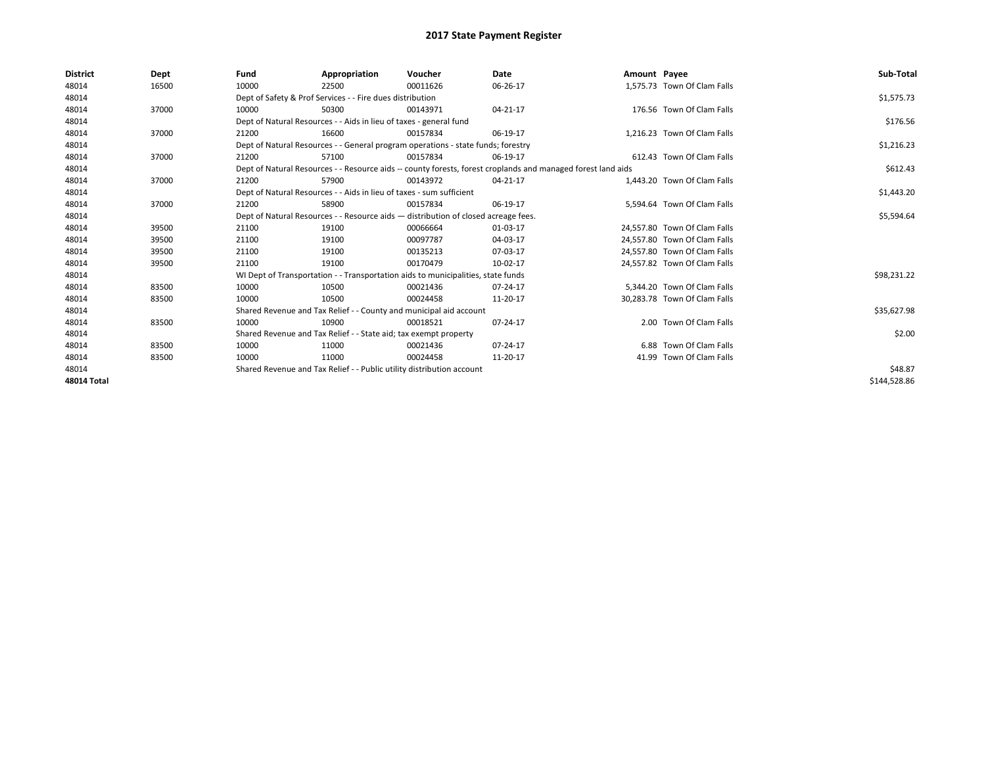| <b>District</b> | Dept  | Fund  | Appropriation                                                                      | Voucher  | Date                                                                                                         | Amount Payee |                              | Sub-Total    |  |  |
|-----------------|-------|-------|------------------------------------------------------------------------------------|----------|--------------------------------------------------------------------------------------------------------------|--------------|------------------------------|--------------|--|--|
| 48014           | 16500 | 10000 | 22500                                                                              | 00011626 | 06-26-17                                                                                                     |              | 1,575.73 Town Of Clam Falls  |              |  |  |
| 48014           |       |       | Dept of Safety & Prof Services - - Fire dues distribution                          |          |                                                                                                              |              |                              | \$1,575.73   |  |  |
| 48014           | 37000 | 10000 | 50300                                                                              | 00143971 | 04-21-17                                                                                                     |              | 176.56 Town Of Clam Falls    |              |  |  |
| 48014           |       |       | Dept of Natural Resources - - Aids in lieu of taxes - general fund                 |          |                                                                                                              |              |                              | \$176.56     |  |  |
| 48014           | 37000 | 21200 | 16600                                                                              | 00157834 | 06-19-17                                                                                                     |              | 1,216.23 Town Of Clam Falls  |              |  |  |
| 48014           |       |       | Dept of Natural Resources - - General program operations - state funds; forestry   |          |                                                                                                              |              |                              | \$1,216.23   |  |  |
| 48014           | 37000 | 21200 | 57100                                                                              | 00157834 | 06-19-17                                                                                                     |              | 612.43 Town Of Clam Falls    |              |  |  |
| 48014           |       |       |                                                                                    |          | Dept of Natural Resources - - Resource aids -- county forests, forest croplands and managed forest land aids |              |                              | \$612.43     |  |  |
| 48014           | 37000 | 21200 | 57900                                                                              | 00143972 | 04-21-17                                                                                                     |              | 1,443.20 Town Of Clam Falls  |              |  |  |
| 48014           |       |       | Dept of Natural Resources - - Aids in lieu of taxes - sum sufficient               |          |                                                                                                              |              |                              |              |  |  |
| 48014           | 37000 | 21200 | 58900                                                                              | 00157834 | 06-19-17                                                                                                     |              | 5.594.64 Town Of Clam Falls  |              |  |  |
| 48014           |       |       | Dept of Natural Resources - - Resource aids - distribution of closed acreage fees. |          | \$5,594.64                                                                                                   |              |                              |              |  |  |
| 48014           | 39500 | 21100 | 19100                                                                              | 00066664 | 01-03-17                                                                                                     |              | 24.557.80 Town Of Clam Falls |              |  |  |
| 48014           | 39500 | 21100 | 19100                                                                              | 00097787 | 04-03-17                                                                                                     |              | 24.557.80 Town Of Clam Falls |              |  |  |
| 48014           | 39500 | 21100 | 19100                                                                              | 00135213 | 07-03-17                                                                                                     |              | 24,557.80 Town Of Clam Falls |              |  |  |
| 48014           | 39500 | 21100 | 19100                                                                              | 00170479 | 10-02-17                                                                                                     |              | 24,557.82 Town Of Clam Falls |              |  |  |
| 48014           |       |       | WI Dept of Transportation - - Transportation aids to municipalities, state funds   |          |                                                                                                              |              |                              | \$98,231.22  |  |  |
| 48014           | 83500 | 10000 | 10500                                                                              | 00021436 | 07-24-17                                                                                                     |              | 5.344.20 Town Of Clam Falls  |              |  |  |
| 48014           | 83500 | 10000 | 10500                                                                              | 00024458 | 11-20-17                                                                                                     |              | 30,283.78 Town Of Clam Falls |              |  |  |
| 48014           |       |       | Shared Revenue and Tax Relief - - County and municipal aid account                 |          |                                                                                                              |              |                              | \$35,627.98  |  |  |
| 48014           | 83500 | 10000 | 10900                                                                              | 00018521 | 07-24-17                                                                                                     |              | 2.00 Town Of Clam Falls      |              |  |  |
| 48014           |       |       | Shared Revenue and Tax Relief - - State aid; tax exempt property                   |          |                                                                                                              |              |                              | \$2.00       |  |  |
| 48014           | 83500 | 10000 | 11000                                                                              | 00021436 | 07-24-17                                                                                                     |              | 6.88 Town Of Clam Falls      |              |  |  |
| 48014           | 83500 | 10000 | 11000                                                                              | 00024458 | 11-20-17                                                                                                     |              | 41.99 Town Of Clam Falls     |              |  |  |
| 48014           |       |       | Shared Revenue and Tax Relief - - Public utility distribution account              |          |                                                                                                              |              |                              |              |  |  |
| 48014 Total     |       |       |                                                                                    |          |                                                                                                              |              |                              | \$144,528.86 |  |  |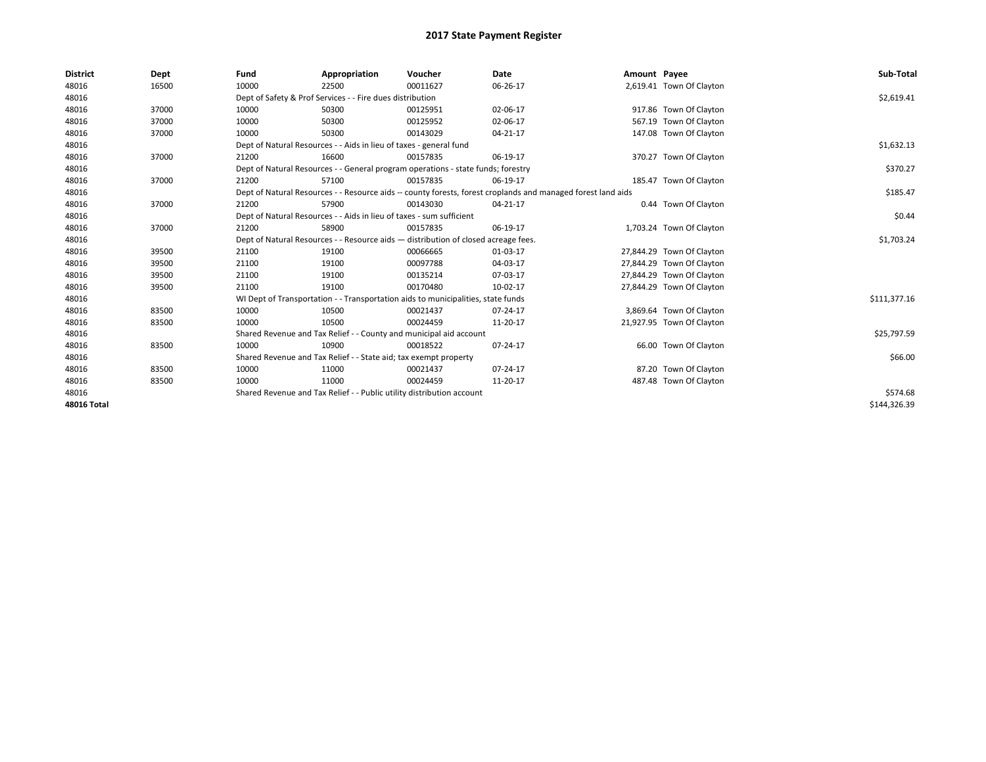| <b>District</b>    | Dept  | Fund                                                                               | Appropriation                                                                                                | Voucher    | Date     | Amount Payee |                           | Sub-Total    |  |  |  |
|--------------------|-------|------------------------------------------------------------------------------------|--------------------------------------------------------------------------------------------------------------|------------|----------|--------------|---------------------------|--------------|--|--|--|
| 48016              | 16500 | 10000                                                                              | 22500                                                                                                        | 00011627   | 06-26-17 |              | 2,619.41 Town Of Clayton  |              |  |  |  |
| 48016              |       |                                                                                    | Dept of Safety & Prof Services - - Fire dues distribution                                                    |            |          |              |                           | \$2,619.41   |  |  |  |
| 48016              | 37000 | 10000                                                                              | 50300                                                                                                        | 00125951   | 02-06-17 |              | 917.86 Town Of Clayton    |              |  |  |  |
| 48016              | 37000 | 10000                                                                              | 50300                                                                                                        | 00125952   | 02-06-17 |              | 567.19 Town Of Clayton    |              |  |  |  |
| 48016              | 37000 | 10000                                                                              | 50300                                                                                                        | 00143029   | 04-21-17 |              | 147.08 Town Of Clayton    |              |  |  |  |
| 48016              |       |                                                                                    | Dept of Natural Resources - - Aids in lieu of taxes - general fund                                           |            |          |              |                           | \$1,632.13   |  |  |  |
| 48016              | 37000 | 21200                                                                              | 16600                                                                                                        | 00157835   | 06-19-17 |              | 370.27 Town Of Clayton    |              |  |  |  |
| 48016              |       |                                                                                    | Dept of Natural Resources - - General program operations - state funds; forestry                             |            |          |              |                           | \$370.27     |  |  |  |
| 48016              | 37000 | 21200                                                                              | 57100                                                                                                        | 00157835   | 06-19-17 |              | 185.47 Town Of Clayton    |              |  |  |  |
| 48016              |       |                                                                                    | Dept of Natural Resources - - Resource aids -- county forests, forest croplands and managed forest land aids |            |          |              |                           |              |  |  |  |
| 48016              | 37000 | 21200                                                                              | 57900                                                                                                        | 00143030   | 04-21-17 |              | 0.44 Town Of Clayton      |              |  |  |  |
| 48016              |       |                                                                                    | Dept of Natural Resources - - Aids in lieu of taxes - sum sufficient                                         |            |          |              |                           |              |  |  |  |
| 48016              | 37000 | 21200                                                                              | 58900                                                                                                        | 00157835   | 06-19-17 |              | 1,703.24 Town Of Clayton  |              |  |  |  |
| 48016              |       | Dept of Natural Resources - - Resource aids - distribution of closed acreage fees. |                                                                                                              | \$1,703.24 |          |              |                           |              |  |  |  |
| 48016              | 39500 | 21100                                                                              | 19100                                                                                                        | 00066665   | 01-03-17 |              | 27,844.29 Town Of Clayton |              |  |  |  |
| 48016              | 39500 | 21100                                                                              | 19100                                                                                                        | 00097788   | 04-03-17 |              | 27,844.29 Town Of Clayton |              |  |  |  |
| 48016              | 39500 | 21100                                                                              | 19100                                                                                                        | 00135214   | 07-03-17 |              | 27,844.29 Town Of Clayton |              |  |  |  |
| 48016              | 39500 | 21100                                                                              | 19100                                                                                                        | 00170480   | 10-02-17 |              | 27,844.29 Town Of Clayton |              |  |  |  |
| 48016              |       |                                                                                    | WI Dept of Transportation - - Transportation aids to municipalities, state funds                             |            |          |              |                           | \$111,377.16 |  |  |  |
| 48016              | 83500 | 10000                                                                              | 10500                                                                                                        | 00021437   | 07-24-17 |              | 3,869.64 Town Of Clayton  |              |  |  |  |
| 48016              | 83500 | 10000                                                                              | 10500                                                                                                        | 00024459   | 11-20-17 |              | 21,927.95 Town Of Clayton |              |  |  |  |
| 48016              |       |                                                                                    | Shared Revenue and Tax Relief - - County and municipal aid account                                           |            |          |              |                           | \$25,797.59  |  |  |  |
| 48016              | 83500 | 10000                                                                              | 10900                                                                                                        | 00018522   | 07-24-17 |              | 66.00 Town Of Clayton     |              |  |  |  |
| 48016              |       |                                                                                    | Shared Revenue and Tax Relief - - State aid; tax exempt property                                             |            |          |              |                           | \$66.00      |  |  |  |
| 48016              | 83500 | 10000                                                                              | 11000                                                                                                        | 00021437   | 07-24-17 |              | 87.20 Town Of Clayton     |              |  |  |  |
| 48016              | 83500 | 10000                                                                              | 11000                                                                                                        | 00024459   | 11-20-17 |              | 487.48 Town Of Clayton    |              |  |  |  |
| 48016              |       |                                                                                    | Shared Revenue and Tax Relief - - Public utility distribution account                                        |            |          |              |                           | \$574.68     |  |  |  |
| <b>48016 Total</b> |       |                                                                                    |                                                                                                              |            |          |              |                           | \$144,326.39 |  |  |  |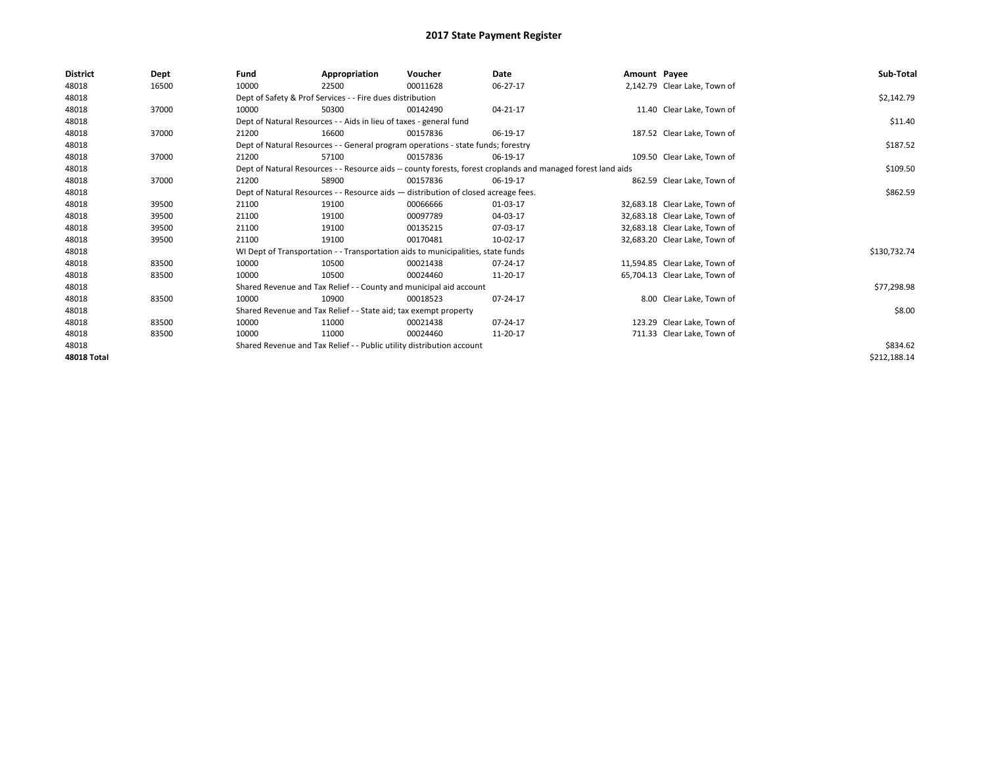| <b>District</b>    | Dept  | Fund                                                                  | Appropriation                                                                                                | Voucher  | Date           | Amount Payee |                               | Sub-Total    |
|--------------------|-------|-----------------------------------------------------------------------|--------------------------------------------------------------------------------------------------------------|----------|----------------|--------------|-------------------------------|--------------|
| 48018              | 16500 | 10000                                                                 | 22500                                                                                                        | 00011628 | 06-27-17       |              | 2,142.79 Clear Lake, Town of  |              |
| 48018              |       |                                                                       | Dept of Safety & Prof Services - - Fire dues distribution                                                    |          |                |              |                               | \$2,142.79   |
| 48018              | 37000 | 10000                                                                 | 50300                                                                                                        | 00142490 | 04-21-17       |              | 11.40 Clear Lake, Town of     |              |
| 48018              |       |                                                                       | Dept of Natural Resources - - Aids in lieu of taxes - general fund                                           |          |                |              |                               | \$11.40      |
| 48018              | 37000 | 21200                                                                 | 16600                                                                                                        | 00157836 | 06-19-17       |              | 187.52 Clear Lake, Town of    |              |
| 48018              |       |                                                                       | Dept of Natural Resources - - General program operations - state funds; forestry                             |          |                |              |                               | \$187.52     |
| 48018              | 37000 | 21200                                                                 | 57100                                                                                                        | 00157836 | 06-19-17       |              | 109.50 Clear Lake, Town of    |              |
| 48018              |       |                                                                       | Dept of Natural Resources - - Resource aids -- county forests, forest croplands and managed forest land aids |          | \$109.50       |              |                               |              |
| 48018              | 37000 | 21200                                                                 | 58900                                                                                                        | 00157836 | 06-19-17       |              | 862.59 Clear Lake, Town of    |              |
| 48018              |       |                                                                       | Dept of Natural Resources - - Resource aids - distribution of closed acreage fees.                           |          |                |              |                               | \$862.59     |
| 48018              | 39500 | 21100                                                                 | 19100                                                                                                        | 00066666 | 01-03-17       |              | 32,683.18 Clear Lake, Town of |              |
| 48018              | 39500 | 21100                                                                 | 19100                                                                                                        | 00097789 | 04-03-17       |              | 32,683.18 Clear Lake, Town of |              |
| 48018              | 39500 | 21100                                                                 | 19100                                                                                                        | 00135215 | 07-03-17       |              | 32,683.18 Clear Lake, Town of |              |
| 48018              | 39500 | 21100                                                                 | 19100                                                                                                        | 00170481 | 10-02-17       |              | 32.683.20 Clear Lake. Town of |              |
| 48018              |       |                                                                       | WI Dept of Transportation - - Transportation aids to municipalities, state funds                             |          |                |              |                               | \$130,732.74 |
| 48018              | 83500 | 10000                                                                 | 10500                                                                                                        | 00021438 | 07-24-17       |              | 11,594.85 Clear Lake, Town of |              |
| 48018              | 83500 | 10000                                                                 | 10500                                                                                                        | 00024460 | 11-20-17       |              | 65,704.13 Clear Lake, Town of |              |
| 48018              |       |                                                                       | Shared Revenue and Tax Relief - - County and municipal aid account                                           |          |                |              |                               | \$77,298.98  |
| 48018              | 83500 | 10000                                                                 | 10900                                                                                                        | 00018523 | 07-24-17       |              | 8.00 Clear Lake, Town of      |              |
| 48018              |       |                                                                       | Shared Revenue and Tax Relief - - State aid; tax exempt property                                             |          |                |              |                               | \$8.00       |
| 48018              | 83500 | 10000                                                                 | 11000                                                                                                        | 00021438 | $07 - 24 - 17$ |              | 123.29 Clear Lake. Town of    |              |
| 48018              | 83500 | 10000                                                                 | 11000                                                                                                        | 00024460 | 11-20-17       |              | 711.33 Clear Lake, Town of    |              |
| 48018              |       | Shared Revenue and Tax Relief - - Public utility distribution account |                                                                                                              | \$834.62 |                |              |                               |              |
| <b>48018 Total</b> |       |                                                                       |                                                                                                              |          |                |              |                               | \$212,188.14 |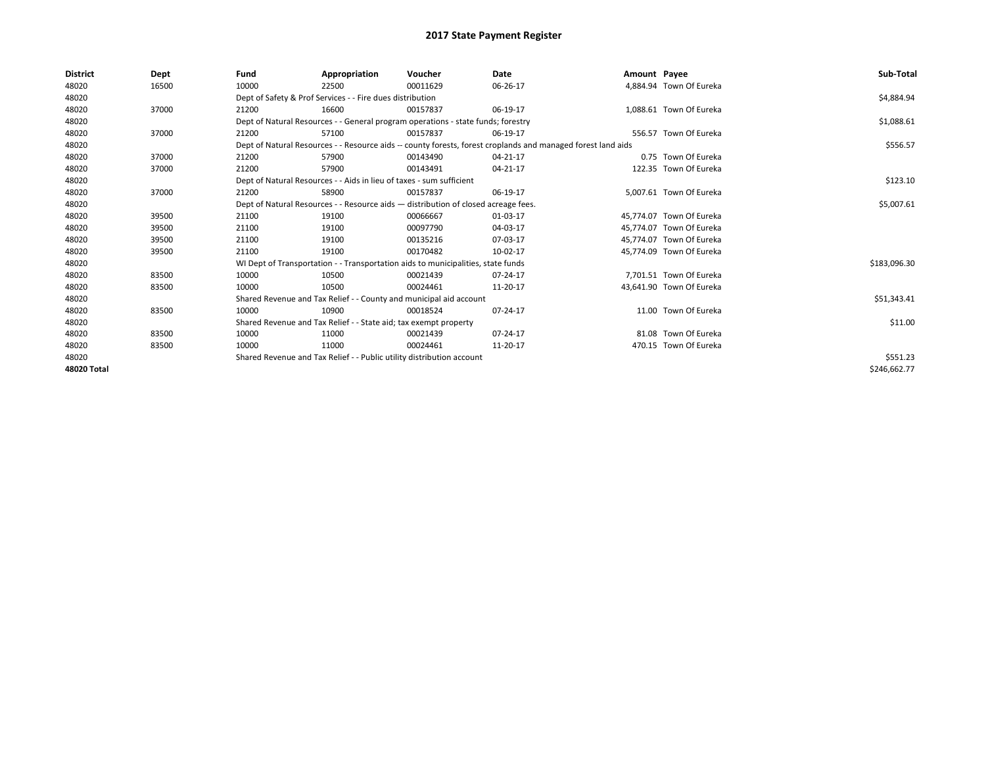| <b>District</b> | Dept  | Fund  | Appropriation                                                                      | Voucher  | Date                                                                                                         | Amount Payee |                          | Sub-Total    |
|-----------------|-------|-------|------------------------------------------------------------------------------------|----------|--------------------------------------------------------------------------------------------------------------|--------------|--------------------------|--------------|
| 48020           | 16500 | 10000 | 22500                                                                              | 00011629 | 06-26-17                                                                                                     |              | 4.884.94 Town Of Eureka  |              |
| 48020           |       |       | Dept of Safety & Prof Services - - Fire dues distribution                          |          |                                                                                                              |              |                          | \$4,884.94   |
| 48020           | 37000 | 21200 | 16600                                                                              | 00157837 | 06-19-17                                                                                                     |              | 1,088.61 Town Of Eureka  |              |
| 48020           |       |       | Dept of Natural Resources - - General program operations - state funds; forestry   |          |                                                                                                              |              |                          | \$1,088.61   |
| 48020           | 37000 | 21200 | 57100                                                                              | 00157837 | 06-19-17                                                                                                     |              | 556.57 Town Of Eureka    |              |
| 48020           |       |       |                                                                                    |          | Dept of Natural Resources - - Resource aids -- county forests, forest croplands and managed forest land aids |              |                          | \$556.57     |
| 48020           | 37000 | 21200 | 57900                                                                              | 00143490 | 04-21-17                                                                                                     |              | 0.75 Town Of Eureka      |              |
| 48020           | 37000 | 21200 | 57900                                                                              | 00143491 | 04-21-17                                                                                                     |              | 122.35 Town Of Eureka    |              |
| 48020           |       |       | Dept of Natural Resources - - Aids in lieu of taxes - sum sufficient               |          | \$123.10                                                                                                     |              |                          |              |
| 48020           | 37000 | 21200 | 58900                                                                              | 00157837 | 06-19-17                                                                                                     |              | 5,007.61 Town Of Eureka  |              |
| 48020           |       |       | Dept of Natural Resources - - Resource aids - distribution of closed acreage fees. |          | \$5,007.61                                                                                                   |              |                          |              |
| 48020           | 39500 | 21100 | 19100                                                                              | 00066667 | 01-03-17                                                                                                     |              | 45,774.07 Town Of Eureka |              |
| 48020           | 39500 | 21100 | 19100                                                                              | 00097790 | 04-03-17                                                                                                     |              | 45.774.07 Town Of Eureka |              |
| 48020           | 39500 | 21100 | 19100                                                                              | 00135216 | 07-03-17                                                                                                     |              | 45.774.07 Town Of Eureka |              |
| 48020           | 39500 | 21100 | 19100                                                                              | 00170482 | 10-02-17                                                                                                     |              | 45,774.09 Town Of Eureka |              |
| 48020           |       |       | WI Dept of Transportation - - Transportation aids to municipalities, state funds   |          |                                                                                                              |              |                          | \$183,096.30 |
| 48020           | 83500 | 10000 | 10500                                                                              | 00021439 | 07-24-17                                                                                                     |              | 7.701.51 Town Of Eureka  |              |
| 48020           | 83500 | 10000 | 10500                                                                              | 00024461 | 11-20-17                                                                                                     |              | 43,641.90 Town Of Eureka |              |
| 48020           |       |       | Shared Revenue and Tax Relief - - County and municipal aid account                 |          |                                                                                                              |              |                          | \$51,343.41  |
| 48020           | 83500 | 10000 | 10900                                                                              | 00018524 | 07-24-17                                                                                                     |              | 11.00 Town Of Eureka     |              |
| 48020           |       |       | Shared Revenue and Tax Relief - - State aid; tax exempt property                   |          |                                                                                                              |              |                          | \$11.00      |
| 48020           | 83500 | 10000 | 11000                                                                              | 00021439 | 07-24-17                                                                                                     |              | 81.08 Town Of Eureka     |              |
| 48020           | 83500 | 10000 | 11000                                                                              | 00024461 | 11-20-17                                                                                                     |              | 470.15 Town Of Eureka    |              |
| 48020           |       |       | Shared Revenue and Tax Relief - - Public utility distribution account              |          |                                                                                                              |              |                          | \$551.23     |
| 48020 Total     |       |       |                                                                                    |          |                                                                                                              |              |                          | \$246,662.77 |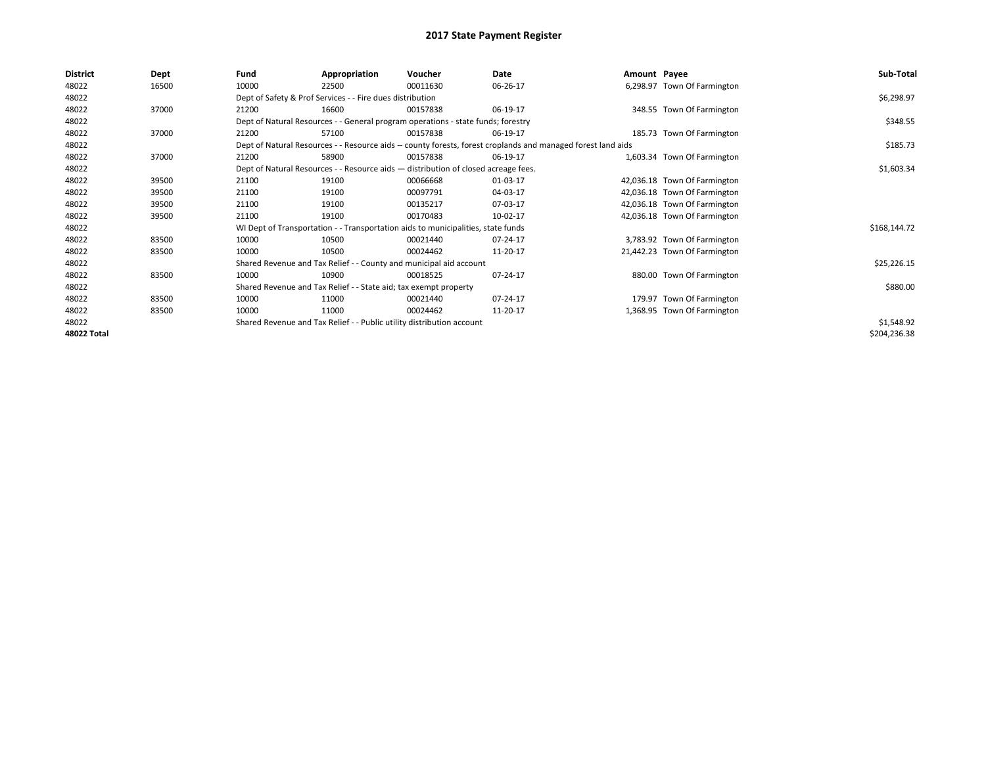| <b>District</b> | Dept  | Fund  | Appropriation                                                                                                | Voucher  | Date       | Amount Payee |                              | Sub-Total    |
|-----------------|-------|-------|--------------------------------------------------------------------------------------------------------------|----------|------------|--------------|------------------------------|--------------|
| 48022           | 16500 | 10000 | 22500                                                                                                        | 00011630 | 06-26-17   |              | 6,298.97 Town Of Farmington  |              |
| 48022           |       |       | Dept of Safety & Prof Services - - Fire dues distribution                                                    |          |            |              |                              | \$6,298.97   |
| 48022           | 37000 | 21200 | 16600                                                                                                        | 00157838 | 06-19-17   |              | 348.55 Town Of Farmington    |              |
| 48022           |       |       | Dept of Natural Resources - - General program operations - state funds; forestry                             |          |            |              |                              | \$348.55     |
| 48022           | 37000 | 21200 | 57100                                                                                                        | 00157838 | 06-19-17   |              | 185.73 Town Of Farmington    |              |
| 48022           |       |       | Dept of Natural Resources - - Resource aids -- county forests, forest croplands and managed forest land aids |          |            |              |                              | \$185.73     |
| 48022           | 37000 | 21200 | 58900                                                                                                        | 00157838 | 06-19-17   |              | 1,603.34 Town Of Farmington  |              |
| 48022           |       |       | Dept of Natural Resources - - Resource aids - distribution of closed acreage fees.                           |          | \$1,603.34 |              |                              |              |
| 48022           | 39500 | 21100 | 19100                                                                                                        | 00066668 | 01-03-17   |              | 42,036.18 Town Of Farmington |              |
| 48022           | 39500 | 21100 | 19100                                                                                                        | 00097791 | 04-03-17   |              | 42,036.18 Town Of Farmington |              |
| 48022           | 39500 | 21100 | 19100                                                                                                        | 00135217 | 07-03-17   |              | 42,036.18 Town Of Farmington |              |
| 48022           | 39500 | 21100 | 19100                                                                                                        | 00170483 | 10-02-17   |              | 42,036.18 Town Of Farmington |              |
| 48022           |       |       | WI Dept of Transportation - - Transportation aids to municipalities, state funds                             |          |            |              |                              | \$168,144.72 |
| 48022           | 83500 | 10000 | 10500                                                                                                        | 00021440 | 07-24-17   |              | 3,783.92 Town Of Farmington  |              |
| 48022           | 83500 | 10000 | 10500                                                                                                        | 00024462 | 11-20-17   |              | 21,442.23 Town Of Farmington |              |
| 48022           |       |       | Shared Revenue and Tax Relief - - County and municipal aid account                                           |          |            |              |                              | \$25,226.15  |
| 48022           | 83500 | 10000 | 10900                                                                                                        | 00018525 | 07-24-17   |              | 880.00 Town Of Farmington    |              |
| 48022           |       |       | Shared Revenue and Tax Relief - - State aid; tax exempt property                                             |          |            |              |                              | \$880.00     |
| 48022           | 83500 | 10000 | 11000                                                                                                        | 00021440 | 07-24-17   |              | 179.97 Town Of Farmington    |              |
| 48022           | 83500 | 10000 | 11000                                                                                                        | 00024462 | 11-20-17   |              | 1,368.95 Town Of Farmington  |              |
| 48022           |       |       | Shared Revenue and Tax Relief - - Public utility distribution account                                        |          |            |              |                              | \$1,548.92   |
| 48022 Total     |       |       |                                                                                                              |          |            |              |                              | \$204,236.38 |
|                 |       |       |                                                                                                              |          |            |              |                              |              |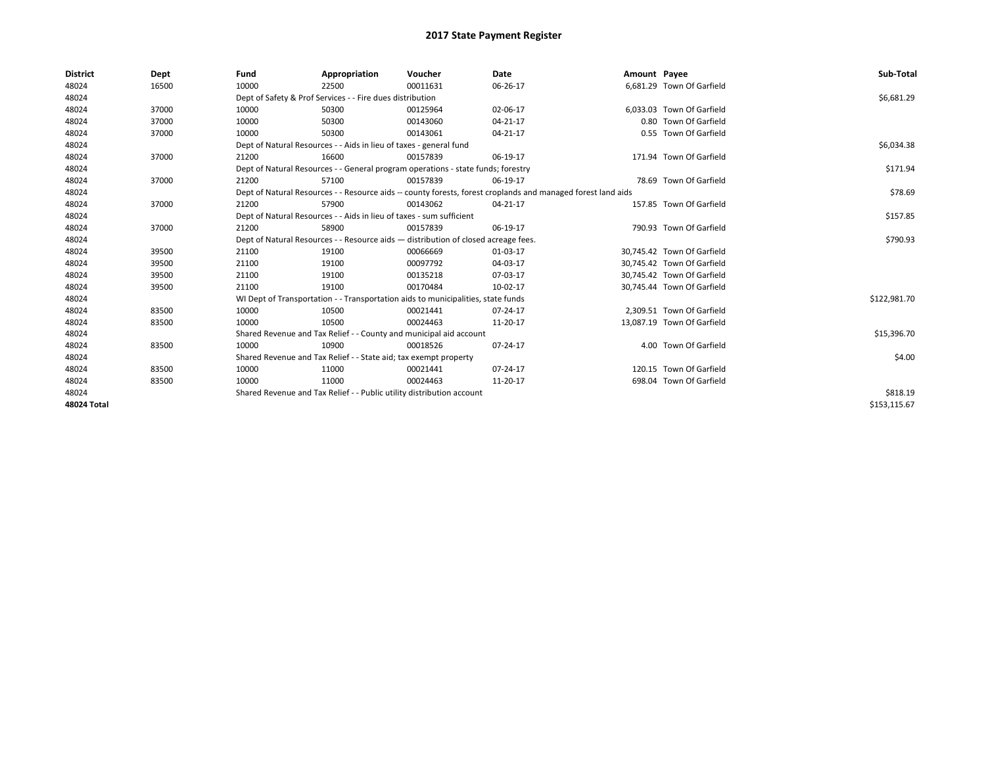| <b>District</b> | Dept  | Fund  | Appropriation                                                                      | Voucher  | Date                                                                                                         | Amount Payee |                            | Sub-Total    |
|-----------------|-------|-------|------------------------------------------------------------------------------------|----------|--------------------------------------------------------------------------------------------------------------|--------------|----------------------------|--------------|
| 48024           | 16500 | 10000 | 22500                                                                              | 00011631 | 06-26-17                                                                                                     |              | 6,681.29 Town Of Garfield  |              |
| 48024           |       |       | Dept of Safety & Prof Services - - Fire dues distribution                          |          |                                                                                                              |              |                            | \$6,681.29   |
| 48024           | 37000 | 10000 | 50300                                                                              | 00125964 | 02-06-17                                                                                                     |              | 6.033.03 Town Of Garfield  |              |
| 48024           | 37000 | 10000 | 50300                                                                              | 00143060 | 04-21-17                                                                                                     |              | 0.80 Town Of Garfield      |              |
| 48024           | 37000 | 10000 | 50300                                                                              | 00143061 | 04-21-17                                                                                                     |              | 0.55 Town Of Garfield      |              |
| 48024           |       |       | Dept of Natural Resources - - Aids in lieu of taxes - general fund                 |          |                                                                                                              |              |                            | \$6,034.38   |
| 48024           | 37000 | 21200 | 16600                                                                              | 00157839 | 06-19-17                                                                                                     |              | 171.94 Town Of Garfield    |              |
| 48024           |       |       | Dept of Natural Resources - - General program operations - state funds; forestry   |          |                                                                                                              |              |                            | \$171.94     |
| 48024           | 37000 | 21200 | 57100                                                                              | 00157839 | 06-19-17                                                                                                     |              | 78.69 Town Of Garfield     |              |
| 48024           |       |       |                                                                                    |          | Dept of Natural Resources - - Resource aids -- county forests, forest croplands and managed forest land aids |              |                            | \$78.69      |
| 48024           | 37000 | 21200 | 57900                                                                              | 00143062 | 04-21-17                                                                                                     |              | 157.85 Town Of Garfield    |              |
| 48024           |       |       | Dept of Natural Resources - - Aids in lieu of taxes - sum sufficient               |          |                                                                                                              |              |                            | \$157.85     |
| 48024           | 37000 | 21200 | 58900                                                                              | 00157839 | 06-19-17                                                                                                     |              | 790.93 Town Of Garfield    |              |
| 48024           |       |       | Dept of Natural Resources - - Resource aids - distribution of closed acreage fees. |          |                                                                                                              |              |                            | \$790.93     |
| 48024           | 39500 | 21100 | 19100                                                                              | 00066669 | 01-03-17                                                                                                     |              | 30,745.42 Town Of Garfield |              |
| 48024           | 39500 | 21100 | 19100                                                                              | 00097792 | 04-03-17                                                                                                     |              | 30.745.42 Town Of Garfield |              |
| 48024           | 39500 | 21100 | 19100                                                                              | 00135218 | 07-03-17                                                                                                     |              | 30,745.42 Town Of Garfield |              |
| 48024           | 39500 | 21100 | 19100                                                                              | 00170484 | 10-02-17                                                                                                     |              | 30,745.44 Town Of Garfield |              |
| 48024           |       |       | WI Dept of Transportation - - Transportation aids to municipalities, state funds   |          |                                                                                                              |              |                            | \$122,981.70 |
| 48024           | 83500 | 10000 | 10500                                                                              | 00021441 | 07-24-17                                                                                                     |              | 2,309.51 Town Of Garfield  |              |
| 48024           | 83500 | 10000 | 10500                                                                              | 00024463 | 11-20-17                                                                                                     |              | 13,087.19 Town Of Garfield |              |
| 48024           |       |       | Shared Revenue and Tax Relief - - County and municipal aid account                 |          |                                                                                                              |              |                            | \$15,396.70  |
| 48024           | 83500 | 10000 | 10900                                                                              | 00018526 | 07-24-17                                                                                                     |              | 4.00 Town Of Garfield      |              |
| 48024           |       |       | Shared Revenue and Tax Relief - - State aid; tax exempt property                   |          |                                                                                                              |              |                            | \$4.00       |
| 48024           | 83500 | 10000 | 11000                                                                              | 00021441 | 07-24-17                                                                                                     |              | 120.15 Town Of Garfield    |              |
| 48024           | 83500 | 10000 | 11000                                                                              | 00024463 | 11-20-17                                                                                                     |              | 698.04 Town Of Garfield    |              |
| 48024           |       |       | Shared Revenue and Tax Relief - - Public utility distribution account              |          |                                                                                                              |              |                            | \$818.19     |
| 48024 Total     |       |       |                                                                                    |          |                                                                                                              |              |                            | \$153.115.67 |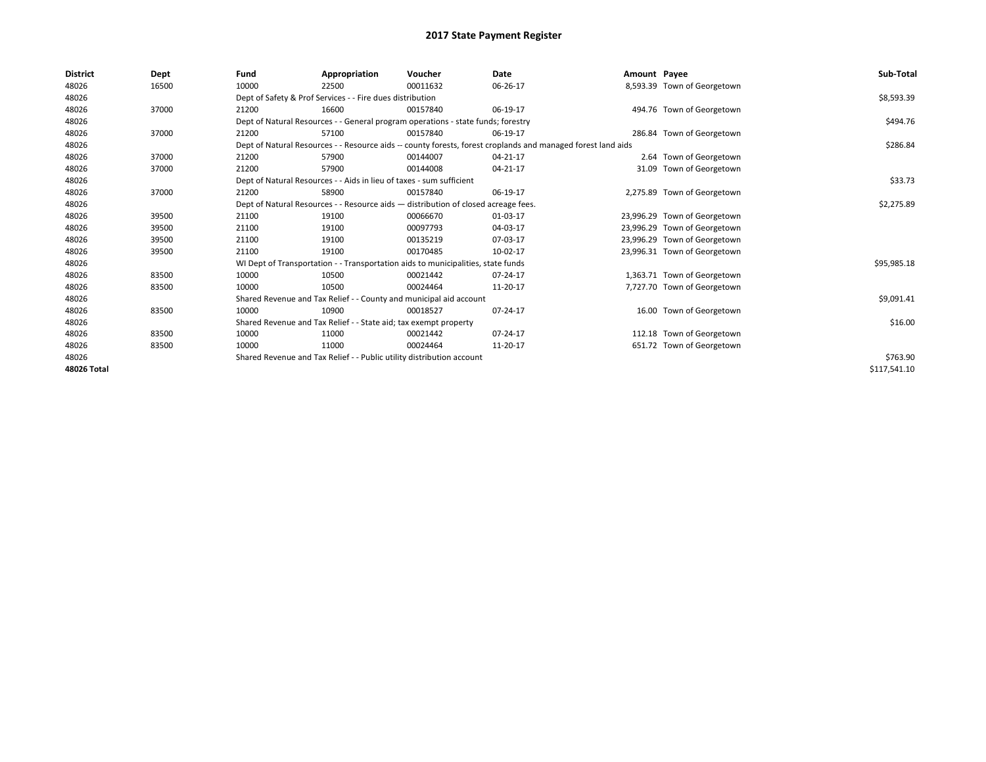| <b>District</b> | Dept  | Fund                                                                  | Appropriation                                                                                                | Voucher                                                                            | Date     | Amount Payee |                              | Sub-Total    |  |
|-----------------|-------|-----------------------------------------------------------------------|--------------------------------------------------------------------------------------------------------------|------------------------------------------------------------------------------------|----------|--------------|------------------------------|--------------|--|
| 48026           | 16500 | 10000                                                                 | 22500                                                                                                        | 00011632                                                                           | 06-26-17 |              | 8,593.39 Town of Georgetown  |              |  |
| 48026           |       |                                                                       | Dept of Safety & Prof Services - - Fire dues distribution                                                    |                                                                                    |          |              |                              | \$8,593.39   |  |
| 48026           | 37000 | 21200                                                                 | 16600                                                                                                        | 00157840                                                                           | 06-19-17 |              | 494.76 Town of Georgetown    |              |  |
| 48026           |       |                                                                       |                                                                                                              | Dept of Natural Resources - - General program operations - state funds; forestry   |          |              |                              | \$494.76     |  |
| 48026           | 37000 | 21200                                                                 | 57100                                                                                                        | 00157840                                                                           | 06-19-17 |              | 286.84 Town of Georgetown    |              |  |
| 48026           |       |                                                                       | Dept of Natural Resources - - Resource aids -- county forests, forest croplands and managed forest land aids |                                                                                    |          |              |                              |              |  |
| 48026           | 37000 | 21200                                                                 | 57900                                                                                                        | 00144007                                                                           | 04-21-17 |              | 2.64 Town of Georgetown      |              |  |
| 48026           | 37000 | 21200                                                                 | 57900                                                                                                        | 00144008                                                                           | 04-21-17 | 31.09        | Town of Georgetown           |              |  |
| 48026           |       |                                                                       | Dept of Natural Resources - - Aids in lieu of taxes - sum sufficient                                         |                                                                                    |          |              |                              | \$33.73      |  |
| 48026           | 37000 | 21200                                                                 | 58900                                                                                                        | 00157840                                                                           | 06-19-17 |              | 2,275.89 Town of Georgetown  |              |  |
| 48026           |       |                                                                       |                                                                                                              | Dept of Natural Resources - - Resource aids - distribution of closed acreage fees. |          |              |                              | \$2,275.89   |  |
| 48026           | 39500 | 21100                                                                 | 19100                                                                                                        | 00066670                                                                           | 01-03-17 |              | 23,996.29 Town of Georgetown |              |  |
| 48026           | 39500 | 21100                                                                 | 19100                                                                                                        | 00097793                                                                           | 04-03-17 |              | 23,996.29 Town of Georgetown |              |  |
| 48026           | 39500 | 21100                                                                 | 19100                                                                                                        | 00135219                                                                           | 07-03-17 |              | 23,996.29 Town of Georgetown |              |  |
| 48026           | 39500 | 21100                                                                 | 19100                                                                                                        | 00170485                                                                           | 10-02-17 |              | 23,996.31 Town of Georgetown |              |  |
| 48026           |       |                                                                       |                                                                                                              | WI Dept of Transportation - - Transportation aids to municipalities, state funds   |          |              |                              | \$95,985.18  |  |
| 48026           | 83500 | 10000                                                                 | 10500                                                                                                        | 00021442                                                                           | 07-24-17 |              | 1,363.71 Town of Georgetown  |              |  |
| 48026           | 83500 | 10000                                                                 | 10500                                                                                                        | 00024464                                                                           | 11-20-17 |              | 7,727.70 Town of Georgetown  |              |  |
| 48026           |       |                                                                       | Shared Revenue and Tax Relief - - County and municipal aid account                                           |                                                                                    |          |              |                              | \$9,091.41   |  |
| 48026           | 83500 | 10000                                                                 | 10900                                                                                                        | 00018527                                                                           | 07-24-17 |              | 16.00 Town of Georgetown     |              |  |
| 48026           |       |                                                                       | Shared Revenue and Tax Relief - - State aid; tax exempt property                                             |                                                                                    |          |              |                              | \$16.00      |  |
| 48026           | 83500 | 10000                                                                 | 11000                                                                                                        | 00021442                                                                           | 07-24-17 |              | 112.18 Town of Georgetown    |              |  |
| 48026           | 83500 | 10000                                                                 | 11000                                                                                                        | 00024464                                                                           | 11-20-17 |              | 651.72 Town of Georgetown    |              |  |
| 48026           |       | Shared Revenue and Tax Relief - - Public utility distribution account |                                                                                                              | \$763.90                                                                           |          |              |                              |              |  |
| 48026 Total     |       |                                                                       |                                                                                                              |                                                                                    |          |              |                              | \$117,541.10 |  |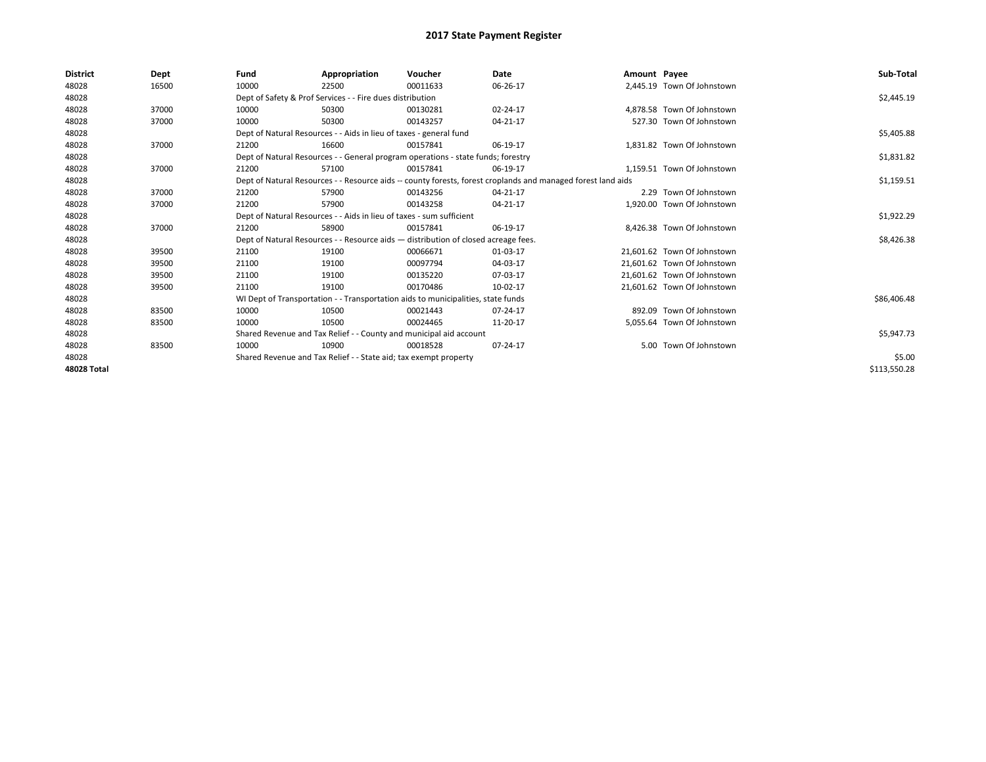| <b>District</b> | Dept  | Fund                                                               | Appropriation                                                                                                | Voucher                                                                            | Date       | Amount Payee |                             | Sub-Total    |  |  |  |
|-----------------|-------|--------------------------------------------------------------------|--------------------------------------------------------------------------------------------------------------|------------------------------------------------------------------------------------|------------|--------------|-----------------------------|--------------|--|--|--|
| 48028           | 16500 | 10000                                                              | 22500                                                                                                        | 00011633                                                                           | 06-26-17   |              | 2,445.19 Town Of Johnstown  |              |  |  |  |
| 48028           |       |                                                                    | Dept of Safety & Prof Services - - Fire dues distribution                                                    |                                                                                    |            |              |                             | \$2,445.19   |  |  |  |
| 48028           | 37000 | 10000                                                              | 50300                                                                                                        | 00130281                                                                           | 02-24-17   |              | 4,878.58 Town Of Johnstown  |              |  |  |  |
| 48028           | 37000 | 10000                                                              | 50300                                                                                                        | 00143257                                                                           | 04-21-17   |              | 527.30 Town Of Johnstown    |              |  |  |  |
| 48028           |       |                                                                    | Dept of Natural Resources - - Aids in lieu of taxes - general fund                                           |                                                                                    |            |              |                             | \$5,405.88   |  |  |  |
| 48028           | 37000 | 21200                                                              | 16600                                                                                                        | 00157841                                                                           | 06-19-17   |              | 1.831.82 Town Of Johnstown  |              |  |  |  |
| 48028           |       |                                                                    |                                                                                                              | Dept of Natural Resources - - General program operations - state funds; forestry   |            |              |                             | \$1,831.82   |  |  |  |
| 48028           | 37000 | 21200                                                              | 57100                                                                                                        | 00157841                                                                           | 06-19-17   |              | 1,159.51 Town Of Johnstown  |              |  |  |  |
| 48028           |       |                                                                    | Dept of Natural Resources - - Resource aids -- county forests, forest croplands and managed forest land aids |                                                                                    | \$1,159.51 |              |                             |              |  |  |  |
| 48028           | 37000 | 21200                                                              | 57900                                                                                                        | 00143256                                                                           | 04-21-17   |              | 2.29 Town Of Johnstown      |              |  |  |  |
| 48028           | 37000 | 21200                                                              | 57900                                                                                                        | 00143258                                                                           | 04-21-17   |              | 1,920.00 Town Of Johnstown  |              |  |  |  |
| 48028           |       |                                                                    | Dept of Natural Resources - - Aids in lieu of taxes - sum sufficient                                         |                                                                                    |            |              |                             |              |  |  |  |
| 48028           | 37000 | 21200                                                              | 58900                                                                                                        | 00157841                                                                           | 06-19-17   |              | 8,426.38 Town Of Johnstown  |              |  |  |  |
| 48028           |       |                                                                    |                                                                                                              | Dept of Natural Resources - - Resource aids - distribution of closed acreage fees. |            |              |                             | \$8,426.38   |  |  |  |
| 48028           | 39500 | 21100                                                              | 19100                                                                                                        | 00066671                                                                           | 01-03-17   |              | 21.601.62 Town Of Johnstown |              |  |  |  |
| 48028           | 39500 | 21100                                                              | 19100                                                                                                        | 00097794                                                                           | 04-03-17   |              | 21.601.62 Town Of Johnstown |              |  |  |  |
| 48028           | 39500 | 21100                                                              | 19100                                                                                                        | 00135220                                                                           | 07-03-17   |              | 21,601.62 Town Of Johnstown |              |  |  |  |
| 48028           | 39500 | 21100                                                              | 19100                                                                                                        | 00170486                                                                           | 10-02-17   |              | 21,601.62 Town Of Johnstown |              |  |  |  |
| 48028           |       |                                                                    |                                                                                                              | WI Dept of Transportation - - Transportation aids to municipalities, state funds   |            |              |                             | \$86,406.48  |  |  |  |
| 48028           | 83500 | 10000                                                              | 10500                                                                                                        | 00021443                                                                           | 07-24-17   |              | 892.09 Town Of Johnstown    |              |  |  |  |
| 48028           | 83500 | 10000                                                              | 10500                                                                                                        | 00024465                                                                           | 11-20-17   |              | 5.055.64 Town Of Johnstown  |              |  |  |  |
| 48028           |       | Shared Revenue and Tax Relief - - County and municipal aid account |                                                                                                              | \$5,947.73                                                                         |            |              |                             |              |  |  |  |
| 48028           | 83500 | 10000                                                              | 10900                                                                                                        | 00018528                                                                           | 07-24-17   |              | 5.00 Town Of Johnstown      |              |  |  |  |
| 48028           |       | Shared Revenue and Tax Relief - - State aid; tax exempt property   |                                                                                                              | \$5.00                                                                             |            |              |                             |              |  |  |  |
| 48028 Total     |       |                                                                    |                                                                                                              |                                                                                    |            |              |                             | \$113,550.28 |  |  |  |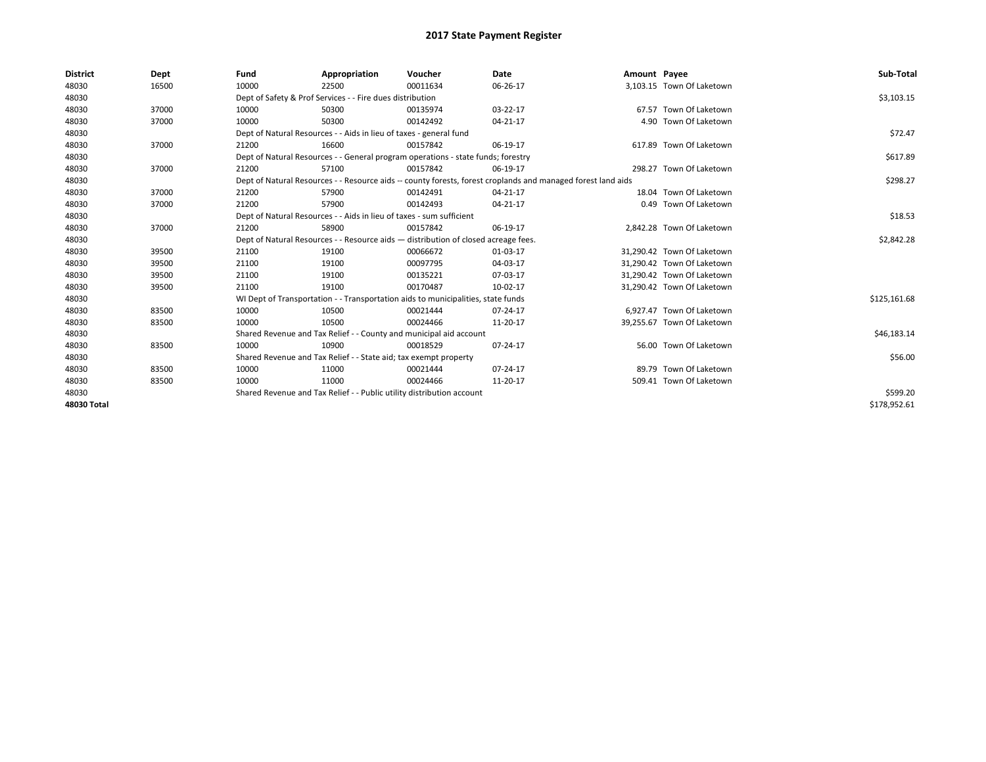| <b>District</b> | Dept  | Fund  | Appropriation                                                                      | Voucher  | Date                                                                                                         | Amount Payee |                            | Sub-Total    |
|-----------------|-------|-------|------------------------------------------------------------------------------------|----------|--------------------------------------------------------------------------------------------------------------|--------------|----------------------------|--------------|
| 48030           | 16500 | 10000 | 22500                                                                              | 00011634 | 06-26-17                                                                                                     |              | 3,103.15 Town Of Laketown  |              |
| 48030           |       |       | Dept of Safety & Prof Services - - Fire dues distribution                          |          |                                                                                                              |              |                            | \$3,103.15   |
| 48030           | 37000 | 10000 | 50300                                                                              | 00135974 | 03-22-17                                                                                                     |              | 67.57 Town Of Laketown     |              |
| 48030           | 37000 | 10000 | 50300                                                                              | 00142492 | 04-21-17                                                                                                     |              | 4.90 Town Of Laketown      |              |
| 48030           |       |       | Dept of Natural Resources - - Aids in lieu of taxes - general fund                 |          |                                                                                                              |              |                            | \$72.47      |
| 48030           | 37000 | 21200 | 16600                                                                              | 00157842 | 06-19-17                                                                                                     |              | 617.89 Town Of Laketown    |              |
| 48030           |       |       | Dept of Natural Resources - - General program operations - state funds; forestry   |          |                                                                                                              |              |                            | \$617.89     |
| 48030           | 37000 | 21200 | 57100                                                                              | 00157842 | 06-19-17                                                                                                     |              | 298.27 Town Of Laketown    |              |
| 48030           |       |       |                                                                                    |          | Dept of Natural Resources - - Resource aids -- county forests, forest croplands and managed forest land aids |              |                            | \$298.27     |
| 48030           | 37000 | 21200 | 57900                                                                              | 00142491 | 04-21-17                                                                                                     |              | 18.04 Town Of Laketown     |              |
| 48030           | 37000 | 21200 | 57900                                                                              | 00142493 | 04-21-17                                                                                                     |              | 0.49 Town Of Laketown      |              |
| 48030           |       |       | Dept of Natural Resources - - Aids in lieu of taxes - sum sufficient               |          |                                                                                                              |              |                            | \$18.53      |
| 48030           | 37000 | 21200 | 58900                                                                              | 00157842 | 06-19-17                                                                                                     |              | 2,842.28 Town Of Laketown  |              |
| 48030           |       |       | Dept of Natural Resources - - Resource aids - distribution of closed acreage fees. |          |                                                                                                              |              |                            | \$2,842.28   |
| 48030           | 39500 | 21100 | 19100                                                                              | 00066672 | 01-03-17                                                                                                     |              | 31,290.42 Town Of Laketown |              |
| 48030           | 39500 | 21100 | 19100                                                                              | 00097795 | 04-03-17                                                                                                     |              | 31.290.42 Town Of Laketown |              |
| 48030           | 39500 | 21100 | 19100                                                                              | 00135221 | 07-03-17                                                                                                     |              | 31,290.42 Town Of Laketown |              |
| 48030           | 39500 | 21100 | 19100                                                                              | 00170487 | 10-02-17                                                                                                     |              | 31,290.42 Town Of Laketown |              |
| 48030           |       |       | WI Dept of Transportation - - Transportation aids to municipalities, state funds   |          |                                                                                                              |              |                            | \$125,161.68 |
| 48030           | 83500 | 10000 | 10500                                                                              | 00021444 | 07-24-17                                                                                                     |              | 6.927.47 Town Of Laketown  |              |
| 48030           | 83500 | 10000 | 10500                                                                              | 00024466 | 11-20-17                                                                                                     |              | 39,255.67 Town Of Laketown |              |
| 48030           |       |       | Shared Revenue and Tax Relief - - County and municipal aid account                 |          |                                                                                                              |              |                            | \$46,183.14  |
| 48030           | 83500 | 10000 | 10900                                                                              | 00018529 | 07-24-17                                                                                                     |              | 56.00 Town Of Laketown     |              |
| 48030           |       |       | Shared Revenue and Tax Relief - - State aid; tax exempt property                   |          |                                                                                                              |              |                            | \$56.00      |
| 48030           | 83500 | 10000 | 11000                                                                              | 00021444 | 07-24-17                                                                                                     |              | 89.79 Town Of Laketown     |              |
| 48030           | 83500 | 10000 | 11000                                                                              | 00024466 | 11-20-17                                                                                                     |              | 509.41 Town Of Laketown    |              |
| 48030           |       |       | Shared Revenue and Tax Relief - - Public utility distribution account              |          |                                                                                                              |              |                            | \$599.20     |
| 48030 Total     |       |       |                                                                                    |          |                                                                                                              |              |                            | \$178,952.61 |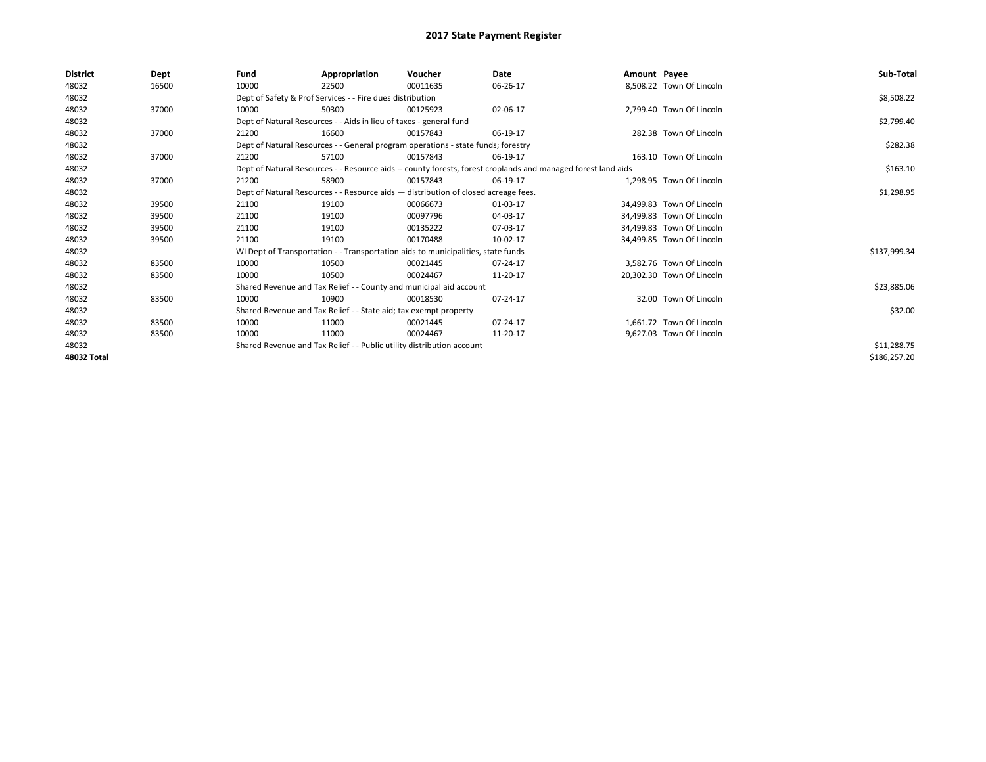| <b>District</b> | Dept  | Fund  | Appropriation                                                                                                | Voucher  | Date     | Amount Payee |                           | Sub-Total    |  |  |
|-----------------|-------|-------|--------------------------------------------------------------------------------------------------------------|----------|----------|--------------|---------------------------|--------------|--|--|
| 48032           | 16500 | 10000 | 22500                                                                                                        | 00011635 | 06-26-17 |              | 8,508.22 Town Of Lincoln  |              |  |  |
| 48032           |       |       | Dept of Safety & Prof Services - - Fire dues distribution                                                    |          |          |              |                           | \$8,508.22   |  |  |
| 48032           | 37000 | 10000 | 50300                                                                                                        | 00125923 | 02-06-17 |              | 2,799.40 Town Of Lincoln  |              |  |  |
| 48032           |       |       | Dept of Natural Resources - - Aids in lieu of taxes - general fund                                           |          |          |              |                           | \$2,799.40   |  |  |
| 48032           | 37000 | 21200 | 16600                                                                                                        | 00157843 | 06-19-17 |              | 282.38 Town Of Lincoln    |              |  |  |
| 48032           |       |       | Dept of Natural Resources - - General program operations - state funds; forestry                             |          |          |              |                           | \$282.38     |  |  |
| 48032           | 37000 | 21200 | 57100                                                                                                        | 00157843 | 06-19-17 |              | 163.10 Town Of Lincoln    |              |  |  |
| 48032           |       |       | Dept of Natural Resources - - Resource aids -- county forests, forest croplands and managed forest land aids |          | \$163.10 |              |                           |              |  |  |
| 48032           | 37000 | 21200 | 58900                                                                                                        | 00157843 | 06-19-17 |              | 1.298.95 Town Of Lincoln  |              |  |  |
| 48032           |       |       | Dept of Natural Resources - - Resource aids - distribution of closed acreage fees.                           |          |          |              |                           |              |  |  |
| 48032           | 39500 | 21100 | 19100                                                                                                        | 00066673 | 01-03-17 |              | 34,499.83 Town Of Lincoln |              |  |  |
| 48032           | 39500 | 21100 | 19100                                                                                                        | 00097796 | 04-03-17 |              | 34.499.83 Town Of Lincoln |              |  |  |
| 48032           | 39500 | 21100 | 19100                                                                                                        | 00135222 | 07-03-17 |              | 34.499.83 Town Of Lincoln |              |  |  |
| 48032           | 39500 | 21100 | 19100                                                                                                        | 00170488 | 10-02-17 |              | 34,499.85 Town Of Lincoln |              |  |  |
| 48032           |       |       | WI Dept of Transportation - - Transportation aids to municipalities, state funds                             |          |          |              |                           | \$137,999.34 |  |  |
| 48032           | 83500 | 10000 | 10500                                                                                                        | 00021445 | 07-24-17 |              | 3,582.76 Town Of Lincoln  |              |  |  |
| 48032           | 83500 | 10000 | 10500                                                                                                        | 00024467 | 11-20-17 |              | 20.302.30 Town Of Lincoln |              |  |  |
| 48032           |       |       | Shared Revenue and Tax Relief - - County and municipal aid account                                           |          |          |              |                           | \$23,885.06  |  |  |
| 48032           | 83500 | 10000 | 10900                                                                                                        | 00018530 | 07-24-17 |              | 32.00 Town Of Lincoln     |              |  |  |
| 48032           |       |       | Shared Revenue and Tax Relief - - State aid; tax exempt property                                             |          |          |              |                           | \$32.00      |  |  |
| 48032           | 83500 | 10000 | 11000                                                                                                        | 00021445 | 07-24-17 |              | 1.661.72 Town Of Lincoln  |              |  |  |
| 48032           | 83500 | 10000 | 11000                                                                                                        | 00024467 | 11-20-17 |              | 9,627.03 Town Of Lincoln  |              |  |  |
| 48032           |       |       | Shared Revenue and Tax Relief - - Public utility distribution account                                        |          |          |              |                           | \$11,288.75  |  |  |
| 48032 Total     |       |       |                                                                                                              |          |          |              |                           | \$186,257.20 |  |  |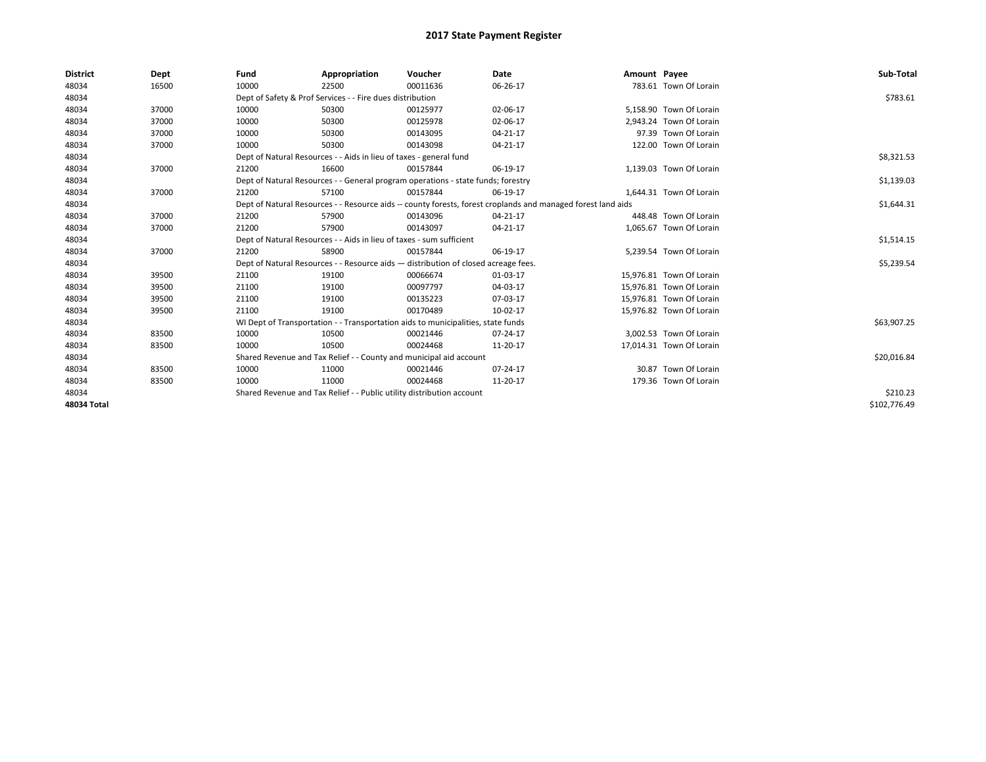| <b>District</b> | Dept  | Fund  | Appropriation                                                                                                | Voucher  | Date       | Amount Payee |                          | Sub-Total    |  |  |
|-----------------|-------|-------|--------------------------------------------------------------------------------------------------------------|----------|------------|--------------|--------------------------|--------------|--|--|
| 48034           | 16500 | 10000 | 22500                                                                                                        | 00011636 | 06-26-17   |              | 783.61 Town Of Lorain    |              |  |  |
| 48034           |       |       | Dept of Safety & Prof Services - - Fire dues distribution                                                    |          |            |              |                          | \$783.61     |  |  |
| 48034           | 37000 | 10000 | 50300                                                                                                        | 00125977 | 02-06-17   |              | 5,158.90 Town Of Lorain  |              |  |  |
| 48034           | 37000 | 10000 | 50300                                                                                                        | 00125978 | 02-06-17   |              | 2.943.24 Town Of Lorain  |              |  |  |
| 48034           | 37000 | 10000 | 50300                                                                                                        | 00143095 | 04-21-17   |              | 97.39 Town Of Lorain     |              |  |  |
| 48034           | 37000 | 10000 | 50300                                                                                                        | 00143098 | 04-21-17   |              | 122.00 Town Of Lorain    |              |  |  |
| 48034           |       |       | Dept of Natural Resources - - Aids in lieu of taxes - general fund                                           |          |            |              |                          | \$8,321.53   |  |  |
| 48034           | 37000 | 21200 | 16600                                                                                                        | 00157844 | 06-19-17   |              | 1,139.03 Town Of Lorain  |              |  |  |
| 48034           |       |       | Dept of Natural Resources - - General program operations - state funds; forestry                             |          | \$1,139.03 |              |                          |              |  |  |
| 48034           | 37000 | 21200 | 57100                                                                                                        | 00157844 | 06-19-17   |              | 1,644.31 Town Of Lorain  |              |  |  |
| 48034           |       |       | Dept of Natural Resources - - Resource aids -- county forests, forest croplands and managed forest land aids |          |            |              |                          | \$1,644.31   |  |  |
| 48034           | 37000 | 21200 | 57900                                                                                                        | 00143096 | 04-21-17   |              | 448.48 Town Of Lorain    |              |  |  |
| 48034           | 37000 | 21200 | 57900                                                                                                        | 00143097 | 04-21-17   |              | 1,065.67 Town Of Lorain  |              |  |  |
| 48034           |       |       | Dept of Natural Resources - - Aids in lieu of taxes - sum sufficient                                         |          |            |              |                          |              |  |  |
| 48034           | 37000 | 21200 | 58900                                                                                                        | 00157844 | 06-19-17   |              | 5,239.54 Town Of Lorain  |              |  |  |
| 48034           |       |       | Dept of Natural Resources - - Resource aids - distribution of closed acreage fees.                           |          |            |              |                          | \$5,239.54   |  |  |
| 48034           | 39500 | 21100 | 19100                                                                                                        | 00066674 | 01-03-17   |              | 15,976.81 Town Of Lorain |              |  |  |
| 48034           | 39500 | 21100 | 19100                                                                                                        | 00097797 | 04-03-17   |              | 15,976.81 Town Of Lorain |              |  |  |
| 48034           | 39500 | 21100 | 19100                                                                                                        | 00135223 | 07-03-17   |              | 15,976.81 Town Of Lorain |              |  |  |
| 48034           | 39500 | 21100 | 19100                                                                                                        | 00170489 | 10-02-17   |              | 15,976.82 Town Of Lorain |              |  |  |
| 48034           |       |       | WI Dept of Transportation - - Transportation aids to municipalities, state funds                             |          |            |              |                          | \$63,907.25  |  |  |
| 48034           | 83500 | 10000 | 10500                                                                                                        | 00021446 | 07-24-17   |              | 3.002.53 Town Of Lorain  |              |  |  |
| 48034           | 83500 | 10000 | 10500                                                                                                        | 00024468 | 11-20-17   |              | 17,014.31 Town Of Lorain |              |  |  |
| 48034           |       |       | Shared Revenue and Tax Relief - - County and municipal aid account                                           |          |            |              |                          | \$20,016.84  |  |  |
| 48034           | 83500 | 10000 | 11000                                                                                                        | 00021446 | 07-24-17   |              | 30.87 Town Of Lorain     |              |  |  |
| 48034           | 83500 | 10000 | 11000                                                                                                        | 00024468 | 11-20-17   |              | 179.36 Town Of Lorain    |              |  |  |
| 48034           |       |       | Shared Revenue and Tax Relief - - Public utility distribution account                                        |          |            |              |                          |              |  |  |
| 48034 Total     |       |       |                                                                                                              |          |            |              |                          | \$102.776.49 |  |  |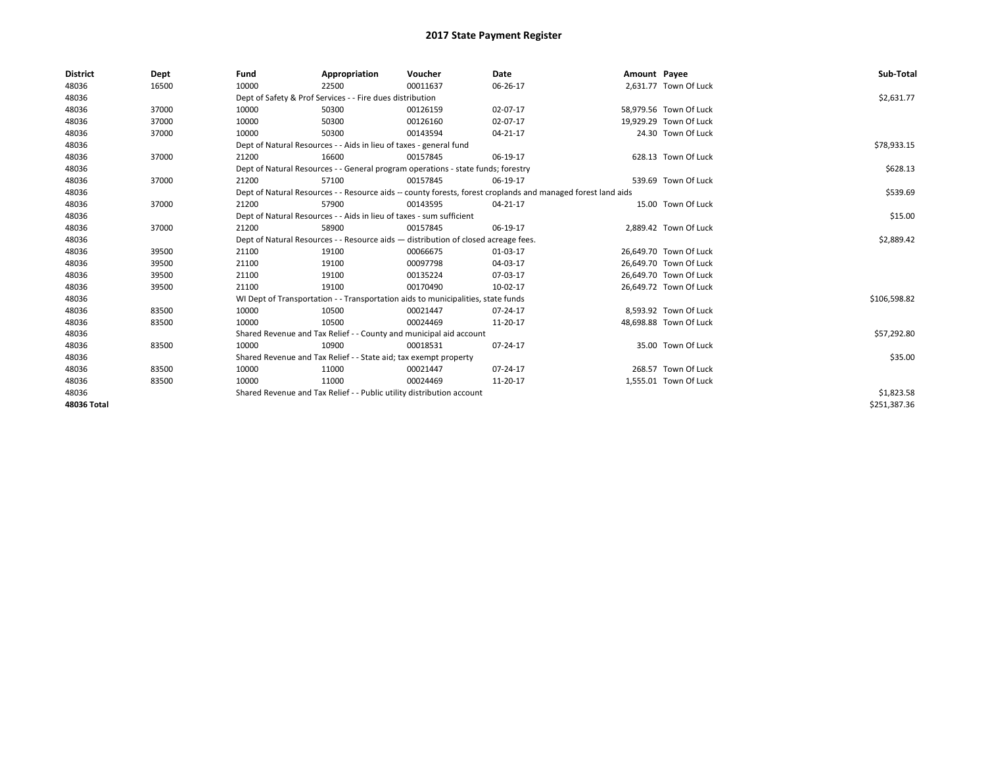| <b>District</b> | Dept  | Fund                                                                  | Appropriation                                                                                                | Voucher    | Date     | Amount Payee |                        | Sub-Total    |
|-----------------|-------|-----------------------------------------------------------------------|--------------------------------------------------------------------------------------------------------------|------------|----------|--------------|------------------------|--------------|
| 48036           | 16500 | 10000                                                                 | 22500                                                                                                        | 00011637   | 06-26-17 |              | 2,631.77 Town Of Luck  |              |
| 48036           |       |                                                                       | Dept of Safety & Prof Services - - Fire dues distribution                                                    |            |          |              |                        | \$2,631.77   |
| 48036           | 37000 | 10000                                                                 | 50300                                                                                                        | 00126159   | 02-07-17 |              | 58,979.56 Town Of Luck |              |
| 48036           | 37000 | 10000                                                                 | 50300                                                                                                        | 00126160   | 02-07-17 |              | 19,929.29 Town Of Luck |              |
| 48036           | 37000 | 10000                                                                 | 50300                                                                                                        | 00143594   | 04-21-17 |              | 24.30 Town Of Luck     |              |
| 48036           |       |                                                                       | Dept of Natural Resources - - Aids in lieu of taxes - general fund                                           |            |          |              |                        | \$78,933.15  |
| 48036           | 37000 | 21200                                                                 | 16600                                                                                                        | 00157845   | 06-19-17 |              | 628.13 Town Of Luck    |              |
| 48036           |       |                                                                       | Dept of Natural Resources - - General program operations - state funds; forestry                             |            |          |              |                        | \$628.13     |
| 48036           | 37000 | 21200                                                                 | 57100                                                                                                        | 00157845   | 06-19-17 |              | 539.69 Town Of Luck    |              |
| 48036           |       |                                                                       | Dept of Natural Resources - - Resource aids -- county forests, forest croplands and managed forest land aids |            | \$539.69 |              |                        |              |
| 48036           | 37000 | 21200                                                                 | 57900                                                                                                        | 00143595   | 04-21-17 |              | 15.00 Town Of Luck     |              |
| 48036           |       |                                                                       | Dept of Natural Resources - - Aids in lieu of taxes - sum sufficient                                         |            |          |              |                        | \$15.00      |
| 48036           | 37000 | 21200                                                                 | 58900                                                                                                        | 00157845   | 06-19-17 |              | 2,889.42 Town Of Luck  |              |
| 48036           |       |                                                                       | Dept of Natural Resources - - Resource aids - distribution of closed acreage fees.                           |            |          |              |                        | \$2,889.42   |
| 48036           | 39500 | 21100                                                                 | 19100                                                                                                        | 00066675   | 01-03-17 |              | 26,649.70 Town Of Luck |              |
| 48036           | 39500 | 21100                                                                 | 19100                                                                                                        | 00097798   | 04-03-17 |              | 26,649.70 Town Of Luck |              |
| 48036           | 39500 | 21100                                                                 | 19100                                                                                                        | 00135224   | 07-03-17 |              | 26,649.70 Town Of Luck |              |
| 48036           | 39500 | 21100                                                                 | 19100                                                                                                        | 00170490   | 10-02-17 |              | 26,649.72 Town Of Luck |              |
| 48036           |       |                                                                       | WI Dept of Transportation - - Transportation aids to municipalities, state funds                             |            |          |              |                        | \$106,598.82 |
| 48036           | 83500 | 10000                                                                 | 10500                                                                                                        | 00021447   | 07-24-17 |              | 8,593.92 Town Of Luck  |              |
| 48036           | 83500 | 10000                                                                 | 10500                                                                                                        | 00024469   | 11-20-17 |              | 48,698.88 Town Of Luck |              |
| 48036           |       |                                                                       | Shared Revenue and Tax Relief - - County and municipal aid account                                           |            |          |              |                        | \$57,292.80  |
| 48036           | 83500 | 10000                                                                 | 10900                                                                                                        | 00018531   | 07-24-17 |              | 35.00 Town Of Luck     |              |
| 48036           |       |                                                                       | Shared Revenue and Tax Relief - - State aid; tax exempt property                                             |            |          |              |                        | \$35.00      |
| 48036           | 83500 | 10000                                                                 | 11000                                                                                                        | 00021447   | 07-24-17 |              | 268.57 Town Of Luck    |              |
| 48036           | 83500 | 10000                                                                 | 11000                                                                                                        | 00024469   | 11-20-17 |              | 1,555.01 Town Of Luck  |              |
| 48036           |       | Shared Revenue and Tax Relief - - Public utility distribution account |                                                                                                              | \$1,823.58 |          |              |                        |              |
| 48036 Total     |       |                                                                       |                                                                                                              |            |          |              |                        | \$251,387.36 |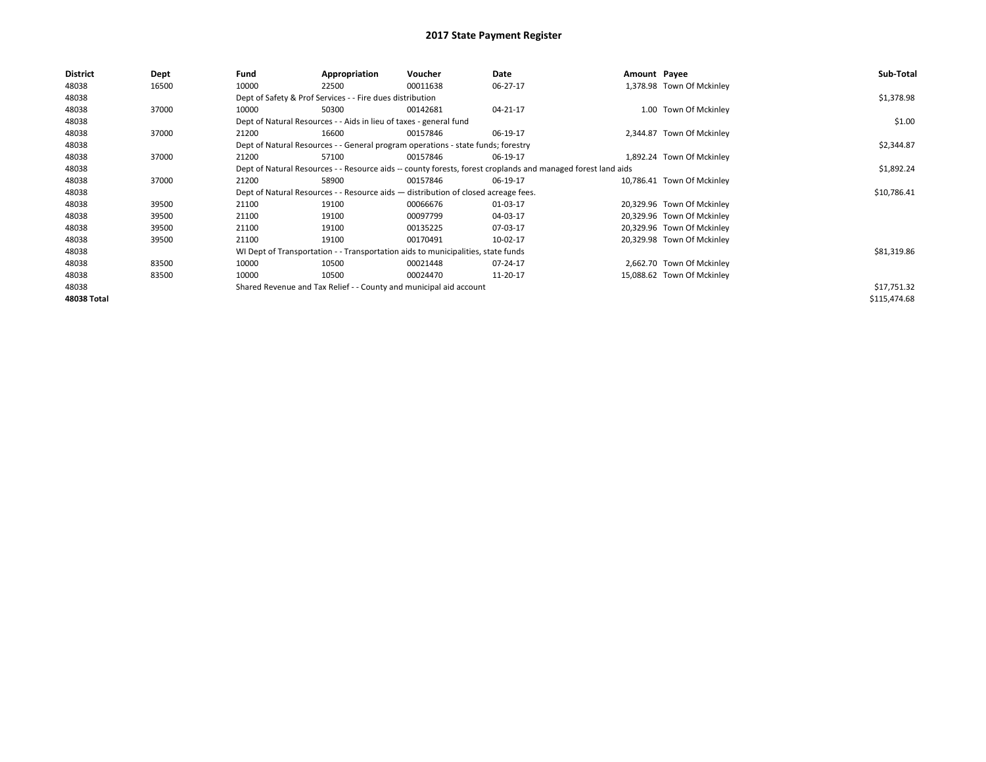| <b>District</b>    | Dept  | Fund  | Appropriation                                                      | Voucher                                                                            | Date                                                                                                         | Amount Payee |                            | Sub-Total    |
|--------------------|-------|-------|--------------------------------------------------------------------|------------------------------------------------------------------------------------|--------------------------------------------------------------------------------------------------------------|--------------|----------------------------|--------------|
| 48038              | 16500 | 10000 | 22500                                                              | 00011638                                                                           | 06-27-17                                                                                                     |              | 1,378.98 Town Of Mckinley  |              |
| 48038              |       |       | Dept of Safety & Prof Services - - Fire dues distribution          |                                                                                    |                                                                                                              |              |                            | \$1,378.98   |
| 48038              | 37000 | 10000 | 50300                                                              | 00142681                                                                           | 04-21-17                                                                                                     |              | 1.00 Town Of Mckinley      |              |
| 48038              |       |       | Dept of Natural Resources - - Aids in lieu of taxes - general fund |                                                                                    |                                                                                                              |              |                            | \$1.00       |
| 48038              | 37000 | 21200 | 16600                                                              | 00157846                                                                           | 06-19-17                                                                                                     |              | 2,344.87 Town Of Mckinley  |              |
| 48038              |       |       |                                                                    | Dept of Natural Resources - - General program operations - state funds; forestry   |                                                                                                              |              |                            | \$2,344.87   |
| 48038              | 37000 | 21200 | 57100                                                              | 00157846                                                                           | 06-19-17                                                                                                     |              | 1,892.24 Town Of Mckinley  |              |
| 48038              |       |       |                                                                    |                                                                                    | Dept of Natural Resources - - Resource aids -- county forests, forest croplands and managed forest land aids |              |                            | \$1,892.24   |
| 48038              | 37000 | 21200 | 58900                                                              | 00157846                                                                           | 06-19-17                                                                                                     |              | 10,786.41 Town Of Mckinley |              |
| 48038              |       |       |                                                                    | Dept of Natural Resources - - Resource aids - distribution of closed acreage fees. |                                                                                                              |              |                            | \$10,786.41  |
| 48038              | 39500 | 21100 | 19100                                                              | 00066676                                                                           | 01-03-17                                                                                                     |              | 20,329.96 Town Of Mckinley |              |
| 48038              | 39500 | 21100 | 19100                                                              | 00097799                                                                           | 04-03-17                                                                                                     |              | 20,329.96 Town Of Mckinley |              |
| 48038              | 39500 | 21100 | 19100                                                              | 00135225                                                                           | 07-03-17                                                                                                     |              | 20,329.96 Town Of Mckinley |              |
| 48038              | 39500 | 21100 | 19100                                                              | 00170491                                                                           | 10-02-17                                                                                                     |              | 20,329.98 Town Of Mckinley |              |
| 48038              |       |       |                                                                    | WI Dept of Transportation - - Transportation aids to municipalities, state funds   |                                                                                                              |              |                            | \$81,319.86  |
| 48038              | 83500 | 10000 | 10500                                                              | 00021448                                                                           | 07-24-17                                                                                                     |              | 2,662.70 Town Of Mckinley  |              |
| 48038              | 83500 | 10000 | 10500                                                              | 00024470                                                                           | 11-20-17                                                                                                     |              | 15,088.62 Town Of Mckinley |              |
| 48038              |       |       |                                                                    | Shared Revenue and Tax Relief - - County and municipal aid account                 |                                                                                                              |              |                            | \$17,751.32  |
| <b>48038 Total</b> |       |       |                                                                    |                                                                                    |                                                                                                              |              |                            | \$115,474.68 |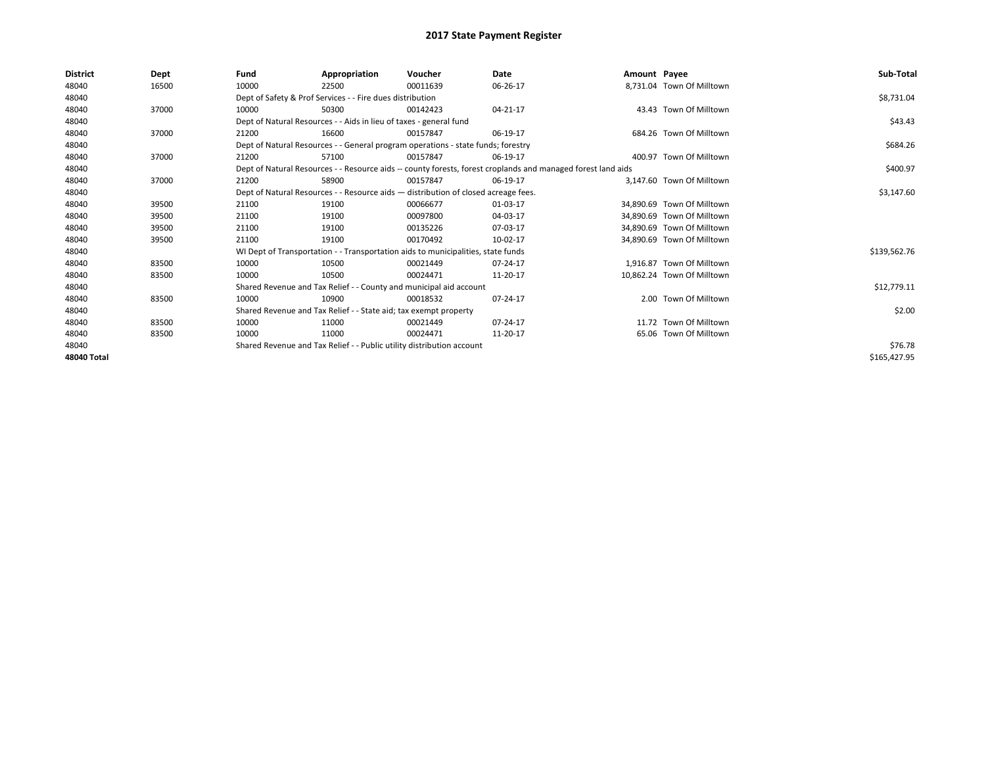| <b>District</b> | Dept  | Fund  | Appropriation                                                                                                | Voucher                                                                            | Date     | Amount Payee |                            | Sub-Total    |
|-----------------|-------|-------|--------------------------------------------------------------------------------------------------------------|------------------------------------------------------------------------------------|----------|--------------|----------------------------|--------------|
| 48040           | 16500 | 10000 | 22500                                                                                                        | 00011639                                                                           | 06-26-17 |              | 8,731.04 Town Of Milltown  |              |
| 48040           |       |       | Dept of Safety & Prof Services - - Fire dues distribution                                                    |                                                                                    |          |              |                            | \$8,731.04   |
| 48040           | 37000 | 10000 | 50300                                                                                                        | 00142423                                                                           | 04-21-17 |              | 43.43 Town Of Milltown     |              |
| 48040           |       |       | Dept of Natural Resources - - Aids in lieu of taxes - general fund                                           |                                                                                    |          |              |                            | \$43.43      |
| 48040           | 37000 | 21200 | 16600                                                                                                        | 00157847                                                                           | 06-19-17 |              | 684.26 Town Of Milltown    |              |
| 48040           |       |       |                                                                                                              | Dept of Natural Resources - - General program operations - state funds; forestry   |          |              |                            | \$684.26     |
| 48040           | 37000 | 21200 | 57100                                                                                                        | 00157847                                                                           | 06-19-17 |              | 400.97 Town Of Milltown    |              |
| 48040           |       |       | Dept of Natural Resources - - Resource aids -- county forests, forest croplands and managed forest land aids |                                                                                    | \$400.97 |              |                            |              |
| 48040           | 37000 | 21200 | 58900                                                                                                        | 00157847                                                                           | 06-19-17 |              | 3.147.60 Town Of Milltown  |              |
| 48040           |       |       |                                                                                                              | Dept of Natural Resources - - Resource aids - distribution of closed acreage fees. |          |              |                            | \$3,147.60   |
| 48040           | 39500 | 21100 | 19100                                                                                                        | 00066677                                                                           | 01-03-17 |              | 34,890.69 Town Of Milltown |              |
| 48040           | 39500 | 21100 | 19100                                                                                                        | 00097800                                                                           | 04-03-17 |              | 34.890.69 Town Of Milltown |              |
| 48040           | 39500 | 21100 | 19100                                                                                                        | 00135226                                                                           | 07-03-17 |              | 34.890.69 Town Of Milltown |              |
| 48040           | 39500 | 21100 | 19100                                                                                                        | 00170492                                                                           | 10-02-17 |              | 34,890.69 Town Of Milltown |              |
| 48040           |       |       |                                                                                                              | WI Dept of Transportation - - Transportation aids to municipalities, state funds   |          |              |                            | \$139,562.76 |
| 48040           | 83500 | 10000 | 10500                                                                                                        | 00021449                                                                           | 07-24-17 |              | 1,916.87 Town Of Milltown  |              |
| 48040           | 83500 | 10000 | 10500                                                                                                        | 00024471                                                                           | 11-20-17 |              | 10.862.24 Town Of Milltown |              |
| 48040           |       |       |                                                                                                              | Shared Revenue and Tax Relief - - County and municipal aid account                 |          |              |                            | \$12,779.11  |
| 48040           | 83500 | 10000 | 10900                                                                                                        | 00018532                                                                           | 07-24-17 |              | 2.00 Town Of Milltown      |              |
| 48040           |       |       | Shared Revenue and Tax Relief - - State aid; tax exempt property                                             |                                                                                    |          |              |                            | \$2.00       |
| 48040           | 83500 | 10000 | 11000                                                                                                        | 00021449                                                                           | 07-24-17 |              | 11.72 Town Of Milltown     |              |
| 48040           | 83500 | 10000 | 11000                                                                                                        | 00024471                                                                           | 11-20-17 |              | 65.06 Town Of Milltown     |              |
| 48040           |       |       | Shared Revenue and Tax Relief - - Public utility distribution account                                        |                                                                                    | \$76.78  |              |                            |              |
| 48040 Total     |       |       |                                                                                                              |                                                                                    |          |              |                            | \$165,427.95 |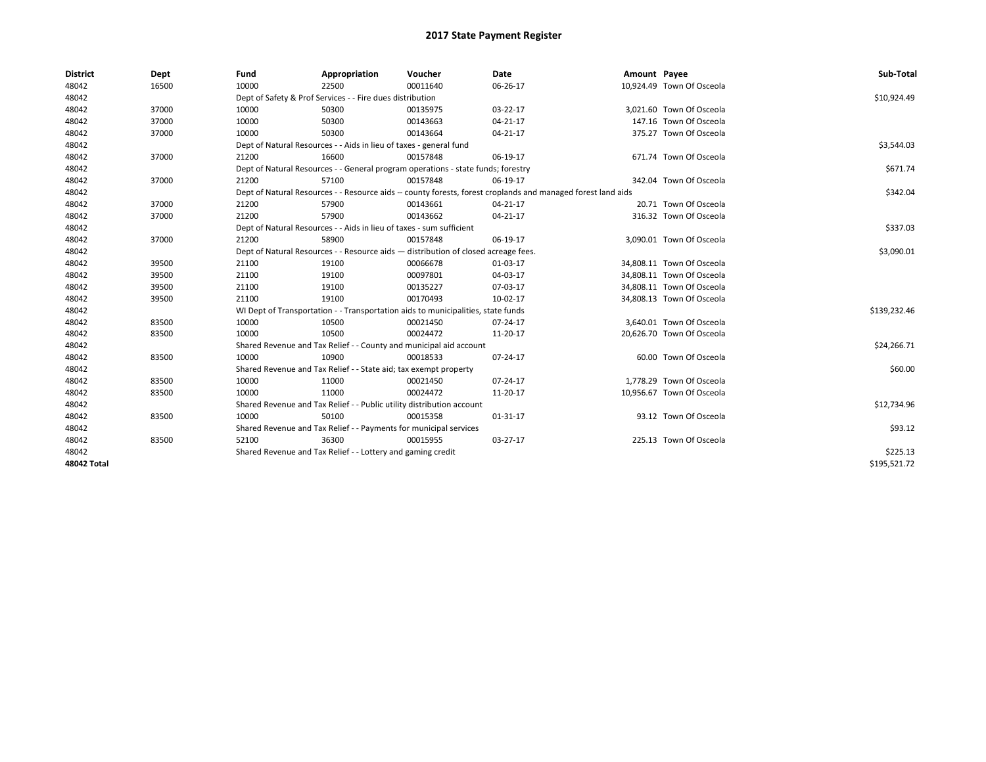| <b>District</b>    | Dept  | Fund  | Appropriation                                                         | Voucher                                                                            | <b>Date</b>                                                                                                  | Amount Payee |                           | Sub-Total    |
|--------------------|-------|-------|-----------------------------------------------------------------------|------------------------------------------------------------------------------------|--------------------------------------------------------------------------------------------------------------|--------------|---------------------------|--------------|
| 48042              | 16500 | 10000 | 22500                                                                 | 00011640                                                                           | 06-26-17                                                                                                     |              | 10,924.49 Town Of Osceola |              |
| 48042              |       |       | Dept of Safety & Prof Services - - Fire dues distribution             |                                                                                    |                                                                                                              |              |                           | \$10,924.49  |
| 48042              | 37000 | 10000 | 50300                                                                 | 00135975                                                                           | 03-22-17                                                                                                     |              | 3,021.60 Town Of Osceola  |              |
| 48042              | 37000 | 10000 | 50300                                                                 | 00143663                                                                           | 04-21-17                                                                                                     |              | 147.16 Town Of Osceola    |              |
| 48042              | 37000 | 10000 | 50300                                                                 | 00143664                                                                           | 04-21-17                                                                                                     |              | 375.27 Town Of Osceola    |              |
| 48042              |       |       | Dept of Natural Resources - - Aids in lieu of taxes - general fund    |                                                                                    |                                                                                                              |              |                           | \$3,544.03   |
| 48042              | 37000 | 21200 | 16600                                                                 | 00157848                                                                           | 06-19-17                                                                                                     |              | 671.74 Town Of Osceola    |              |
| 48042              |       |       |                                                                       | Dept of Natural Resources - - General program operations - state funds; forestry   |                                                                                                              |              |                           | \$671.74     |
| 48042              | 37000 | 21200 | 57100                                                                 | 00157848                                                                           | 06-19-17                                                                                                     |              | 342.04 Town Of Osceola    |              |
| 48042              |       |       |                                                                       |                                                                                    | Dept of Natural Resources - - Resource aids -- county forests, forest croplands and managed forest land aids |              |                           | \$342.04     |
| 48042              | 37000 | 21200 | 57900                                                                 | 00143661                                                                           | 04-21-17                                                                                                     |              | 20.71 Town Of Osceola     |              |
| 48042              | 37000 | 21200 | 57900                                                                 | 00143662                                                                           | 04-21-17                                                                                                     |              | 316.32 Town Of Osceola    |              |
| 48042              |       |       | Dept of Natural Resources - - Aids in lieu of taxes - sum sufficient  |                                                                                    |                                                                                                              |              |                           | \$337.03     |
| 48042              | 37000 | 21200 | 58900                                                                 | 00157848                                                                           | 06-19-17                                                                                                     |              | 3,090.01 Town Of Osceola  |              |
| 48042              |       |       |                                                                       | Dept of Natural Resources - - Resource aids - distribution of closed acreage fees. |                                                                                                              |              |                           | \$3,090.01   |
| 48042              | 39500 | 21100 | 19100                                                                 | 00066678                                                                           | 01-03-17                                                                                                     |              | 34,808.11 Town Of Osceola |              |
| 48042              | 39500 | 21100 | 19100                                                                 | 00097801                                                                           | 04-03-17                                                                                                     |              | 34,808.11 Town Of Osceola |              |
| 48042              | 39500 | 21100 | 19100                                                                 | 00135227                                                                           | 07-03-17                                                                                                     |              | 34,808.11 Town Of Osceola |              |
| 48042              | 39500 | 21100 | 19100                                                                 | 00170493                                                                           | 10-02-17                                                                                                     |              | 34,808.13 Town Of Osceola |              |
| 48042              |       |       |                                                                       | WI Dept of Transportation - - Transportation aids to municipalities, state funds   |                                                                                                              |              |                           | \$139,232.46 |
| 48042              | 83500 | 10000 | 10500                                                                 | 00021450                                                                           | 07-24-17                                                                                                     |              | 3,640.01 Town Of Osceola  |              |
| 48042              | 83500 | 10000 | 10500                                                                 | 00024472                                                                           | 11-20-17                                                                                                     |              | 20,626.70 Town Of Osceola |              |
| 48042              |       |       |                                                                       | Shared Revenue and Tax Relief - - County and municipal aid account                 |                                                                                                              |              |                           | \$24,266.71  |
| 48042              | 83500 | 10000 | 10900                                                                 | 00018533                                                                           | 07-24-17                                                                                                     |              | 60.00 Town Of Osceola     |              |
| 48042              |       |       | Shared Revenue and Tax Relief - - State aid; tax exempt property      |                                                                                    |                                                                                                              |              |                           | \$60.00      |
| 48042              | 83500 | 10000 | 11000                                                                 | 00021450                                                                           | 07-24-17                                                                                                     |              | 1,778.29 Town Of Osceola  |              |
| 48042              | 83500 | 10000 | 11000                                                                 | 00024472                                                                           | 11-20-17                                                                                                     |              | 10,956.67 Town Of Osceola |              |
| 48042              |       |       | Shared Revenue and Tax Relief - - Public utility distribution account |                                                                                    |                                                                                                              |              |                           | \$12,734.96  |
| 48042              | 83500 | 10000 | 50100                                                                 | 00015358                                                                           | 01-31-17                                                                                                     |              | 93.12 Town Of Osceola     |              |
| 48042              |       |       | Shared Revenue and Tax Relief - - Payments for municipal services     |                                                                                    |                                                                                                              |              |                           | \$93.12      |
| 48042              | 83500 | 52100 | 36300                                                                 | 00015955                                                                           | 03-27-17                                                                                                     |              | 225.13 Town Of Osceola    |              |
| 48042              |       |       | Shared Revenue and Tax Relief - - Lottery and gaming credit           |                                                                                    |                                                                                                              |              |                           | \$225.13     |
| <b>48042 Total</b> |       |       |                                                                       |                                                                                    |                                                                                                              |              |                           | \$195,521.72 |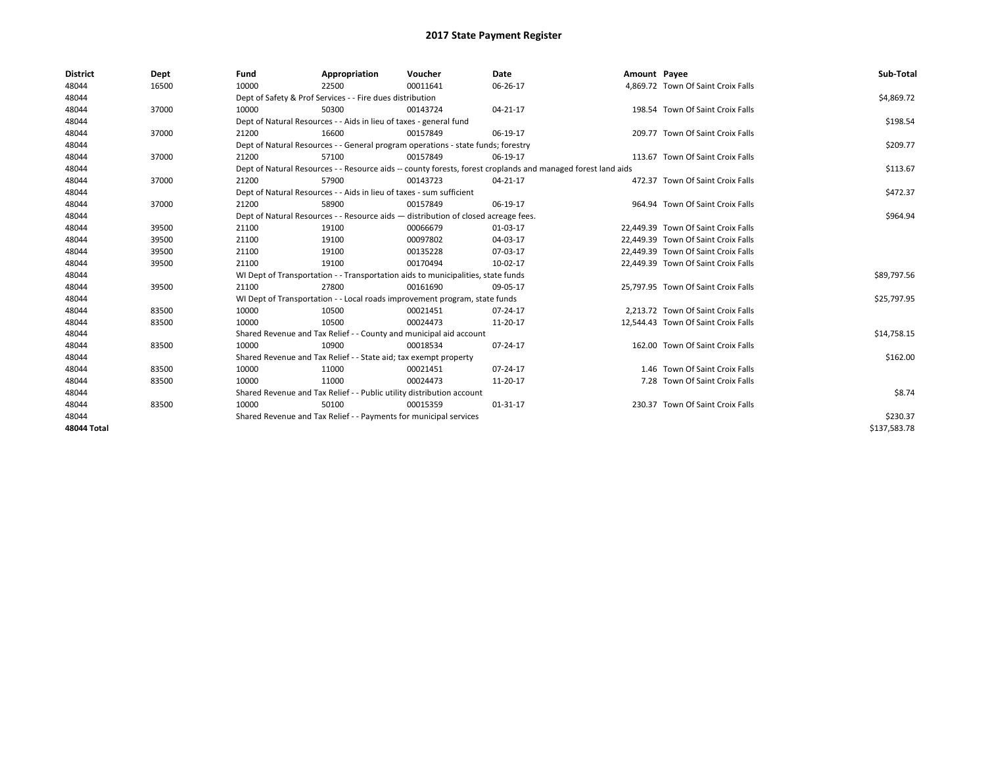| <b>District</b>    | Dept  | Fund                                                              | Appropriation                                                                      | Voucher  | Date                                                                                                         | Amount Payee |                                     | Sub-Total    |
|--------------------|-------|-------------------------------------------------------------------|------------------------------------------------------------------------------------|----------|--------------------------------------------------------------------------------------------------------------|--------------|-------------------------------------|--------------|
| 48044              | 16500 | 10000                                                             | 22500                                                                              | 00011641 | 06-26-17                                                                                                     |              | 4,869.72 Town Of Saint Croix Falls  |              |
| 48044              |       |                                                                   | Dept of Safety & Prof Services - - Fire dues distribution                          |          |                                                                                                              |              |                                     | \$4,869.72   |
| 48044              | 37000 | 10000                                                             | 50300                                                                              | 00143724 | 04-21-17                                                                                                     |              | 198.54 Town Of Saint Croix Falls    |              |
| 48044              |       |                                                                   | Dept of Natural Resources - - Aids in lieu of taxes - general fund                 |          |                                                                                                              |              |                                     | \$198.54     |
| 48044              | 37000 | 21200                                                             | 16600                                                                              | 00157849 | 06-19-17                                                                                                     |              | 209.77 Town Of Saint Croix Falls    |              |
| 48044              |       |                                                                   | Dept of Natural Resources - - General program operations - state funds; forestry   |          |                                                                                                              |              |                                     | \$209.77     |
| 48044              | 37000 | 21200                                                             | 57100                                                                              | 00157849 | 06-19-17                                                                                                     |              | 113.67 Town Of Saint Croix Falls    |              |
| 48044              |       |                                                                   |                                                                                    |          | Dept of Natural Resources - - Resource aids -- county forests, forest croplands and managed forest land aids |              |                                     | \$113.67     |
| 48044              | 37000 | 21200                                                             | 57900                                                                              | 00143723 | 04-21-17                                                                                                     |              | 472.37 Town Of Saint Croix Falls    |              |
| 48044              |       |                                                                   | Dept of Natural Resources - - Aids in lieu of taxes - sum sufficient               |          |                                                                                                              |              |                                     | \$472.37     |
| 48044              | 37000 | 21200                                                             | 58900                                                                              | 00157849 | 06-19-17                                                                                                     |              | 964.94 Town Of Saint Croix Falls    |              |
| 48044              |       |                                                                   | Dept of Natural Resources - - Resource aids - distribution of closed acreage fees. |          |                                                                                                              |              |                                     | \$964.94     |
| 48044              | 39500 | 21100                                                             | 19100                                                                              | 00066679 | 01-03-17                                                                                                     |              | 22,449.39 Town Of Saint Croix Falls |              |
| 48044              | 39500 | 21100                                                             | 19100                                                                              | 00097802 | 04-03-17                                                                                                     |              | 22,449.39 Town Of Saint Croix Falls |              |
| 48044              | 39500 | 21100                                                             | 19100                                                                              | 00135228 | 07-03-17                                                                                                     |              | 22,449.39 Town Of Saint Croix Falls |              |
| 48044              | 39500 | 21100                                                             | 19100                                                                              | 00170494 | 10-02-17                                                                                                     |              | 22,449.39 Town Of Saint Croix Falls |              |
| 48044              |       |                                                                   | WI Dept of Transportation - - Transportation aids to municipalities, state funds   |          |                                                                                                              |              |                                     | \$89,797.56  |
| 48044              | 39500 | 21100                                                             | 27800                                                                              | 00161690 | 09-05-17                                                                                                     |              | 25,797.95 Town Of Saint Croix Falls |              |
| 48044              |       |                                                                   | WI Dept of Transportation - - Local roads improvement program, state funds         |          |                                                                                                              |              |                                     | \$25,797.95  |
| 48044              | 83500 | 10000                                                             | 10500                                                                              | 00021451 | 07-24-17                                                                                                     |              | 2.213.72 Town Of Saint Croix Falls  |              |
| 48044              | 83500 | 10000                                                             | 10500                                                                              | 00024473 | 11-20-17                                                                                                     |              | 12.544.43 Town Of Saint Croix Falls |              |
| 48044              |       |                                                                   | Shared Revenue and Tax Relief - - County and municipal aid account                 |          |                                                                                                              |              |                                     | \$14,758.15  |
| 48044              | 83500 | 10000                                                             | 10900                                                                              | 00018534 | 07-24-17                                                                                                     |              | 162.00 Town Of Saint Croix Falls    |              |
| 48044              |       |                                                                   | Shared Revenue and Tax Relief - - State aid; tax exempt property                   |          |                                                                                                              |              |                                     | \$162.00     |
| 48044              | 83500 | 10000                                                             | 11000                                                                              | 00021451 | 07-24-17                                                                                                     |              | 1.46 Town Of Saint Croix Falls      |              |
| 48044              | 83500 | 10000                                                             | 11000                                                                              | 00024473 | 11-20-17                                                                                                     |              | 7.28 Town Of Saint Croix Falls      |              |
| 48044              |       |                                                                   | Shared Revenue and Tax Relief - - Public utility distribution account              |          |                                                                                                              |              |                                     | \$8.74       |
| 48044              | 83500 | 10000                                                             | 50100                                                                              | 00015359 | 01-31-17                                                                                                     |              | 230.37 Town Of Saint Croix Falls    |              |
| 48044              |       | Shared Revenue and Tax Relief - - Payments for municipal services |                                                                                    | \$230.37 |                                                                                                              |              |                                     |              |
| <b>48044 Total</b> |       |                                                                   |                                                                                    |          |                                                                                                              |              |                                     | \$137,583.78 |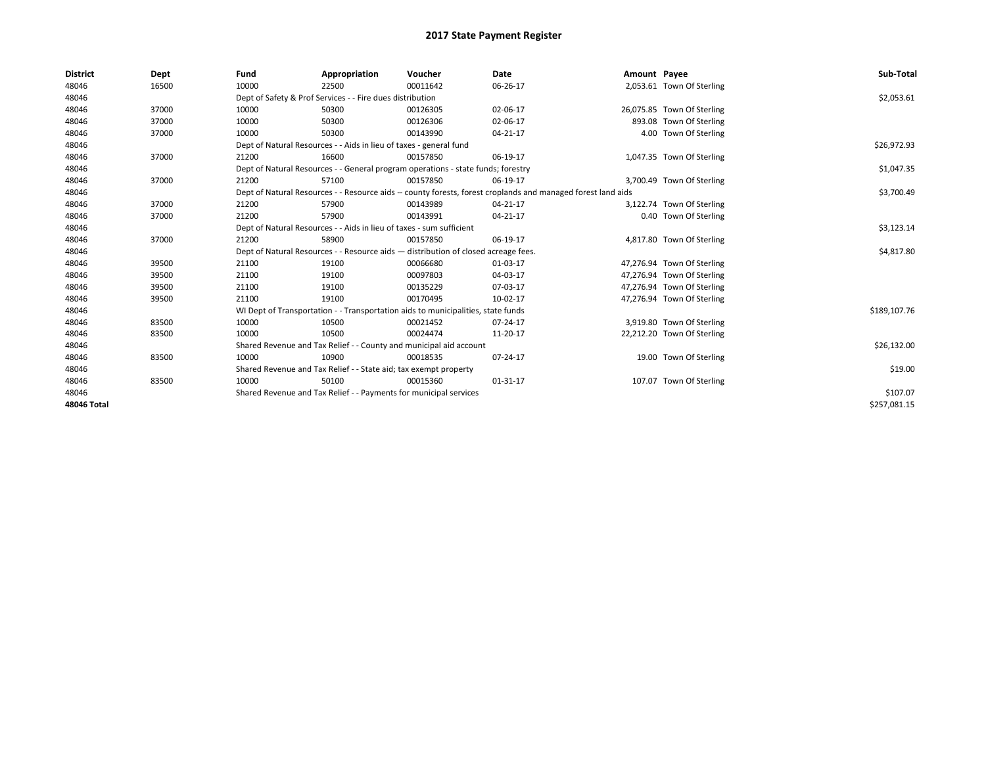| <b>District</b> | Dept  | Fund  | Appropriation                                                                                                | Voucher  | <b>Date</b> | Amount Payee |                            | Sub-Total    |
|-----------------|-------|-------|--------------------------------------------------------------------------------------------------------------|----------|-------------|--------------|----------------------------|--------------|
| 48046           | 16500 | 10000 | 22500                                                                                                        | 00011642 | 06-26-17    |              | 2,053.61 Town Of Sterling  |              |
| 48046           |       |       | Dept of Safety & Prof Services - - Fire dues distribution                                                    |          |             |              |                            | \$2,053.61   |
| 48046           | 37000 | 10000 | 50300                                                                                                        | 00126305 | 02-06-17    |              | 26,075.85 Town Of Sterling |              |
| 48046           | 37000 | 10000 | 50300                                                                                                        | 00126306 | 02-06-17    |              | 893.08 Town Of Sterling    |              |
| 48046           | 37000 | 10000 | 50300                                                                                                        | 00143990 | 04-21-17    |              | 4.00 Town Of Sterling      |              |
| 48046           |       |       | Dept of Natural Resources - - Aids in lieu of taxes - general fund                                           |          |             |              |                            | \$26,972.93  |
| 48046           | 37000 | 21200 | 16600                                                                                                        | 00157850 | 06-19-17    |              | 1,047.35 Town Of Sterling  |              |
| 48046           |       |       | Dept of Natural Resources - - General program operations - state funds; forestry                             |          |             |              |                            | \$1,047.35   |
| 48046           | 37000 | 21200 | 57100                                                                                                        | 00157850 | 06-19-17    |              | 3,700.49 Town Of Sterling  |              |
| 48046           |       |       | Dept of Natural Resources - - Resource aids -- county forests, forest croplands and managed forest land aids |          |             |              |                            | \$3,700.49   |
| 48046           | 37000 | 21200 | 57900                                                                                                        | 00143989 | 04-21-17    |              | 3,122.74 Town Of Sterling  |              |
| 48046           | 37000 | 21200 | 57900                                                                                                        | 00143991 | 04-21-17    |              | 0.40 Town Of Sterling      |              |
| 48046           |       |       | Dept of Natural Resources - - Aids in lieu of taxes - sum sufficient                                         |          |             |              |                            | \$3,123.14   |
| 48046           | 37000 | 21200 | 58900                                                                                                        | 00157850 | 06-19-17    |              | 4,817.80 Town Of Sterling  |              |
| 48046           |       |       | Dept of Natural Resources - - Resource aids - distribution of closed acreage fees.                           |          |             |              |                            | \$4,817.80   |
| 48046           | 39500 | 21100 | 19100                                                                                                        | 00066680 | 01-03-17    |              | 47,276.94 Town Of Sterling |              |
| 48046           | 39500 | 21100 | 19100                                                                                                        | 00097803 | 04-03-17    |              | 47,276.94 Town Of Sterling |              |
| 48046           | 39500 | 21100 | 19100                                                                                                        | 00135229 | 07-03-17    |              | 47,276.94 Town Of Sterling |              |
| 48046           | 39500 | 21100 | 19100                                                                                                        | 00170495 | 10-02-17    |              | 47,276.94 Town Of Sterling |              |
| 48046           |       |       | WI Dept of Transportation - - Transportation aids to municipalities, state funds                             |          |             |              |                            | \$189,107.76 |
| 48046           | 83500 | 10000 | 10500                                                                                                        | 00021452 | 07-24-17    |              | 3,919.80 Town Of Sterling  |              |
| 48046           | 83500 | 10000 | 10500                                                                                                        | 00024474 | 11-20-17    |              | 22,212.20 Town Of Sterling |              |
| 48046           |       |       | Shared Revenue and Tax Relief - - County and municipal aid account                                           |          |             |              |                            | \$26,132.00  |
| 48046           | 83500 | 10000 | 10900                                                                                                        | 00018535 | 07-24-17    |              | 19.00 Town Of Sterling     |              |
| 48046           |       |       | Shared Revenue and Tax Relief - - State aid; tax exempt property                                             |          |             |              |                            | \$19.00      |
| 48046           | 83500 | 10000 | 50100                                                                                                        | 00015360 | 01-31-17    |              | 107.07 Town Of Sterling    |              |
| 48046           |       |       | Shared Revenue and Tax Relief - - Payments for municipal services                                            |          |             |              |                            | \$107.07     |
| 48046 Total     |       |       |                                                                                                              |          |             |              |                            | \$257,081.15 |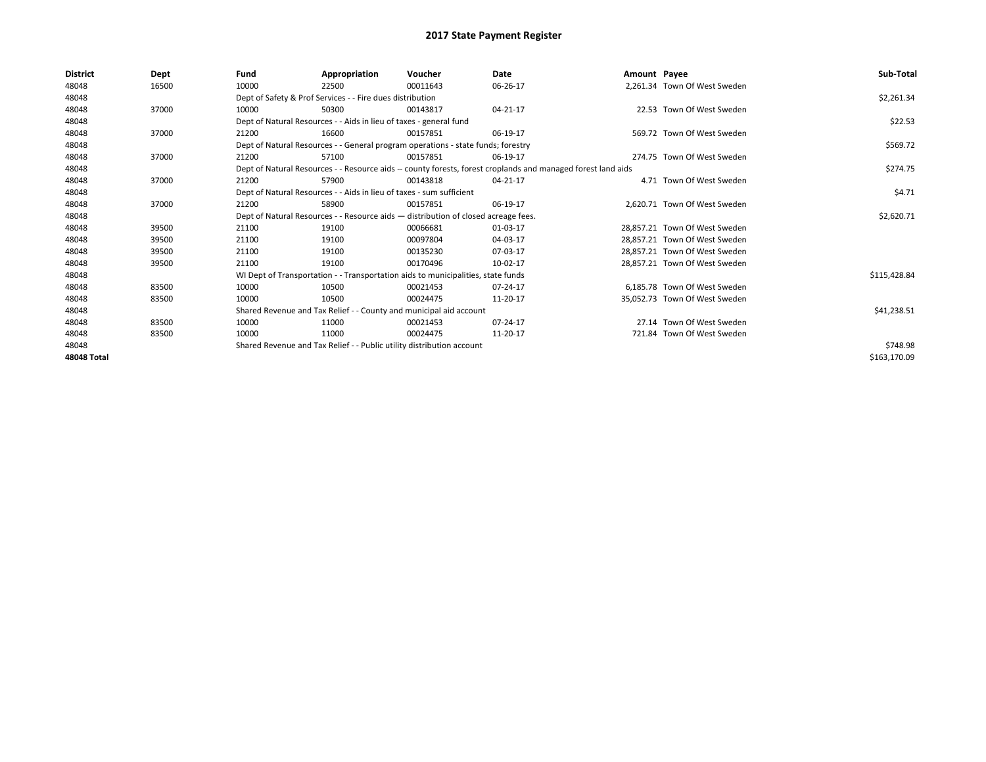| <b>District</b> | Dept  | Fund  | Appropriation                                                         | Voucher                                                                            | Date                                                                                                         | Amount Payee |                               | Sub-Total    |
|-----------------|-------|-------|-----------------------------------------------------------------------|------------------------------------------------------------------------------------|--------------------------------------------------------------------------------------------------------------|--------------|-------------------------------|--------------|
| 48048           | 16500 | 10000 | 22500                                                                 | 00011643                                                                           | 06-26-17                                                                                                     |              | 2.261.34 Town Of West Sweden  |              |
| 48048           |       |       | Dept of Safety & Prof Services - - Fire dues distribution             |                                                                                    |                                                                                                              |              |                               | \$2,261.34   |
| 48048           | 37000 | 10000 | 50300                                                                 | 00143817                                                                           | 04-21-17                                                                                                     |              | 22.53 Town Of West Sweden     |              |
| 48048           |       |       | Dept of Natural Resources - - Aids in lieu of taxes - general fund    |                                                                                    |                                                                                                              |              |                               | \$22.53      |
| 48048           | 37000 | 21200 | 16600                                                                 | 00157851                                                                           | 06-19-17                                                                                                     |              | 569.72 Town Of West Sweden    |              |
| 48048           |       |       |                                                                       | Dept of Natural Resources - - General program operations - state funds; forestry   |                                                                                                              |              |                               | \$569.72     |
| 48048           | 37000 | 21200 | 57100                                                                 | 00157851                                                                           | 06-19-17                                                                                                     |              | 274.75 Town Of West Sweden    |              |
| 48048           |       |       |                                                                       |                                                                                    | Dept of Natural Resources - - Resource aids -- county forests, forest croplands and managed forest land aids |              |                               | \$274.75     |
| 48048           | 37000 | 21200 | 57900                                                                 | 00143818                                                                           | 04-21-17                                                                                                     |              | 4.71 Town Of West Sweden      |              |
| 48048           |       |       | Dept of Natural Resources - - Aids in lieu of taxes - sum sufficient  |                                                                                    |                                                                                                              |              |                               | \$4.71       |
| 48048           | 37000 | 21200 | 58900                                                                 | 00157851                                                                           | 06-19-17                                                                                                     |              | 2.620.71 Town Of West Sweden  |              |
| 48048           |       |       |                                                                       | Dept of Natural Resources - - Resource aids - distribution of closed acreage fees. |                                                                                                              |              |                               | \$2,620.71   |
| 48048           | 39500 | 21100 | 19100                                                                 | 00066681                                                                           | 01-03-17                                                                                                     |              | 28,857.21 Town Of West Sweden |              |
| 48048           | 39500 | 21100 | 19100                                                                 | 00097804                                                                           | 04-03-17                                                                                                     |              | 28,857.21 Town Of West Sweden |              |
| 48048           | 39500 | 21100 | 19100                                                                 | 00135230                                                                           | 07-03-17                                                                                                     |              | 28,857.21 Town Of West Sweden |              |
| 48048           | 39500 | 21100 | 19100                                                                 | 00170496                                                                           | 10-02-17                                                                                                     |              | 28,857.21 Town Of West Sweden |              |
| 48048           |       |       |                                                                       | WI Dept of Transportation - - Transportation aids to municipalities, state funds   |                                                                                                              |              |                               | \$115,428.84 |
| 48048           | 83500 | 10000 | 10500                                                                 | 00021453                                                                           | 07-24-17                                                                                                     |              | 6,185.78 Town Of West Sweden  |              |
| 48048           | 83500 | 10000 | 10500                                                                 | 00024475                                                                           | 11-20-17                                                                                                     |              | 35,052.73 Town Of West Sweden |              |
| 48048           |       |       |                                                                       | Shared Revenue and Tax Relief - - County and municipal aid account                 |                                                                                                              |              |                               | \$41,238.51  |
| 48048           | 83500 | 10000 | 11000                                                                 | 00021453                                                                           | 07-24-17                                                                                                     |              | 27.14 Town Of West Sweden     |              |
| 48048           | 83500 | 10000 | 11000                                                                 | 00024475                                                                           | 11-20-17                                                                                                     |              | 721.84 Town Of West Sweden    |              |
| 48048           |       |       | Shared Revenue and Tax Relief - - Public utility distribution account |                                                                                    |                                                                                                              |              |                               | \$748.98     |
| 48048 Total     |       |       |                                                                       |                                                                                    |                                                                                                              |              |                               | \$163,170.09 |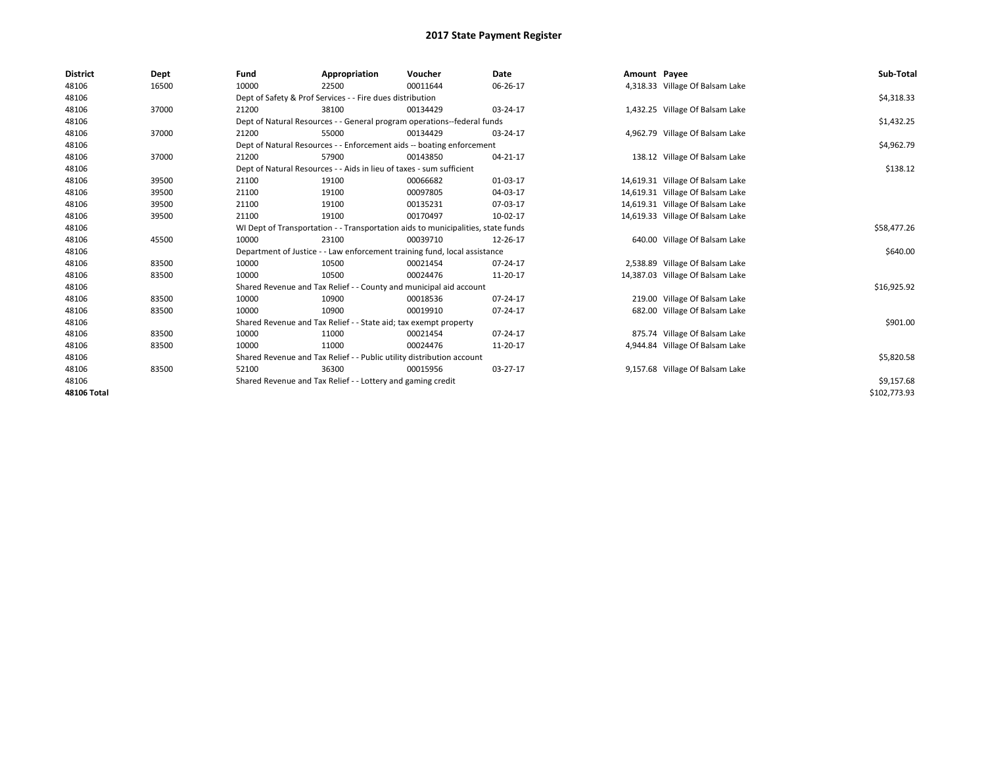| <b>District</b>    | Dept  | Fund  | Appropriation                                                                    | Voucher  | Date     | Amount Payee |                                  | Sub-Total    |  |  |
|--------------------|-------|-------|----------------------------------------------------------------------------------|----------|----------|--------------|----------------------------------|--------------|--|--|
| 48106              | 16500 | 10000 | 22500                                                                            | 00011644 | 06-26-17 |              | 4,318.33 Village Of Balsam Lake  |              |  |  |
| 48106              |       |       | Dept of Safety & Prof Services - - Fire dues distribution                        |          |          |              |                                  | \$4,318.33   |  |  |
| 48106              | 37000 | 21200 | 38100                                                                            | 00134429 | 03-24-17 |              | 1,432.25 Village Of Balsam Lake  |              |  |  |
| 48106              |       |       | Dept of Natural Resources - - General program operations--federal funds          |          |          |              |                                  | \$1,432.25   |  |  |
| 48106              | 37000 | 21200 | 55000                                                                            | 00134429 | 03-24-17 |              | 4,962.79 Village Of Balsam Lake  |              |  |  |
| 48106              |       |       | Dept of Natural Resources - - Enforcement aids -- boating enforcement            |          |          |              |                                  | \$4,962.79   |  |  |
| 48106              | 37000 | 21200 | 57900                                                                            | 00143850 | 04-21-17 |              | 138.12 Village Of Balsam Lake    |              |  |  |
| 48106              |       |       | Dept of Natural Resources - - Aids in lieu of taxes - sum sufficient             |          |          |              |                                  | \$138.12     |  |  |
| 48106              | 39500 | 21100 | 19100                                                                            | 00066682 | 01-03-17 |              | 14,619.31 Village Of Balsam Lake |              |  |  |
| 48106              | 39500 | 21100 | 19100                                                                            | 00097805 | 04-03-17 |              | 14,619.31 Village Of Balsam Lake |              |  |  |
| 48106              | 39500 | 21100 | 19100                                                                            | 00135231 | 07-03-17 |              | 14,619.31 Village Of Balsam Lake |              |  |  |
| 48106              | 39500 | 21100 | 19100                                                                            | 00170497 | 10-02-17 |              | 14,619.33 Village Of Balsam Lake |              |  |  |
| 48106              |       |       | WI Dept of Transportation - - Transportation aids to municipalities, state funds |          |          |              |                                  |              |  |  |
| 48106              | 45500 | 10000 | 23100                                                                            | 00039710 | 12-26-17 |              | 640.00 Village Of Balsam Lake    |              |  |  |
| 48106              |       |       | Department of Justice - - Law enforcement training fund, local assistance        |          |          |              |                                  | \$640.00     |  |  |
| 48106              | 83500 | 10000 | 10500                                                                            | 00021454 | 07-24-17 |              | 2,538.89 Village Of Balsam Lake  |              |  |  |
| 48106              | 83500 | 10000 | 10500                                                                            | 00024476 | 11-20-17 |              | 14,387.03 Village Of Balsam Lake |              |  |  |
| 48106              |       |       | Shared Revenue and Tax Relief - - County and municipal aid account               |          |          |              |                                  | \$16,925.92  |  |  |
| 48106              | 83500 | 10000 | 10900                                                                            | 00018536 | 07-24-17 |              | 219.00 Village Of Balsam Lake    |              |  |  |
| 48106              | 83500 | 10000 | 10900                                                                            | 00019910 | 07-24-17 |              | 682.00 Village Of Balsam Lake    |              |  |  |
| 48106              |       |       | Shared Revenue and Tax Relief - - State aid; tax exempt property                 |          |          |              |                                  | \$901.00     |  |  |
| 48106              | 83500 | 10000 | 11000                                                                            | 00021454 | 07-24-17 |              | 875.74 Village Of Balsam Lake    |              |  |  |
| 48106              | 83500 | 10000 | 11000                                                                            | 00024476 | 11-20-17 |              | 4,944.84 Village Of Balsam Lake  |              |  |  |
| 48106              |       |       | Shared Revenue and Tax Relief - - Public utility distribution account            |          |          |              |                                  | \$5,820.58   |  |  |
| 48106              | 83500 | 52100 | 36300                                                                            | 00015956 | 03-27-17 |              | 9,157.68 Village Of Balsam Lake  |              |  |  |
| 48106              |       |       | Shared Revenue and Tax Relief - - Lottery and gaming credit                      |          |          |              |                                  |              |  |  |
| <b>48106 Total</b> |       |       |                                                                                  |          |          |              |                                  | \$102,773.93 |  |  |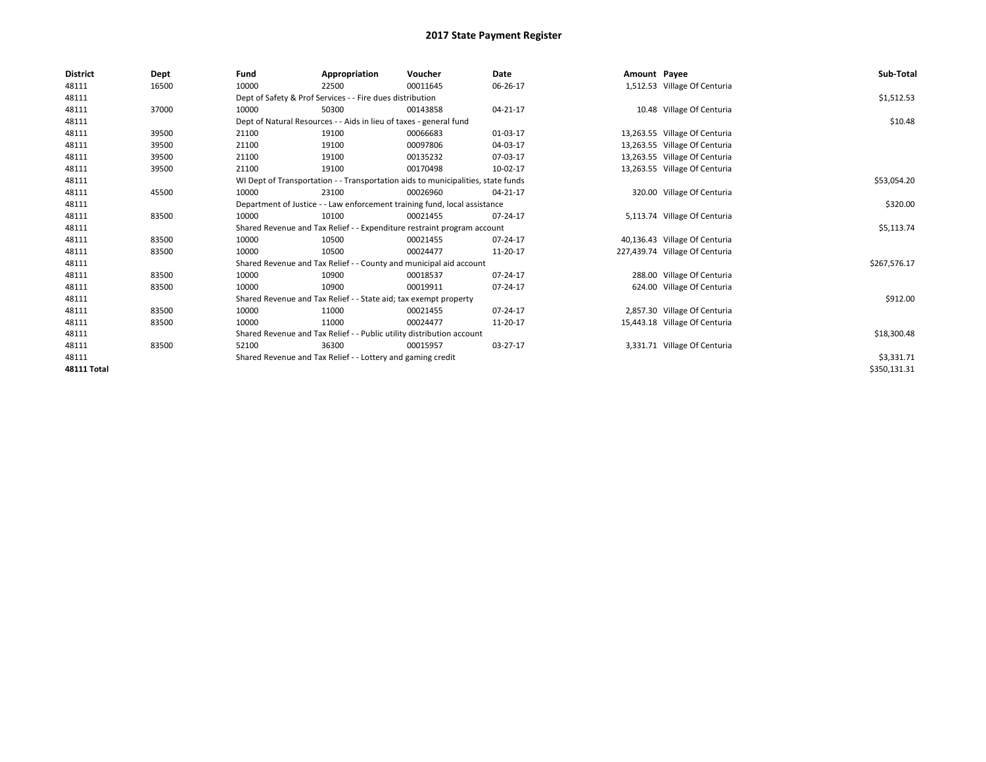| <b>District</b>    | Dept  | Fund  | Appropriation                                                                    | Voucher  | Date     | Amount Payee |                                | Sub-Total    |
|--------------------|-------|-------|----------------------------------------------------------------------------------|----------|----------|--------------|--------------------------------|--------------|
| 48111              | 16500 | 10000 | 22500                                                                            | 00011645 | 06-26-17 |              | 1,512.53 Village Of Centuria   |              |
| 48111              |       |       | Dept of Safety & Prof Services - - Fire dues distribution                        |          |          |              |                                | \$1,512.53   |
| 48111              | 37000 | 10000 | 50300                                                                            | 00143858 | 04-21-17 |              | 10.48 Village Of Centuria      |              |
| 48111              |       |       | Dept of Natural Resources - - Aids in lieu of taxes - general fund               |          |          |              |                                | \$10.48      |
| 48111              | 39500 | 21100 | 19100                                                                            | 00066683 | 01-03-17 |              | 13,263.55 Village Of Centuria  |              |
| 48111              | 39500 | 21100 | 19100                                                                            | 00097806 | 04-03-17 |              | 13,263.55 Village Of Centuria  |              |
| 48111              | 39500 | 21100 | 19100                                                                            | 00135232 | 07-03-17 |              | 13,263.55 Village Of Centuria  |              |
| 48111              | 39500 | 21100 | 19100                                                                            | 00170498 | 10-02-17 |              | 13,263.55 Village Of Centuria  |              |
| 48111              |       |       | WI Dept of Transportation - - Transportation aids to municipalities, state funds |          |          |              |                                | \$53,054.20  |
| 48111              | 45500 | 10000 | 23100                                                                            | 00026960 | 04-21-17 |              | 320.00 Village Of Centuria     |              |
| 48111              |       |       | Department of Justice - - Law enforcement training fund, local assistance        |          |          |              |                                | \$320.00     |
| 48111              | 83500 | 10000 | 10100                                                                            | 00021455 | 07-24-17 |              | 5,113.74 Village Of Centuria   |              |
| 48111              |       |       | Shared Revenue and Tax Relief - - Expenditure restraint program account          |          |          |              |                                | \$5,113.74   |
| 48111              | 83500 | 10000 | 10500                                                                            | 00021455 | 07-24-17 |              | 40,136.43 Village Of Centuria  |              |
| 48111              | 83500 | 10000 | 10500                                                                            | 00024477 | 11-20-17 |              | 227,439.74 Village Of Centuria |              |
| 48111              |       |       | Shared Revenue and Tax Relief - - County and municipal aid account               |          |          |              |                                | \$267,576.17 |
| 48111              | 83500 | 10000 | 10900                                                                            | 00018537 | 07-24-17 |              | 288.00 Village Of Centuria     |              |
| 48111              | 83500 | 10000 | 10900                                                                            | 00019911 | 07-24-17 |              | 624.00 Village Of Centuria     |              |
| 48111              |       |       | Shared Revenue and Tax Relief - - State aid; tax exempt property                 |          |          |              |                                | \$912.00     |
| 48111              | 83500 | 10000 | 11000                                                                            | 00021455 | 07-24-17 |              | 2,857.30 Village Of Centuria   |              |
| 48111              | 83500 | 10000 | 11000                                                                            | 00024477 | 11-20-17 |              | 15,443.18 Village Of Centuria  |              |
| 48111              |       |       | Shared Revenue and Tax Relief - - Public utility distribution account            |          |          |              |                                | \$18,300.48  |
| 48111              | 83500 | 52100 | 36300                                                                            | 00015957 | 03-27-17 |              | 3,331.71 Village Of Centuria   |              |
| 48111              |       |       | Shared Revenue and Tax Relief - - Lottery and gaming credit                      |          |          |              |                                | \$3,331.71   |
| <b>48111 Total</b> |       |       |                                                                                  |          |          |              |                                | \$350,131.31 |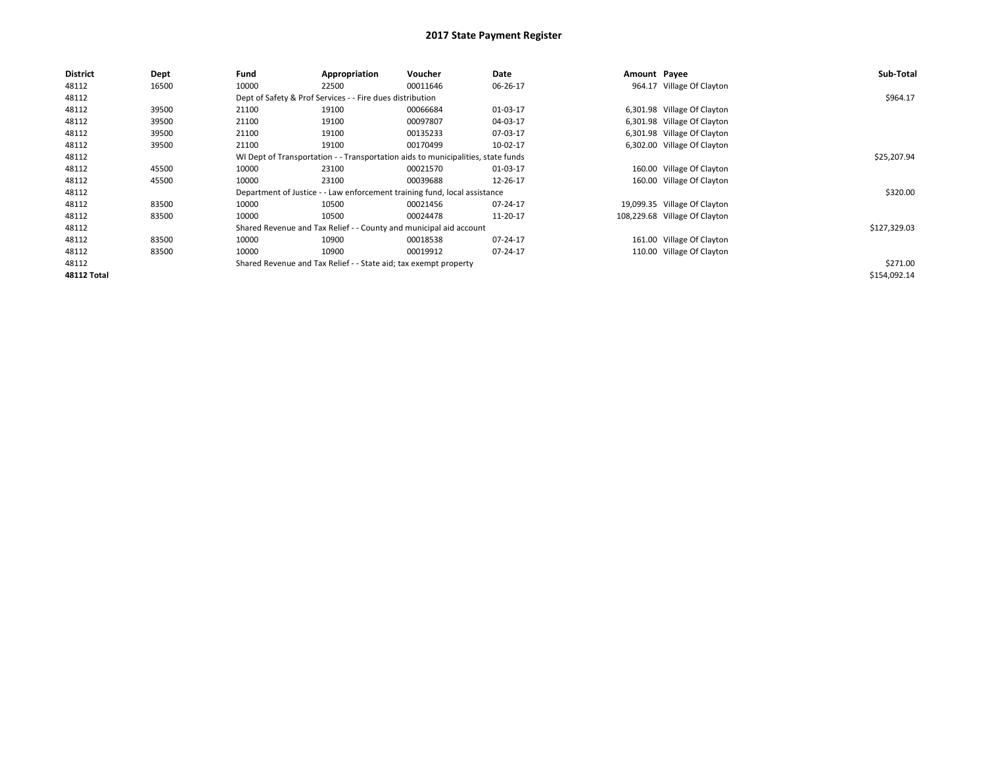| <b>District</b>    | <b>Dept</b> | Fund  | Appropriation                                                                    | Voucher  | Date     | Amount Payee |                               | Sub-Total    |
|--------------------|-------------|-------|----------------------------------------------------------------------------------|----------|----------|--------------|-------------------------------|--------------|
| 48112              | 16500       | 10000 | 22500                                                                            | 00011646 | 06-26-17 |              | 964.17 Village Of Clayton     |              |
| 48112              |             |       | Dept of Safety & Prof Services - - Fire dues distribution                        |          |          |              |                               | \$964.17     |
| 48112              | 39500       | 21100 | 19100                                                                            | 00066684 | 01-03-17 |              | 6,301.98 Village Of Clayton   |              |
| 48112              | 39500       | 21100 | 19100                                                                            | 00097807 | 04-03-17 |              | 6,301.98 Village Of Clayton   |              |
| 48112              | 39500       | 21100 | 19100                                                                            | 00135233 | 07-03-17 |              | 6,301.98 Village Of Clayton   |              |
| 48112              | 39500       | 21100 | 19100                                                                            | 00170499 | 10-02-17 |              | 6,302.00 Village Of Clayton   |              |
| 48112              |             |       | WI Dept of Transportation - - Transportation aids to municipalities, state funds |          |          |              |                               | \$25,207.94  |
| 48112              | 45500       | 10000 | 23100                                                                            | 00021570 | 01-03-17 |              | 160.00 Village Of Clayton     |              |
| 48112              | 45500       | 10000 | 23100                                                                            | 00039688 | 12-26-17 |              | 160.00 Village Of Clayton     |              |
| 48112              |             |       | Department of Justice - - Law enforcement training fund, local assistance        |          |          |              |                               | \$320.00     |
| 48112              | 83500       | 10000 | 10500                                                                            | 00021456 | 07-24-17 |              | 19,099.35 Village Of Clayton  |              |
| 48112              | 83500       | 10000 | 10500                                                                            | 00024478 | 11-20-17 |              | 108,229.68 Village Of Clayton |              |
| 48112              |             |       | Shared Revenue and Tax Relief - - County and municipal aid account               |          |          |              |                               | \$127,329.03 |
| 48112              | 83500       | 10000 | 10900                                                                            | 00018538 | 07-24-17 |              | 161.00 Village Of Clayton     |              |
| 48112              | 83500       | 10000 | 10900                                                                            | 00019912 | 07-24-17 |              | 110.00 Village Of Clayton     |              |
| 48112              |             |       | Shared Revenue and Tax Relief - - State aid; tax exempt property                 |          |          |              |                               | \$271.00     |
| <b>48112 Total</b> |             |       |                                                                                  |          |          |              |                               | \$154,092.14 |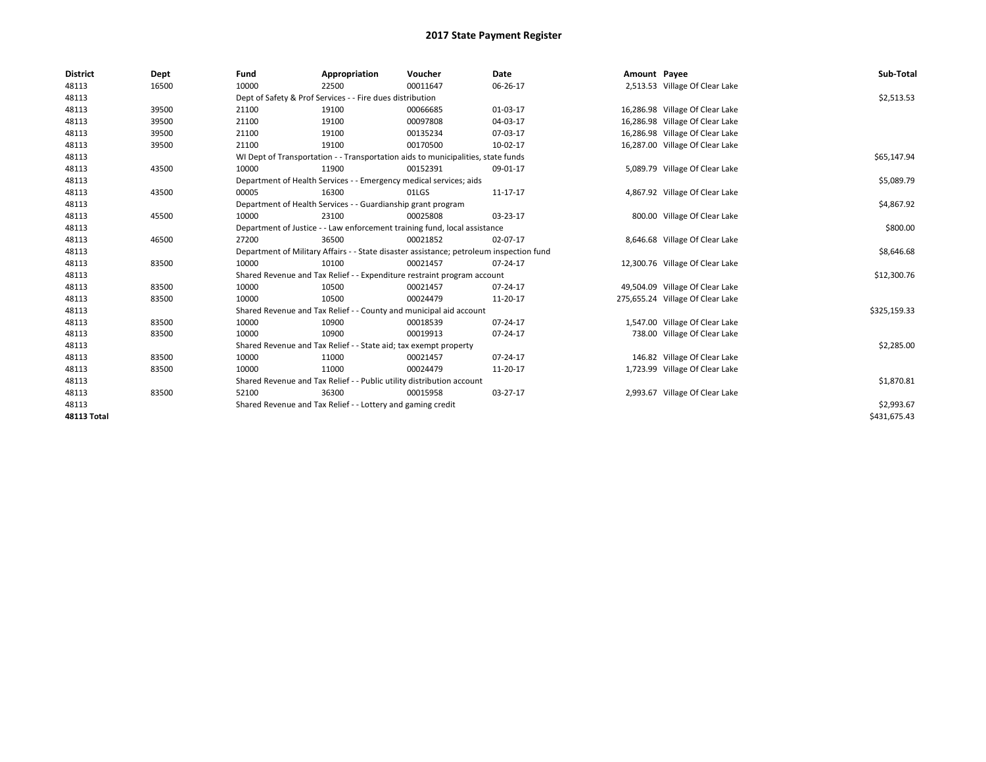| <b>District</b>    | Dept  | Fund  | Appropriation                                                                           | Voucher  | Date     | Amount Payee |                                  | Sub-Total    |
|--------------------|-------|-------|-----------------------------------------------------------------------------------------|----------|----------|--------------|----------------------------------|--------------|
| 48113              | 16500 | 10000 | 22500                                                                                   | 00011647 | 06-26-17 |              | 2,513.53 Village Of Clear Lake   |              |
| 48113              |       |       | Dept of Safety & Prof Services - - Fire dues distribution                               |          |          |              |                                  | \$2,513.53   |
| 48113              | 39500 | 21100 | 19100                                                                                   | 00066685 | 01-03-17 |              | 16,286.98 Village Of Clear Lake  |              |
| 48113              | 39500 | 21100 | 19100                                                                                   | 00097808 | 04-03-17 |              | 16,286.98 Village Of Clear Lake  |              |
| 48113              | 39500 | 21100 | 19100                                                                                   | 00135234 | 07-03-17 |              | 16,286.98 Village Of Clear Lake  |              |
| 48113              | 39500 | 21100 | 19100                                                                                   | 00170500 | 10-02-17 |              | 16,287.00 Village Of Clear Lake  |              |
| 48113              |       |       | WI Dept of Transportation - - Transportation aids to municipalities, state funds        |          |          |              |                                  | \$65,147.94  |
| 48113              | 43500 | 10000 | 11900                                                                                   | 00152391 | 09-01-17 |              | 5,089.79 Village Of Clear Lake   |              |
| 48113              |       |       | Department of Health Services - - Emergency medical services; aids                      |          |          |              |                                  | \$5,089.79   |
| 48113              | 43500 | 00005 | 16300                                                                                   | 01LGS    | 11-17-17 |              | 4,867.92 Village Of Clear Lake   |              |
| 48113              |       |       | Department of Health Services - - Guardianship grant program                            |          |          |              |                                  | \$4,867.92   |
| 48113              | 45500 | 10000 | 23100                                                                                   | 00025808 | 03-23-17 |              | 800.00 Village Of Clear Lake     |              |
| 48113              |       |       | Department of Justice - - Law enforcement training fund, local assistance               |          |          |              |                                  | \$800.00     |
| 48113              | 46500 | 27200 | 36500                                                                                   | 00021852 | 02-07-17 |              | 8,646.68 Village Of Clear Lake   |              |
| 48113              |       |       | Department of Military Affairs - - State disaster assistance; petroleum inspection fund |          |          |              |                                  | \$8,646.68   |
| 48113              | 83500 | 10000 | 10100                                                                                   | 00021457 | 07-24-17 |              | 12,300.76 Village Of Clear Lake  |              |
| 48113              |       |       | Shared Revenue and Tax Relief - - Expenditure restraint program account                 |          |          |              |                                  | \$12,300.76  |
| 48113              | 83500 | 10000 | 10500                                                                                   | 00021457 | 07-24-17 |              | 49,504.09 Village Of Clear Lake  |              |
| 48113              | 83500 | 10000 | 10500                                                                                   | 00024479 | 11-20-17 |              | 275,655.24 Village Of Clear Lake |              |
| 48113              |       |       | Shared Revenue and Tax Relief - - County and municipal aid account                      |          |          |              |                                  | \$325,159.33 |
| 48113              | 83500 | 10000 | 10900                                                                                   | 00018539 | 07-24-17 |              | 1,547.00 Village Of Clear Lake   |              |
| 48113              | 83500 | 10000 | 10900                                                                                   | 00019913 | 07-24-17 |              | 738.00 Village Of Clear Lake     |              |
| 48113              |       |       | Shared Revenue and Tax Relief - - State aid; tax exempt property                        |          |          |              |                                  | \$2,285.00   |
| 48113              | 83500 | 10000 | 11000                                                                                   | 00021457 | 07-24-17 |              | 146.82 Village Of Clear Lake     |              |
| 48113              | 83500 | 10000 | 11000                                                                                   | 00024479 | 11-20-17 |              | 1,723.99 Village Of Clear Lake   |              |
| 48113              |       |       | Shared Revenue and Tax Relief - - Public utility distribution account                   |          |          |              |                                  | \$1,870.81   |
| 48113              | 83500 | 52100 | 36300                                                                                   | 00015958 | 03-27-17 |              | 2,993.67 Village Of Clear Lake   |              |
| 48113              |       |       | Shared Revenue and Tax Relief - - Lottery and gaming credit                             |          |          |              |                                  | \$2,993.67   |
| <b>48113 Total</b> |       |       |                                                                                         |          |          |              |                                  | \$431,675.43 |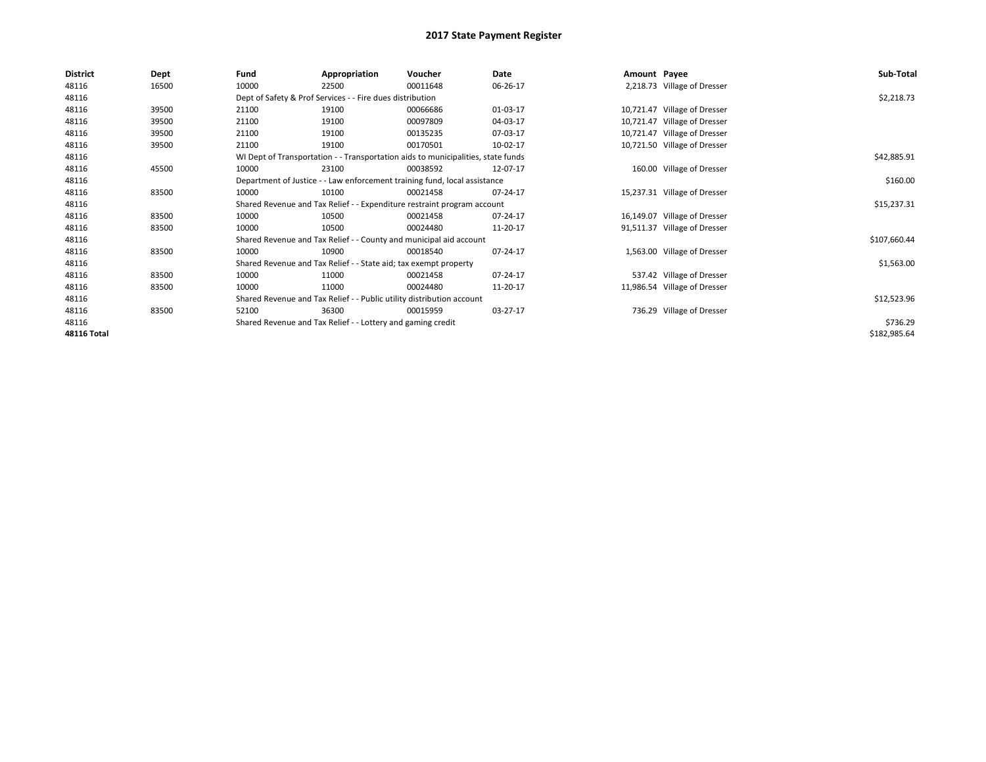| <b>District</b>    | Dept  | Fund  | Appropriation                                                                    | Voucher  | Date     | Amount Payee |                              | Sub-Total    |  |  |
|--------------------|-------|-------|----------------------------------------------------------------------------------|----------|----------|--------------|------------------------------|--------------|--|--|
| 48116              | 16500 | 10000 | 22500                                                                            | 00011648 | 06-26-17 |              | 2,218.73 Village of Dresser  |              |  |  |
| 48116              |       |       | Dept of Safety & Prof Services - - Fire dues distribution                        |          |          |              |                              | \$2,218.73   |  |  |
| 48116              | 39500 | 21100 | 19100                                                                            | 00066686 | 01-03-17 |              | 10,721.47 Village of Dresser |              |  |  |
| 48116              | 39500 | 21100 | 19100                                                                            | 00097809 | 04-03-17 |              | 10,721.47 Village of Dresser |              |  |  |
| 48116              | 39500 | 21100 | 19100                                                                            | 00135235 | 07-03-17 |              | 10,721.47 Village of Dresser |              |  |  |
| 48116              | 39500 | 21100 | 19100                                                                            | 00170501 | 10-02-17 |              | 10,721.50 Village of Dresser |              |  |  |
| 48116              |       |       | WI Dept of Transportation - - Transportation aids to municipalities, state funds |          |          |              |                              | \$42,885.91  |  |  |
| 48116              | 45500 | 10000 | 23100                                                                            | 00038592 | 12-07-17 |              | 160.00 Village of Dresser    |              |  |  |
| 48116              |       |       | Department of Justice - - Law enforcement training fund, local assistance        |          |          |              |                              | \$160.00     |  |  |
| 48116              | 83500 | 10000 | 10100                                                                            | 00021458 | 07-24-17 |              | 15,237.31 Village of Dresser |              |  |  |
| 48116              |       |       | Shared Revenue and Tax Relief - - Expenditure restraint program account          |          |          |              |                              |              |  |  |
| 48116              | 83500 | 10000 | 10500                                                                            | 00021458 | 07-24-17 |              | 16,149.07 Village of Dresser |              |  |  |
| 48116              | 83500 | 10000 | 10500                                                                            | 00024480 | 11-20-17 |              | 91,511.37 Village of Dresser |              |  |  |
| 48116              |       |       | Shared Revenue and Tax Relief - - County and municipal aid account               |          |          |              |                              | \$107,660.44 |  |  |
| 48116              | 83500 | 10000 | 10900                                                                            | 00018540 | 07-24-17 |              | 1,563.00 Village of Dresser  |              |  |  |
| 48116              |       |       | Shared Revenue and Tax Relief - - State aid; tax exempt property                 |          |          |              |                              | \$1,563.00   |  |  |
| 48116              | 83500 | 10000 | 11000                                                                            | 00021458 | 07-24-17 |              | 537.42 Village of Dresser    |              |  |  |
| 48116              | 83500 | 10000 | 11000                                                                            | 00024480 | 11-20-17 |              | 11,986.54 Village of Dresser |              |  |  |
| 48116              |       |       | Shared Revenue and Tax Relief - - Public utility distribution account            |          |          |              |                              | \$12,523.96  |  |  |
| 48116              | 83500 | 52100 | 36300                                                                            | 00015959 | 03-27-17 |              | 736.29 Village of Dresser    |              |  |  |
| 48116              |       |       | Shared Revenue and Tax Relief - - Lottery and gaming credit                      |          |          |              |                              | \$736.29     |  |  |
| <b>48116 Total</b> |       |       |                                                                                  |          |          |              |                              | \$182,985.64 |  |  |
|                    |       |       |                                                                                  |          |          |              |                              |              |  |  |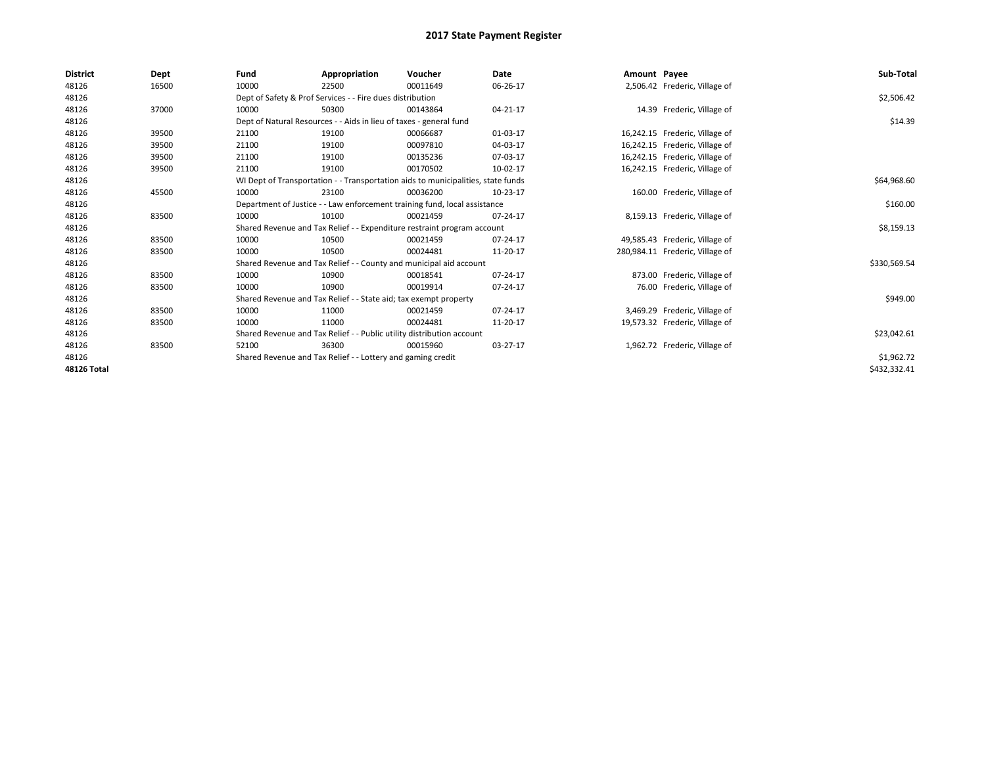| <b>District</b> | Dept  | Fund  | Appropriation                                                                    | Voucher  | Date     | Amount Payee |                                 | Sub-Total    |
|-----------------|-------|-------|----------------------------------------------------------------------------------|----------|----------|--------------|---------------------------------|--------------|
| 48126           | 16500 | 10000 | 22500                                                                            | 00011649 | 06-26-17 |              | 2,506.42 Frederic, Village of   |              |
| 48126           |       |       | Dept of Safety & Prof Services - - Fire dues distribution                        |          |          |              |                                 | \$2,506.42   |
| 48126           | 37000 | 10000 | 50300                                                                            | 00143864 | 04-21-17 |              | 14.39 Frederic, Village of      |              |
| 48126           |       |       | Dept of Natural Resources - - Aids in lieu of taxes - general fund               |          |          |              |                                 | \$14.39      |
| 48126           | 39500 | 21100 | 19100                                                                            | 00066687 | 01-03-17 |              | 16,242.15 Frederic, Village of  |              |
| 48126           | 39500 | 21100 | 19100                                                                            | 00097810 | 04-03-17 |              | 16,242.15 Frederic, Village of  |              |
| 48126           | 39500 | 21100 | 19100                                                                            | 00135236 | 07-03-17 |              | 16,242.15 Frederic, Village of  |              |
| 48126           | 39500 | 21100 | 19100                                                                            | 00170502 | 10-02-17 |              | 16,242.15 Frederic, Village of  |              |
| 48126           |       |       | WI Dept of Transportation - - Transportation aids to municipalities, state funds |          |          |              |                                 | \$64,968.60  |
| 48126           | 45500 | 10000 | 23100                                                                            | 00036200 | 10-23-17 |              | 160.00 Frederic, Village of     |              |
| 48126           |       |       | Department of Justice - - Law enforcement training fund, local assistance        |          |          |              |                                 | \$160.00     |
| 48126           | 83500 | 10000 | 10100                                                                            | 00021459 | 07-24-17 |              | 8,159.13 Frederic, Village of   |              |
| 48126           |       |       | Shared Revenue and Tax Relief - - Expenditure restraint program account          |          |          |              |                                 | \$8,159.13   |
| 48126           | 83500 | 10000 | 10500                                                                            | 00021459 | 07-24-17 |              | 49,585.43 Frederic, Village of  |              |
| 48126           | 83500 | 10000 | 10500                                                                            | 00024481 | 11-20-17 |              | 280,984.11 Frederic, Village of |              |
| 48126           |       |       | Shared Revenue and Tax Relief - - County and municipal aid account               |          |          |              |                                 | \$330,569.54 |
| 48126           | 83500 | 10000 | 10900                                                                            | 00018541 | 07-24-17 |              | 873.00 Frederic, Village of     |              |
| 48126           | 83500 | 10000 | 10900                                                                            | 00019914 | 07-24-17 |              | 76.00 Frederic, Village of      |              |
| 48126           |       |       | Shared Revenue and Tax Relief - - State aid; tax exempt property                 |          |          |              |                                 | \$949.00     |
| 48126           | 83500 | 10000 | 11000                                                                            | 00021459 | 07-24-17 |              | 3,469.29 Frederic, Village of   |              |
| 48126           | 83500 | 10000 | 11000                                                                            | 00024481 | 11-20-17 |              | 19,573.32 Frederic, Village of  |              |
| 48126           |       |       | Shared Revenue and Tax Relief - - Public utility distribution account            |          |          |              |                                 | \$23,042.61  |
| 48126           | 83500 | 52100 | 36300                                                                            | 00015960 | 03-27-17 |              | 1,962.72 Frederic, Village of   |              |
| 48126           |       |       | Shared Revenue and Tax Relief - - Lottery and gaming credit                      |          |          |              |                                 | \$1,962.72   |
| 48126 Total     |       |       |                                                                                  |          |          |              |                                 | \$432,332.41 |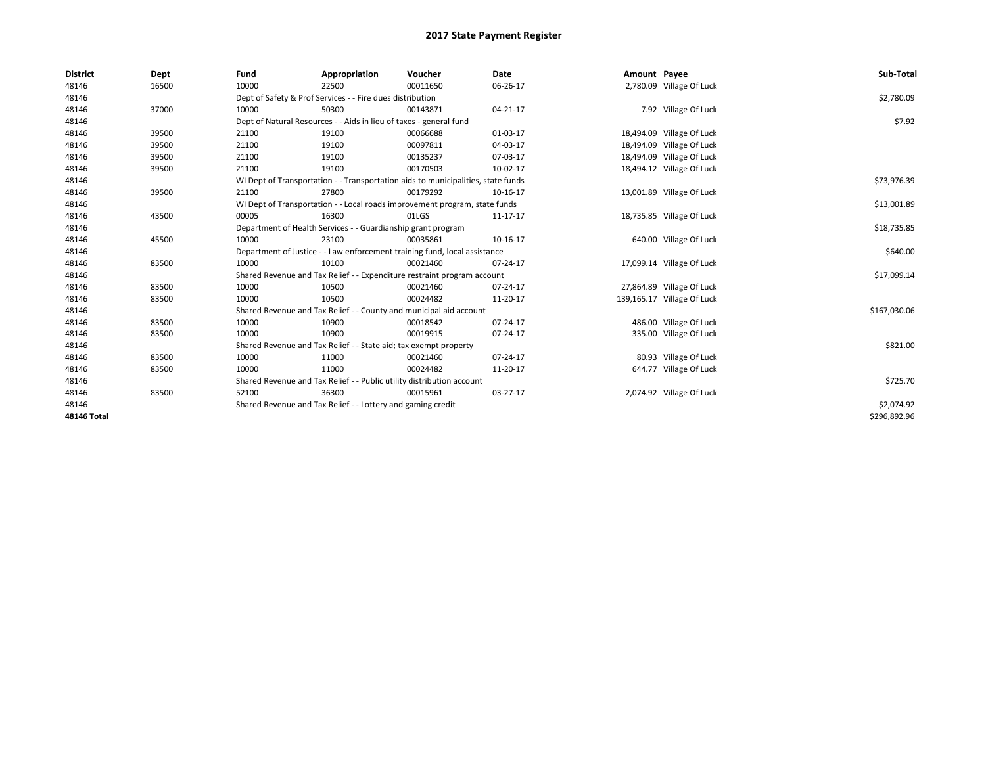| <b>District</b> | Dept  | Fund                                                         | Appropriation                                                         | Voucher                                                                          | <b>Date</b> | Amount Payee |                            | Sub-Total    |
|-----------------|-------|--------------------------------------------------------------|-----------------------------------------------------------------------|----------------------------------------------------------------------------------|-------------|--------------|----------------------------|--------------|
| 48146           | 16500 | 10000                                                        | 22500                                                                 | 00011650                                                                         | 06-26-17    |              | 2,780.09 Village Of Luck   |              |
| 48146           |       |                                                              | Dept of Safety & Prof Services - - Fire dues distribution             |                                                                                  |             |              |                            | \$2,780.09   |
| 48146           | 37000 | 10000                                                        | 50300                                                                 | 00143871                                                                         | 04-21-17    |              | 7.92 Village Of Luck       |              |
| 48146           |       |                                                              | Dept of Natural Resources - - Aids in lieu of taxes - general fund    |                                                                                  |             |              |                            | \$7.92       |
| 48146           | 39500 | 21100                                                        | 19100                                                                 | 00066688                                                                         | 01-03-17    |              | 18,494.09 Village Of Luck  |              |
| 48146           | 39500 | 21100                                                        | 19100                                                                 | 00097811                                                                         | 04-03-17    |              | 18,494.09 Village Of Luck  |              |
| 48146           | 39500 | 21100                                                        | 19100                                                                 | 00135237                                                                         | 07-03-17    |              | 18,494.09 Village Of Luck  |              |
| 48146           | 39500 | 21100                                                        | 19100                                                                 | 00170503                                                                         | 10-02-17    |              | 18,494.12 Village Of Luck  |              |
| 48146           |       |                                                              |                                                                       | WI Dept of Transportation - - Transportation aids to municipalities, state funds |             |              |                            | \$73,976.39  |
| 48146           | 39500 | 21100                                                        | 27800                                                                 | 00179292                                                                         | 10-16-17    |              | 13,001.89 Village Of Luck  |              |
| 48146           |       |                                                              |                                                                       | WI Dept of Transportation - - Local roads improvement program, state funds       |             |              |                            | \$13,001.89  |
| 48146           | 43500 | 00005                                                        | 16300                                                                 | 01LGS                                                                            | 11-17-17    |              | 18,735.85 Village Of Luck  |              |
| 48146           |       | Department of Health Services - - Guardianship grant program |                                                                       | \$18,735.85                                                                      |             |              |                            |              |
| 48146           | 45500 | 10000                                                        | 23100                                                                 | 00035861                                                                         | 10-16-17    |              | 640.00 Village Of Luck     |              |
| 48146           |       |                                                              |                                                                       | Department of Justice - - Law enforcement training fund, local assistance        |             |              |                            | \$640.00     |
| 48146           | 83500 | 10000                                                        | 10100                                                                 | 00021460                                                                         | 07-24-17    |              | 17,099.14 Village Of Luck  |              |
| 48146           |       |                                                              |                                                                       | Shared Revenue and Tax Relief - - Expenditure restraint program account          |             |              |                            | \$17,099.14  |
| 48146           | 83500 | 10000                                                        | 10500                                                                 | 00021460                                                                         | 07-24-17    |              | 27,864.89 Village Of Luck  |              |
| 48146           | 83500 | 10000                                                        | 10500                                                                 | 00024482                                                                         | 11-20-17    |              | 139,165.17 Village Of Luck |              |
| 48146           |       |                                                              |                                                                       | Shared Revenue and Tax Relief - - County and municipal aid account               |             |              |                            | \$167,030.06 |
| 48146           | 83500 | 10000                                                        | 10900                                                                 | 00018542                                                                         | 07-24-17    |              | 486.00 Village Of Luck     |              |
| 48146           | 83500 | 10000                                                        | 10900                                                                 | 00019915                                                                         | 07-24-17    |              | 335.00 Village Of Luck     |              |
| 48146           |       |                                                              | Shared Revenue and Tax Relief - - State aid; tax exempt property      |                                                                                  |             |              |                            | \$821.00     |
| 48146           | 83500 | 10000                                                        | 11000                                                                 | 00021460                                                                         | 07-24-17    |              | 80.93 Village Of Luck      |              |
| 48146           | 83500 | 10000                                                        | 11000                                                                 | 00024482                                                                         | 11-20-17    |              | 644.77 Village Of Luck     |              |
| 48146           |       |                                                              | Shared Revenue and Tax Relief - - Public utility distribution account |                                                                                  |             |              |                            | \$725.70     |
| 48146           | 83500 | 52100                                                        | 36300                                                                 | 00015961                                                                         | 03-27-17    |              | 2,074.92 Village Of Luck   |              |
| 48146           |       |                                                              | Shared Revenue and Tax Relief - - Lottery and gaming credit           |                                                                                  |             |              |                            | \$2,074.92   |
| 48146 Total     |       |                                                              |                                                                       |                                                                                  |             |              |                            | \$296,892.96 |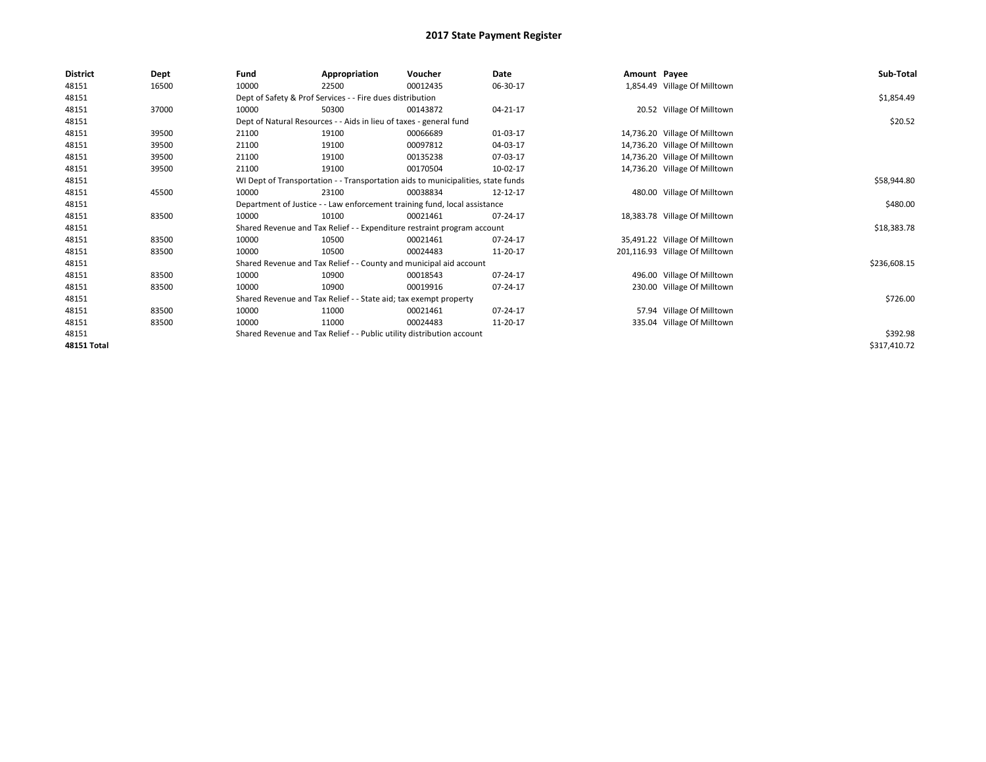| <b>District</b>    | Dept  | Fund  | Appropriation                                                         | Voucher                                                                          | Date     | Amount Payee |                                | Sub-Total    |
|--------------------|-------|-------|-----------------------------------------------------------------------|----------------------------------------------------------------------------------|----------|--------------|--------------------------------|--------------|
| 48151              | 16500 | 10000 | 22500                                                                 | 00012435                                                                         | 06-30-17 |              | 1,854.49 Village Of Milltown   |              |
| 48151              |       |       | Dept of Safety & Prof Services - - Fire dues distribution             |                                                                                  |          |              |                                | \$1,854.49   |
| 48151              | 37000 | 10000 | 50300                                                                 | 00143872                                                                         | 04-21-17 |              | 20.52 Village Of Milltown      |              |
| 48151              |       |       | Dept of Natural Resources - - Aids in lieu of taxes - general fund    |                                                                                  |          |              |                                | \$20.52      |
| 48151              | 39500 | 21100 | 19100                                                                 | 00066689                                                                         | 01-03-17 |              | 14,736.20 Village Of Milltown  |              |
| 48151              | 39500 | 21100 | 19100                                                                 | 00097812                                                                         | 04-03-17 |              | 14,736.20 Village Of Milltown  |              |
| 48151              | 39500 | 21100 | 19100                                                                 | 00135238                                                                         | 07-03-17 |              | 14,736.20 Village Of Milltown  |              |
| 48151              | 39500 | 21100 | 19100                                                                 | 00170504                                                                         | 10-02-17 |              | 14,736.20 Village Of Milltown  |              |
| 48151              |       |       |                                                                       | WI Dept of Transportation - - Transportation aids to municipalities, state funds |          |              |                                | \$58,944.80  |
| 48151              | 45500 | 10000 | 23100                                                                 | 00038834                                                                         | 12-12-17 |              | 480.00 Village Of Milltown     |              |
| 48151              |       |       |                                                                       | Department of Justice - - Law enforcement training fund, local assistance        |          |              |                                | \$480.00     |
| 48151              | 83500 | 10000 | 10100                                                                 | 00021461                                                                         | 07-24-17 |              | 18,383.78 Village Of Milltown  |              |
| 48151              |       |       |                                                                       | Shared Revenue and Tax Relief - - Expenditure restraint program account          |          |              |                                | \$18,383.78  |
| 48151              | 83500 | 10000 | 10500                                                                 | 00021461                                                                         | 07-24-17 |              | 35,491.22 Village Of Milltown  |              |
| 48151              | 83500 | 10000 | 10500                                                                 | 00024483                                                                         | 11-20-17 |              | 201,116.93 Village Of Milltown |              |
| 48151              |       |       |                                                                       | Shared Revenue and Tax Relief - - County and municipal aid account               |          |              |                                | \$236,608.15 |
| 48151              | 83500 | 10000 | 10900                                                                 | 00018543                                                                         | 07-24-17 |              | 496.00 Village Of Milltown     |              |
| 48151              | 83500 | 10000 | 10900                                                                 | 00019916                                                                         | 07-24-17 |              | 230.00 Village Of Milltown     |              |
| 48151              |       |       | Shared Revenue and Tax Relief - - State aid; tax exempt property      |                                                                                  |          |              |                                | \$726.00     |
| 48151              | 83500 | 10000 | 11000                                                                 | 00021461                                                                         | 07-24-17 |              | 57.94 Village Of Milltown      |              |
| 48151              | 83500 | 10000 | 11000                                                                 | 00024483                                                                         | 11-20-17 |              | 335.04 Village Of Milltown     |              |
| 48151              |       |       | Shared Revenue and Tax Relief - - Public utility distribution account |                                                                                  |          |              |                                | \$392.98     |
| <b>48151 Total</b> |       |       |                                                                       |                                                                                  |          |              |                                | \$317,410.72 |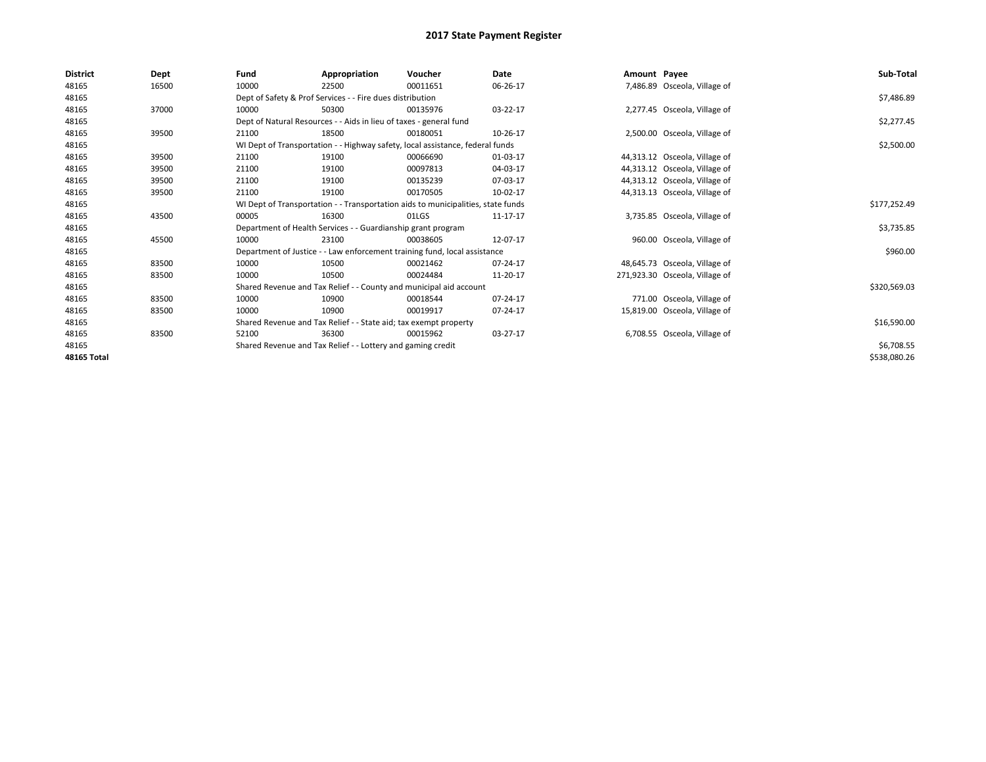| <b>District</b> | Dept  | Fund                                                                             | Appropriation                                                      | Voucher                                                                       | Date     | Amount Payee |                                | Sub-Total    |
|-----------------|-------|----------------------------------------------------------------------------------|--------------------------------------------------------------------|-------------------------------------------------------------------------------|----------|--------------|--------------------------------|--------------|
| 48165           | 16500 | 10000                                                                            | 22500                                                              | 00011651                                                                      | 06-26-17 |              | 7,486.89 Osceola, Village of   |              |
| 48165           |       | Dept of Safety & Prof Services - - Fire dues distribution                        |                                                                    | \$7,486.89                                                                    |          |              |                                |              |
| 48165           | 37000 | 10000                                                                            | 50300                                                              | 00135976                                                                      | 03-22-17 |              | 2,277.45 Osceola, Village of   |              |
| 48165           |       |                                                                                  | Dept of Natural Resources - - Aids in lieu of taxes - general fund |                                                                               |          |              |                                | \$2,277.45   |
| 48165           | 39500 | 21100                                                                            | 18500                                                              | 00180051                                                                      | 10-26-17 |              | 2,500.00 Osceola, Village of   |              |
| 48165           |       |                                                                                  |                                                                    | WI Dept of Transportation - - Highway safety, local assistance, federal funds |          |              |                                | \$2,500.00   |
| 48165           | 39500 | 21100                                                                            | 19100                                                              | 00066690                                                                      | 01-03-17 |              | 44,313.12 Osceola, Village of  |              |
| 48165           | 39500 | 21100                                                                            | 19100                                                              | 00097813                                                                      | 04-03-17 |              | 44,313.12 Osceola, Village of  |              |
| 48165           | 39500 | 21100                                                                            | 19100                                                              | 00135239                                                                      | 07-03-17 |              | 44,313.12 Osceola, Village of  |              |
| 48165           | 39500 | 21100                                                                            | 19100                                                              | 00170505                                                                      | 10-02-17 |              | 44,313.13 Osceola, Village of  |              |
| 48165           |       | WI Dept of Transportation - - Transportation aids to municipalities, state funds |                                                                    | \$177,252.49                                                                  |          |              |                                |              |
| 48165           | 43500 | 00005                                                                            | 16300                                                              | 01LGS                                                                         | 11-17-17 |              | 3,735.85 Osceola, Village of   |              |
| 48165           |       | Department of Health Services - - Guardianship grant program                     |                                                                    | \$3,735.85                                                                    |          |              |                                |              |
| 48165           | 45500 | 10000                                                                            | 23100                                                              | 00038605                                                                      | 12-07-17 |              | 960.00 Osceola, Village of     |              |
| 48165           |       | Department of Justice - - Law enforcement training fund, local assistance        |                                                                    | \$960.00                                                                      |          |              |                                |              |
| 48165           | 83500 | 10000                                                                            | 10500                                                              | 00021462                                                                      | 07-24-17 |              | 48,645.73 Osceola, Village of  |              |
| 48165           | 83500 | 10000                                                                            | 10500                                                              | 00024484                                                                      | 11-20-17 |              | 271,923.30 Osceola, Village of |              |
| 48165           |       | Shared Revenue and Tax Relief - - County and municipal aid account               |                                                                    | \$320,569.03                                                                  |          |              |                                |              |
| 48165           | 83500 | 10000                                                                            | 10900                                                              | 00018544                                                                      | 07-24-17 |              | 771.00 Osceola, Village of     |              |
| 48165           | 83500 | 10000                                                                            | 10900                                                              | 00019917                                                                      | 07-24-17 |              | 15,819.00 Osceola, Village of  |              |
| 48165           |       | Shared Revenue and Tax Relief - - State aid; tax exempt property                 |                                                                    | \$16,590.00                                                                   |          |              |                                |              |
| 48165           | 83500 | 52100                                                                            | 36300                                                              | 00015962                                                                      | 03-27-17 |              | 6,708.55 Osceola, Village of   |              |
| 48165           |       | Shared Revenue and Tax Relief - - Lottery and gaming credit                      |                                                                    | \$6,708.55                                                                    |          |              |                                |              |
| 48165 Total     |       |                                                                                  |                                                                    |                                                                               |          |              |                                | \$538,080.26 |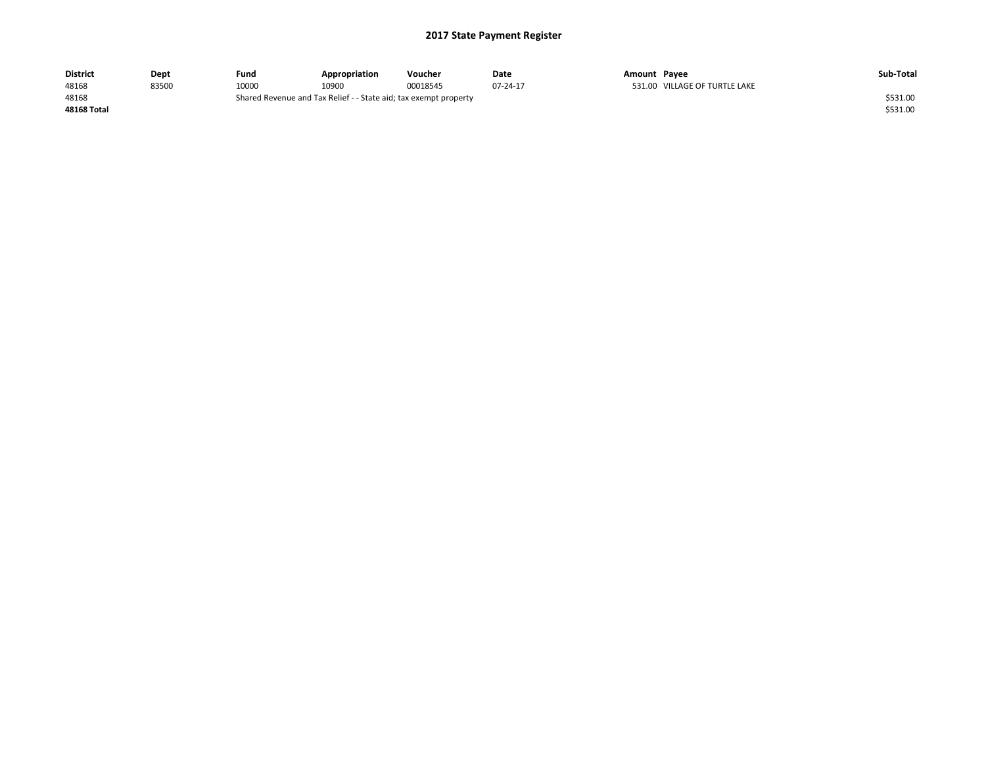| <b>District</b>    | Dept  | Fund                                                             | Appropriation | Voucher  | Date     | Amount Pavee |                               | Sub-Total |
|--------------------|-------|------------------------------------------------------------------|---------------|----------|----------|--------------|-------------------------------|-----------|
| 48168              | 83500 | 10000                                                            | 10900         | 00018545 | 07-24-17 |              | 531.00 VILLAGE OF TURTLE LAKE |           |
| 48168              |       | Shared Revenue and Tax Relief - - State aid; tax exempt property |               |          |          |              |                               |           |
| <b>48168 Total</b> |       |                                                                  |               |          |          |              |                               | \$531.00  |
|                    |       |                                                                  |               |          |          |              |                               |           |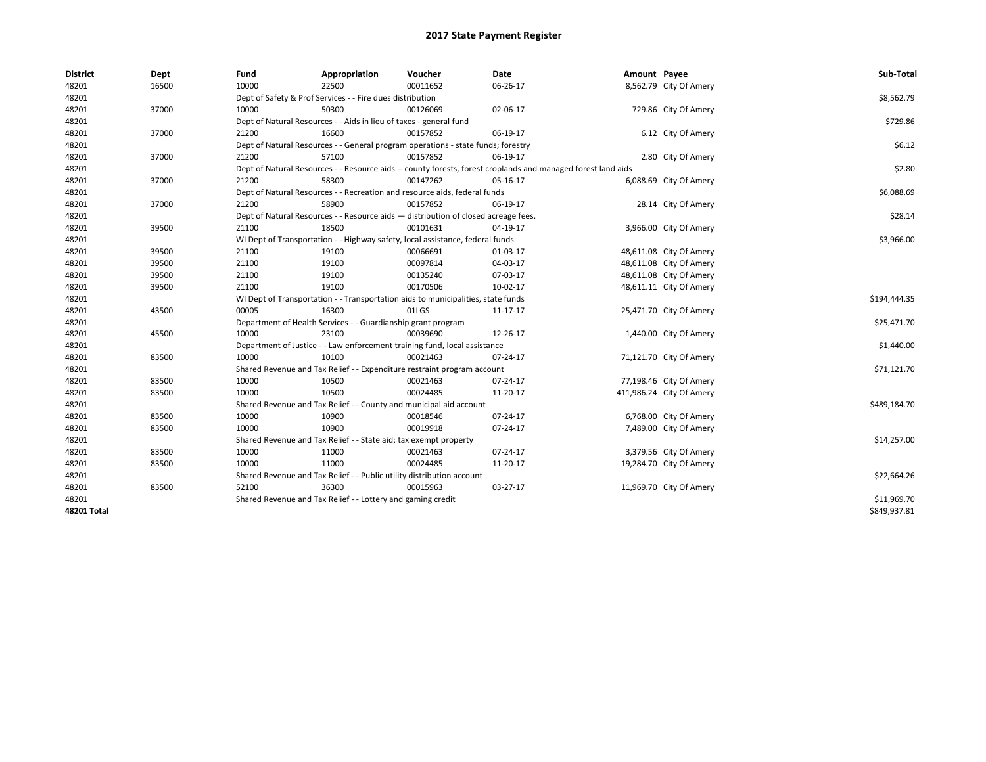| <b>District</b> | Dept  | Fund                                                                      | Appropriation                                                                      | Voucher     | Date                                                                                                         | Amount Payee |                          | Sub-Total    |
|-----------------|-------|---------------------------------------------------------------------------|------------------------------------------------------------------------------------|-------------|--------------------------------------------------------------------------------------------------------------|--------------|--------------------------|--------------|
| 48201           | 16500 | 10000                                                                     | 22500                                                                              | 00011652    | 06-26-17                                                                                                     |              | 8,562.79 City Of Amery   |              |
| 48201           |       | Dept of Safety & Prof Services - - Fire dues distribution                 |                                                                                    | \$8,562.79  |                                                                                                              |              |                          |              |
| 48201           | 37000 | 10000                                                                     | 50300                                                                              | 00126069    | 02-06-17                                                                                                     |              | 729.86 City Of Amery     |              |
| 48201           |       | Dept of Natural Resources - - Aids in lieu of taxes - general fund        |                                                                                    | \$729.86    |                                                                                                              |              |                          |              |
| 48201           | 37000 | 21200                                                                     | 16600                                                                              | 00157852    | 06-19-17                                                                                                     |              | 6.12 City Of Amery       |              |
| 48201           |       |                                                                           | Dept of Natural Resources - - General program operations - state funds; forestry   |             |                                                                                                              |              |                          | \$6.12       |
| 48201           | 37000 | 21200                                                                     | 57100                                                                              | 00157852    | 06-19-17                                                                                                     |              | 2.80 City Of Amery       |              |
| 48201           |       |                                                                           |                                                                                    |             | Dept of Natural Resources - - Resource aids -- county forests, forest croplands and managed forest land aids |              |                          | \$2.80       |
| 48201           | 37000 | 21200                                                                     | 58300                                                                              | 00147262    | 05-16-17                                                                                                     |              | 6,088.69 City Of Amery   |              |
| 48201           |       |                                                                           | Dept of Natural Resources - - Recreation and resource aids, federal funds          |             |                                                                                                              |              |                          | \$6,088.69   |
| 48201           | 37000 | 21200                                                                     | 58900                                                                              | 00157852    | 06-19-17                                                                                                     |              | 28.14 City Of Amery      |              |
| 48201           |       |                                                                           | Dept of Natural Resources - - Resource aids - distribution of closed acreage fees. |             |                                                                                                              |              |                          | \$28.14      |
| 48201           | 39500 | 21100                                                                     | 18500                                                                              | 00101631    | 04-19-17                                                                                                     |              | 3,966.00 City Of Amery   |              |
| 48201           |       |                                                                           | WI Dept of Transportation - - Highway safety, local assistance, federal funds      |             |                                                                                                              |              |                          | \$3,966.00   |
| 48201           | 39500 | 21100                                                                     | 19100                                                                              | 00066691    | 01-03-17                                                                                                     |              | 48,611.08 City Of Amery  |              |
| 48201           | 39500 | 21100                                                                     | 19100                                                                              | 00097814    | 04-03-17                                                                                                     |              | 48,611.08 City Of Amery  |              |
| 48201           | 39500 | 21100                                                                     | 19100                                                                              | 00135240    | 07-03-17                                                                                                     |              | 48,611.08 City Of Amery  |              |
| 48201           | 39500 | 21100                                                                     | 19100                                                                              | 00170506    | 10-02-17                                                                                                     |              | 48,611.11 City Of Amery  |              |
| 48201           |       |                                                                           | WI Dept of Transportation - - Transportation aids to municipalities, state funds   |             |                                                                                                              |              |                          | \$194,444.35 |
| 48201           | 43500 | 00005                                                                     | 16300                                                                              | 01LGS       | 11-17-17                                                                                                     |              | 25,471.70 City Of Amery  |              |
| 48201           |       |                                                                           | Department of Health Services - - Guardianship grant program                       |             |                                                                                                              |              |                          | \$25,471.70  |
| 48201           | 45500 | 10000                                                                     | 23100                                                                              | 00039690    | 12-26-17                                                                                                     |              | 1,440.00 City Of Amery   |              |
| 48201           |       | Department of Justice - - Law enforcement training fund, local assistance |                                                                                    | \$1,440.00  |                                                                                                              |              |                          |              |
| 48201           | 83500 | 10000                                                                     | 10100                                                                              | 00021463    | 07-24-17                                                                                                     |              | 71,121.70 City Of Amery  |              |
| 48201           |       | Shared Revenue and Tax Relief - - Expenditure restraint program account   |                                                                                    | \$71,121.70 |                                                                                                              |              |                          |              |
| 48201           | 83500 | 10000                                                                     | 10500                                                                              | 00021463    | 07-24-17                                                                                                     |              | 77,198.46 City Of Amery  |              |
| 48201           | 83500 | 10000                                                                     | 10500                                                                              | 00024485    | 11-20-17                                                                                                     |              | 411,986.24 City Of Amery |              |
| 48201           |       |                                                                           | Shared Revenue and Tax Relief - - County and municipal aid account                 |             |                                                                                                              |              |                          | \$489,184.70 |
| 48201           | 83500 | 10000                                                                     | 10900                                                                              | 00018546    | 07-24-17                                                                                                     |              | 6,768.00 City Of Amery   |              |
| 48201           | 83500 | 10000                                                                     | 10900                                                                              | 00019918    | 07-24-17                                                                                                     |              | 7,489.00 City Of Amery   |              |
| 48201           |       | Shared Revenue and Tax Relief - - State aid; tax exempt property          |                                                                                    | \$14,257.00 |                                                                                                              |              |                          |              |
| 48201           | 83500 | 10000                                                                     | 11000                                                                              | 00021463    | 07-24-17                                                                                                     |              | 3,379.56 City Of Amery   |              |
| 48201           | 83500 | 10000                                                                     | 11000                                                                              | 00024485    | 11-20-17                                                                                                     |              | 19,284.70 City Of Amery  |              |
| 48201           |       | Shared Revenue and Tax Relief - - Public utility distribution account     |                                                                                    | \$22,664.26 |                                                                                                              |              |                          |              |
| 48201           | 83500 | 52100                                                                     | 36300                                                                              | 00015963    | 03-27-17                                                                                                     |              | 11,969.70 City Of Amery  |              |
| 48201           |       |                                                                           | Shared Revenue and Tax Relief - - Lottery and gaming credit                        |             |                                                                                                              |              |                          | \$11,969.70  |
| 48201 Total     |       |                                                                           |                                                                                    |             |                                                                                                              |              |                          | \$849.937.81 |